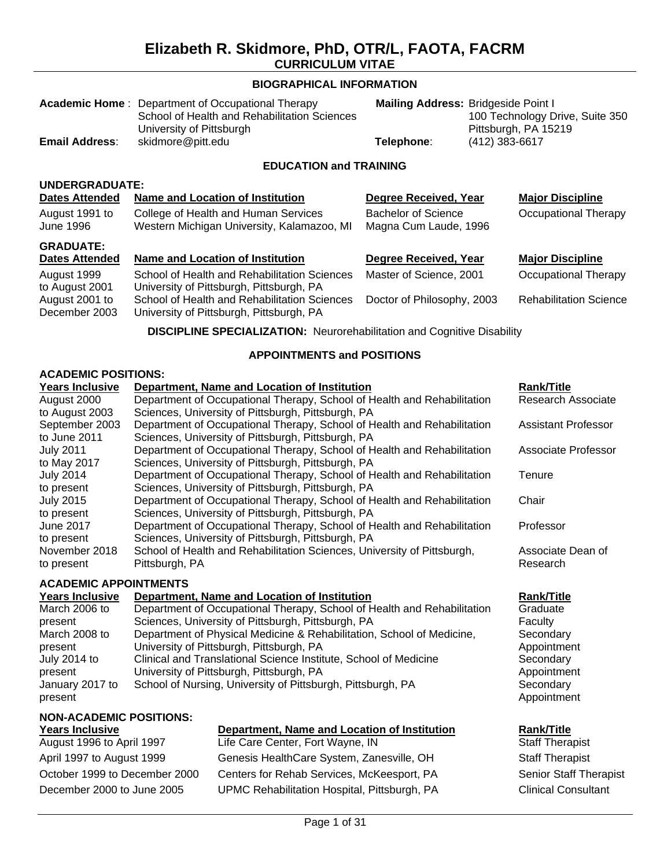#### **BIOGRAPHICAL INFORMATION**

|                                   | <b>Academic Home: Department of Occupational Therapy</b><br>School of Health and Rehabilitation Sciences<br>University of Pittsburgh |                            | Mailing Address: Bridgeside Point I<br>100 Technology Drive, Suite 350<br>Pittsburgh, PA 15219 |                               |  |  |
|-----------------------------------|--------------------------------------------------------------------------------------------------------------------------------------|----------------------------|------------------------------------------------------------------------------------------------|-------------------------------|--|--|
| <b>Email Address:</b>             | skidmore@pitt.edu                                                                                                                    | Telephone:                 | (412) 383-6617                                                                                 |                               |  |  |
|                                   | <b>EDUCATION and TRAINING</b>                                                                                                        |                            |                                                                                                |                               |  |  |
| <b>UNDERGRADUATE:</b>             |                                                                                                                                      |                            |                                                                                                |                               |  |  |
| <b>Dates Attended</b>             | <b>Name and Location of Institution</b>                                                                                              | Degree Received, Year      |                                                                                                | <b>Major Discipline</b>       |  |  |
| August 1991 to                    | College of Health and Human Services                                                                                                 | <b>Bachelor of Science</b> |                                                                                                | <b>Occupational Therapy</b>   |  |  |
| June 1996                         | Western Michigan University, Kalamazoo, MI                                                                                           | Magna Cum Laude, 1996      |                                                                                                |                               |  |  |
| <b>GRADUATE:</b>                  |                                                                                                                                      |                            |                                                                                                |                               |  |  |
| <b>Dates Attended</b>             | <b>Name and Location of Institution</b>                                                                                              | Degree Received, Year      |                                                                                                | <b>Major Discipline</b>       |  |  |
| August 1999<br>to August 2001     | School of Health and Rehabilitation Sciences<br>University of Pittsburgh, Pittsburgh, PA                                             | Master of Science, 2001    |                                                                                                | Occupational Therapy          |  |  |
| August 2001 to<br>December 2003   | School of Health and Rehabilitation Sciences<br>University of Pittsburgh, Pittsburgh, PA                                             | Doctor of Philosophy, 2003 |                                                                                                | <b>Rehabilitation Science</b> |  |  |
|                                   | <b>DISCIPLINE SPECIALIZATION:</b> Neurorehabilitation and Cognitive Disability                                                       |                            |                                                                                                |                               |  |  |
| <b>APPOINTMENTS and POSITIONS</b> |                                                                                                                                      |                            |                                                                                                |                               |  |  |
| <b>ACADEMIC POSITIONS:</b>        |                                                                                                                                      |                            |                                                                                                |                               |  |  |
| <b>Years Inclusive</b>            | Department, Name and Location of Institution                                                                                         |                            |                                                                                                | <b>Rank/Title</b>             |  |  |
| August 2000                       | Department of Occupational Therapy, School of Health and Rehabilitation                                                              |                            |                                                                                                | Research Associate            |  |  |
| to August 2003                    | Sciences, University of Pittsburgh, Pittsburgh, PA                                                                                   |                            |                                                                                                |                               |  |  |
| September 2003                    | Department of Occupational Therapy, School of Health and Rehabilitation<br><b>Assistant Professor</b>                                |                            |                                                                                                |                               |  |  |
| to June 2011                      | Sciences, University of Pittsburgh, Pittsburgh, PA                                                                                   |                            |                                                                                                |                               |  |  |

Department of Occupational Therapy, School of Health and Rehabilitation

Department of Occupational Therapy, School of Health and Rehabilitation

Department of Occupational Therapy, School of Health and Rehabilitation

Department of Occupational Therapy, School of Health and Rehabilitation

School of Health and Rehabilitation Sciences, University of Pittsburgh,

#### **ACADEMIC APPOINTMENTS**

Pittsburgh, PA

July 2011 to May 2017

July 2014 to present

July 2015 to present

June 2017 to present

November 2018 to present

| AVADLIJIV ALI VIII IJILII V |                                                                         |                   |  |  |
|-----------------------------|-------------------------------------------------------------------------|-------------------|--|--|
| <b>Years Inclusive</b>      | Department, Name and Location of Institution                            | <b>Rank/Title</b> |  |  |
| March 2006 to               | Department of Occupational Therapy, School of Health and Rehabilitation | Graduate          |  |  |
| present                     | Sciences, University of Pittsburgh, Pittsburgh, PA                      | Faculty           |  |  |
| March 2008 to               | Department of Physical Medicine & Rehabilitation, School of Medicine,   | Secondary         |  |  |
| present                     | University of Pittsburgh, Pittsburgh, PA                                | Appointme         |  |  |
| July 2014 to                | Clinical and Translational Science Institute, School of Medicine        | Secondary         |  |  |
| present                     | University of Pittsburgh, Pittsburgh, PA                                | Appointme         |  |  |
| January 2017 to             | School of Nursing, University of Pittsburgh, Pittsburgh, PA             | Secondary         |  |  |
| present                     |                                                                         | Appointme         |  |  |
|                             |                                                                         |                   |  |  |

Sciences, University of Pittsburgh, Pittsburgh, PA

Sciences, University of Pittsburgh, Pittsburgh, PA

Sciences, University of Pittsburgh, Pittsburgh, PA

Sciences, University of Pittsburgh, Pittsburgh, PA

## **NON-ACADEMIC POSITIONS:**

August 1996 to April 1997 Life Care Center, Fort Wayne, IN Staff Therapist

# **Years Inclusive CompartMent, Name and Location of Institution Rank/Title**

April 1997 to August 1999 Genesis HealthCare System, Zanesville, OH Staff Therapist October 1999 to December 2000 Centers for Rehab Services, McKeesport, PA Senior Staff Therapist December 2000 to June 2005 UPMC Rehabilitation Hospital, Pittsburgh, PA Clinical Consultant

# Research

Associate Dean of

Professor

**Tenure** 

**Chair** 

Associate Professor

**Graduate Faculty Secondary** Appointment **Secondary** Appointment Secondary Appointment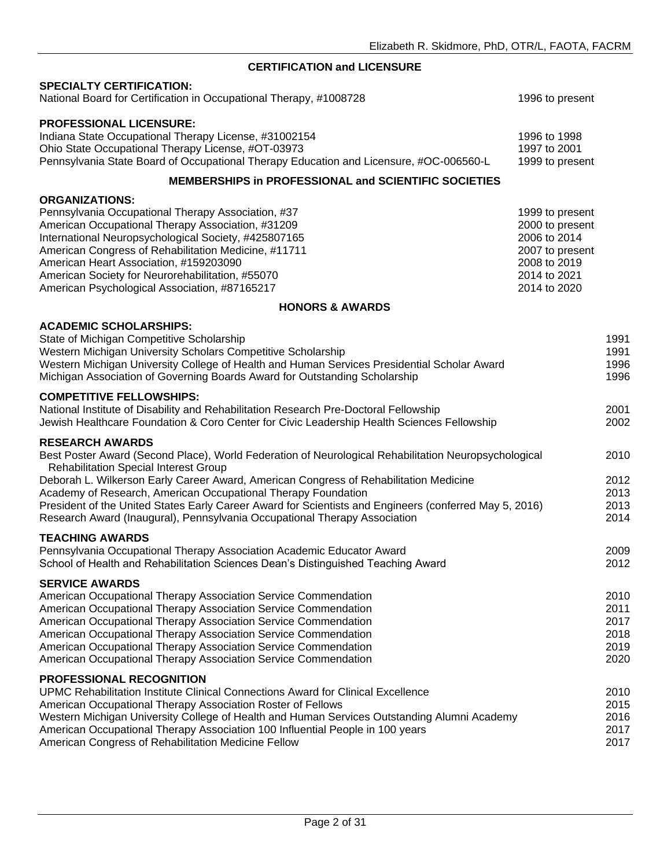#### **CERTIFICATION and LICENSURE**

#### **SPECIALTY CERTIFICATION:**

| National Board for Certification in Occupational Therapy, #1008728                                                                                                                                                                                                                                                                                                                                                                                                                                                              | 1996 to present                                                                                                       |                                              |
|---------------------------------------------------------------------------------------------------------------------------------------------------------------------------------------------------------------------------------------------------------------------------------------------------------------------------------------------------------------------------------------------------------------------------------------------------------------------------------------------------------------------------------|-----------------------------------------------------------------------------------------------------------------------|----------------------------------------------|
| <b>PROFESSIONAL LICENSURE:</b><br>Indiana State Occupational Therapy License, #31002154<br>Ohio State Occupational Therapy License, #OT-03973<br>Pennsylvania State Board of Occupational Therapy Education and Licensure, #OC-006560-L                                                                                                                                                                                                                                                                                         | 1996 to 1998<br>1997 to 2001<br>1999 to present                                                                       |                                              |
| <b>MEMBERSHIPS in PROFESSIONAL and SCIENTIFIC SOCIETIES</b>                                                                                                                                                                                                                                                                                                                                                                                                                                                                     |                                                                                                                       |                                              |
| <b>ORGANIZATIONS:</b><br>Pennsylvania Occupational Therapy Association, #37<br>American Occupational Therapy Association, #31209<br>International Neuropsychological Society, #425807165<br>American Congress of Rehabilitation Medicine, #11711<br>American Heart Association, #159203090<br>American Society for Neurorehabilitation, #55070<br>American Psychological Association, #87165217                                                                                                                                 | 1999 to present<br>2000 to present<br>2006 to 2014<br>2007 to present<br>2008 to 2019<br>2014 to 2021<br>2014 to 2020 |                                              |
| <b>HONORS &amp; AWARDS</b>                                                                                                                                                                                                                                                                                                                                                                                                                                                                                                      |                                                                                                                       |                                              |
| <b>ACADEMIC SCHOLARSHIPS:</b><br>State of Michigan Competitive Scholarship<br>Western Michigan University Scholars Competitive Scholarship<br>Western Michigan University College of Health and Human Services Presidential Scholar Award<br>Michigan Association of Governing Boards Award for Outstanding Scholarship                                                                                                                                                                                                         |                                                                                                                       | 1991<br>1991<br>1996<br>1996                 |
| <b>COMPETITIVE FELLOWSHIPS:</b><br>National Institute of Disability and Rehabilitation Research Pre-Doctoral Fellowship<br>Jewish Healthcare Foundation & Coro Center for Civic Leadership Health Sciences Fellowship                                                                                                                                                                                                                                                                                                           |                                                                                                                       | 2001<br>2002                                 |
| <b>RESEARCH AWARDS</b><br>Best Poster Award (Second Place), World Federation of Neurological Rehabilitation Neuropsychological<br><b>Rehabilitation Special Interest Group</b><br>Deborah L. Wilkerson Early Career Award, American Congress of Rehabilitation Medicine<br>Academy of Research, American Occupational Therapy Foundation<br>President of the United States Early Career Award for Scientists and Engineers (conferred May 5, 2016)<br>Research Award (Inaugural), Pennsylvania Occupational Therapy Association |                                                                                                                       | 2010<br>2012<br>2013<br>2013<br>2014         |
| <b>TEACHING AWARDS</b><br>Pennsylvania Occupational Therapy Association Academic Educator Award<br>School of Health and Rehabilitation Sciences Dean's Distinguished Teaching Award                                                                                                                                                                                                                                                                                                                                             |                                                                                                                       | 2009<br>2012                                 |
| <b>SERVICE AWARDS</b><br>American Occupational Therapy Association Service Commendation<br>American Occupational Therapy Association Service Commendation<br>American Occupational Therapy Association Service Commendation<br>American Occupational Therapy Association Service Commendation<br>American Occupational Therapy Association Service Commendation<br>American Occupational Therapy Association Service Commendation                                                                                               |                                                                                                                       | 2010<br>2011<br>2017<br>2018<br>2019<br>2020 |
| PROFESSIONAL RECOGNITION<br>UPMC Rehabilitation Institute Clinical Connections Award for Clinical Excellence<br>American Occupational Therapy Association Roster of Fellows<br>Western Michigan University College of Health and Human Services Outstanding Alumni Academy<br>American Occupational Therapy Association 100 Influential People in 100 years<br>American Congress of Rehabilitation Medicine Fellow                                                                                                              |                                                                                                                       | 2010<br>2015<br>2016<br>2017<br>2017         |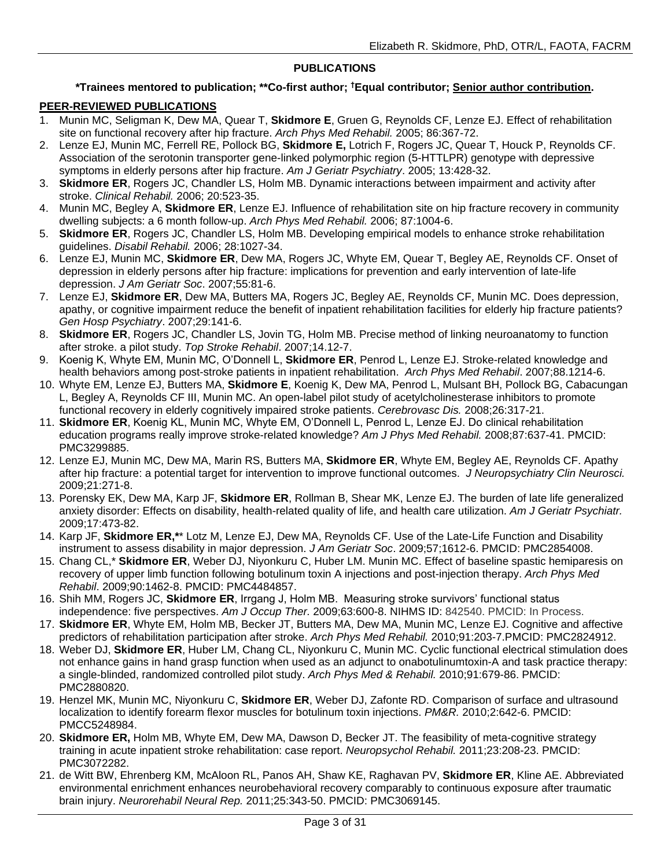#### **PUBLICATIONS**

#### **\*Trainees mentored to publication; \*\*Co-first author; †Equal contributor; Senior author contribution.**

#### **PEER-REVIEWED PUBLICATIONS**

- 1. Munin MC, Seligman K, Dew MA, Quear T, **Skidmore E**, Gruen G, Reynolds CF, Lenze EJ. Effect of rehabilitation site on functional recovery after hip fracture. *Arch Phys Med Rehabil.* 2005; 86:367-72.
- 2. Lenze EJ, Munin MC, Ferrell RE, Pollock BG, **Skidmore E,** Lotrich F, Rogers JC, Quear T, Houck P, Reynolds CF. Association of the serotonin transporter gene-linked polymorphic region (5-HTTLPR) genotype with depressive symptoms in elderly persons after hip fracture. *Am J Geriatr Psychiatry*. 2005; 13:428-32.
- 3. **Skidmore ER**, Rogers JC, Chandler LS, Holm MB. Dynamic interactions between impairment and activity after stroke. *Clinical Rehabil.* 2006; 20:523-35.
- 4. Munin MC, Begley A, **Skidmore ER**, Lenze EJ. Influence of rehabilitation site on hip fracture recovery in community dwelling subjects: a 6 month follow-up. *Arch Phys Med Rehabil.* 2006; 87:1004-6.
- 5. **Skidmore ER**, Rogers JC, Chandler LS, Holm MB. Developing empirical models to enhance stroke rehabilitation guidelines. *Disabil Rehabil.* 2006; 28:1027-34.
- 6. Lenze EJ, Munin MC, **Skidmore ER**, Dew MA, Rogers JC, Whyte EM, Quear T, Begley AE, Reynolds CF. Onset of depression in elderly persons after hip fracture: implications for prevention and early intervention of late-life depression. *J Am Geriatr Soc*. 2007;55:81-6.
- 7. Lenze EJ, **Skidmore ER**, Dew MA, Butters MA, Rogers JC, Begley AE, Reynolds CF, Munin MC. Does depression, apathy, or cognitive impairment reduce the benefit of inpatient rehabilitation facilities for elderly hip fracture patients? *Gen Hosp Psychiatry*. 2007;29:141-6.
- 8. **Skidmore ER**, Rogers JC, Chandler LS, Jovin TG, Holm MB. Precise method of linking neuroanatomy to function after stroke. a pilot study. *Top Stroke Rehabil*. 2007;14.12-7.
- 9. Koenig K, Whyte EM, Munin MC, O'Donnell L, **Skidmore ER**, Penrod L, Lenze EJ. Stroke-related knowledge and health behaviors among post-stroke patients in inpatient rehabilitation. *Arch Phys Med Rehabil*. 2007;88.1214-6.
- 10. Whyte EM, Lenze EJ, Butters MA, **Skidmore E**, Koenig K, Dew MA, Penrod L, Mulsant BH, Pollock BG, Cabacungan L, Begley A, Reynolds CF III, Munin MC. An open-label pilot study of acetylcholinesterase inhibitors to promote functional recovery in elderly cognitively impaired stroke patients. *Cerebrovasc Dis.* 2008;26:317-21.
- 11. **Skidmore ER**, Koenig KL, Munin MC, Whyte EM, O'Donnell L, Penrod L, Lenze EJ. Do clinical rehabilitation education programs really improve stroke-related knowledge? *Am J Phys Med Rehabil.* 2008;87:637-41. PMCID: PMC3299885.
- 12. Lenze EJ, Munin MC, Dew MA, Marin RS, Butters MA, **Skidmore ER**, Whyte EM, Begley AE, Reynolds CF. Apathy after hip fracture: a potential target for intervention to improve functional outcomes. *J Neuropsychiatry Clin Neurosci.*  2009;21:271-8.
- 13. Porensky EK, Dew MA, Karp JF, **Skidmore ER**, Rollman B, Shear MK, Lenze EJ. The burden of late life generalized anxiety disorder: Effects on disability, health-related quality of life, and health care utilization. *Am J Geriatr Psychiatr.*  2009;17:473-82.
- 14. Karp JF, **Skidmore ER,\***\* Lotz M, Lenze EJ, Dew MA, Reynolds CF. Use of the Late-Life Function and Disability instrument to assess disability in major depression. *J Am Geriatr Soc*. 2009;57;1612-6. PMCID: PMC2854008.
- 15. Chang CL,\* **Skidmore ER**, Weber DJ, Niyonkuru C, Huber LM. Munin MC. Effect of baseline spastic hemiparesis on recovery of upper limb function following botulinum toxin A injections and post-injection therapy. *Arch Phys Med Rehabil*. 2009;90:1462-8. PMCID: PMC4484857.
- 16. Shih MM, Rogers JC, **Skidmore ER**, Irrgang J, Holm MB. Measuring stroke survivors' functional status independence: five perspectives. *Am J Occup Ther.* 2009;63:600-8. NIHMS ID: 842540. PMCID: In Process.
- 17. **Skidmore ER**, Whyte EM, Holm MB, Becker JT, Butters MA, Dew MA, Munin MC, Lenze EJ. Cognitive and affective predictors of rehabilitation participation after stroke. *Arch Phys Med Rehabil.* 2010;91:203-7.PMCID: PMC2824912.
- 18. Weber DJ, **Skidmore ER**, Huber LM, Chang CL, Niyonkuru C, Munin MC. Cyclic functional electrical stimulation does not enhance gains in hand grasp function when used as an adjunct to onabotulinumtoxin-A and task practice therapy: a single-blinded, randomized controlled pilot study. *Arch Phys Med & Rehabil.* 2010;91:679-86. PMCID: PMC2880820.
- 19. Henzel MK, Munin MC, Niyonkuru C, **Skidmore ER**, Weber DJ, Zafonte RD. Comparison of surface and ultrasound localization to identify forearm flexor muscles for botulinum toxin injections. *PM&R.* 2010;2:642-6. PMCID: PMCC5248984.
- 20. **Skidmore ER,** Holm MB, Whyte EM, Dew MA, Dawson D, Becker JT. The feasibility of meta-cognitive strategy training in acute inpatient stroke rehabilitation: case report. *Neuropsychol Rehabil.* 2011;23:208-23. PMCID: PMC3072282.
- 21. de Witt BW, Ehrenberg KM, McAloon RL, Panos AH, Shaw KE, Raghavan PV, **Skidmore ER**, Kline AE. Abbreviated environmental enrichment enhances neurobehavioral recovery comparably to continuous exposure after traumatic brain injury. *Neurorehabil Neural Rep.* 2011;25:343-50. PMCID: PMC3069145.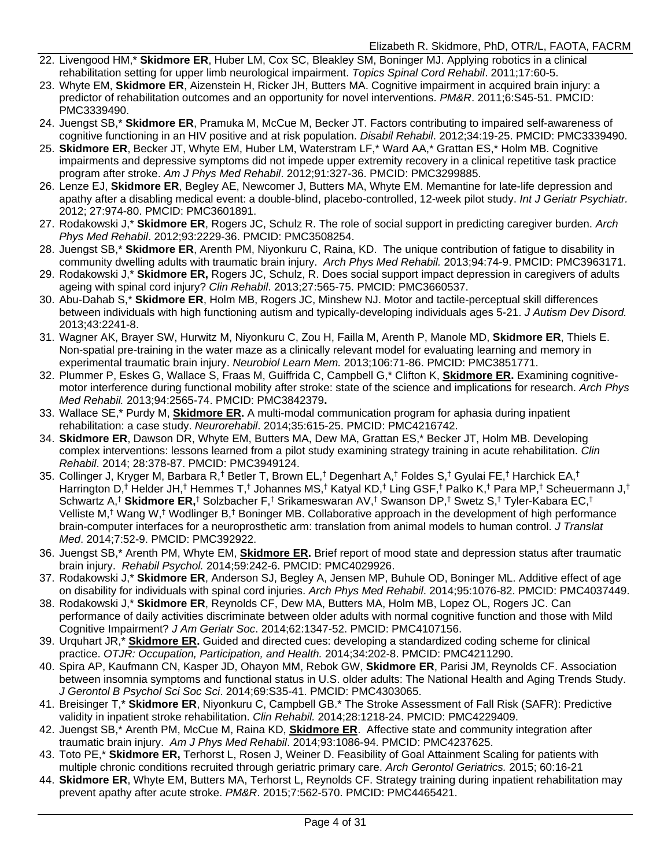- 22. Livengood HM,\* **Skidmore ER**, Huber LM, Cox SC, Bleakley SM, Boninger MJ. Applying robotics in a clinical rehabilitation setting for upper limb neurological impairment. *Topics Spinal Cord Rehabil*. 2011;17:60-5.
- 23. Whyte EM, **Skidmore ER**, Aizenstein H, Ricker JH, Butters MA. Cognitive impairment in acquired brain injury: a predictor of rehabilitation outcomes and an opportunity for novel interventions. *PM&R*. 2011;6:S45-51. PMCID: [PMC3339490.](http://www.ncbi.nlm.nih.gov/pubmed/21703580)
- 24. Juengst SB,\* **Skidmore ER**, Pramuka M, McCue M, Becker JT. Factors contributing to impaired self-awareness of cognitive functioning in an HIV positive and at risk population. *Disabil Rehabil*. 2012;34:19-25. PMCID: PMC3339490.
- 25. **Skidmore ER**, Becker JT, Whyte EM, Huber LM, Waterstram LF,\* Ward AA,\* Grattan ES,\* Holm MB. Cognitive impairments and depressive symptoms did not impede upper extremity recovery in a clinical repetitive task practice program after stroke. *Am J Phys Med Rehabil*. 2012;91:327-36. PMCID: PM[C3299885.](http://www.ncbi.nlm.nih.gov/pmc/articles/PMC3299885/?tool=nihms)
- 26. Lenze EJ, **Skidmore ER**, Begley AE, Newcomer J, Butters MA, Whyte EM. Memantine for late-life depression and apathy after a disabling medical event: a double-blind, placebo-controlled, 12-week pilot study. *Int J Geriatr Psychiatr.* 2012; 27:974-80. PMCID: PMC3601891.
- 27. Rodakowski J,\* **Skidmore ER**, Rogers JC, Schulz R. The role of social support in predicting caregiver burden. *Arch Phys Med Rehabil*. 2012;93:2229-36. PMCID: PMC3508254.
- 28. Juengst SB,\* **Skidmore ER**, Arenth PM, Niyonkuru C, Raina, KD. The unique contribution of fatigue to disability in community dwelling adults with traumatic brain injury. *Arch Phys Med Rehabil.* 2013;94:74-9. PMCID: PMC3963171.
- 29. Rodakowski J,\* **Skidmore ER,** Rogers JC, Schulz, R. Does social support impact depression in caregivers of adults ageing with spinal cord injury? *Clin Rehabil*. 2013;27:565-75. PMCID: PMC3660537.
- 30. Abu-Dahab S,\* **Skidmore ER**, Holm MB, Rogers JC, Minshew NJ. Motor and tactile-perceptual skill differences between individuals with high functioning autism and typically-developing individuals ages 5-21. *J Autism Dev Disord.*  2013;43:2241-8.
- 31. Wagner AK, Brayer SW, Hurwitz M, Niyonkuru C, Zou H, Failla M, Arenth P, Manole MD, **Skidmore ER**, Thiels E. Non-spatial pre-training in the water maze as a clinically relevant model for evaluating learning and memory in experimental traumatic brain injury. *Neurobiol Learn Mem.* 2013;106:71-86. PMCID: PMC3851771.
- 32. Plummer P, Eskes G, Wallace S, Fraas M, Guiffrida C, Campbell G,\* Clifton K, **Skidmore ER.** Examining cognitivemotor interference during functional mobility after stroke: state of the science and implications for research. *Arch Phys Med Rehabil.* 2013;94:2565-74. PMCID: [PMC3842379](http://www.ncbi.nlm.nih.gov/pmc/articles/PMC3842379/?tool=nihms)**.**
- 33. Wallace SE,\* Purdy M, **Skidmore ER.** A multi-modal communication program for aphasia during inpatient rehabilitation: a case study. *Neurorehabil*. 2014;35:615-25. PMCID: PMC4216742.
- 34. **Skidmore ER**, Dawson DR, Whyte EM, Butters MA, Dew MA, Grattan ES,\* Becker JT, Holm MB. Developing complex interventions: lessons learned from a pilot study examining strategy training in acute rehabilitation. *Clin Rehabil*. 2014; 28:378-87. PMCID: PMC3949124.
- 35. Collinger J, Kryger M, Barbara R,† Betler T, Brown EL,† Degenhart A,† Foldes S,† Gyulai FE,† Harchick EA,† Harrington D,† Helder JH,† Hemmes T,† Johannes MS,† Katyal KD,† Ling GSF,† Palko K,† Para MP,† Scheuermann J,† Schwartz A,† **Skidmore ER,**† Solzbacher F,† Srikameswaran AV,† Swanson DP,† Swetz S,† Tyler-Kabara EC,† Velliste M,† Wang W,† Wodlinger B,† Boninger MB. Collaborative approach in the development of high performance brain-computer interfaces for a neuroprosthetic arm: translation from animal models to human control. *J Translat Med*. 2014;7:52-9. PMCID: PMC392922.
- 36. Juengst SB,\* Arenth PM, Whyte EM, **Skidmore ER.** Brief report of mood state and depression status after traumatic brain injury. *Rehabil Psychol.* 2014;59:242-6. PMCID: PMC4029926.
- 37. Rodakowski J,\* **Skidmore ER**, Anderson SJ, Begley A, Jensen MP, Buhule OD, Boninger ML. Additive effect of age on disability for individuals with spinal cord injuries. *Arch Phys Med Rehabil*. 2014;95:1076-82. PMCID: PMC4037449.
- 38. Rodakowski J,\* **Skidmore ER**, Reynolds CF, Dew MA, Butters MA, Holm MB, Lopez OL, Rogers JC. Can performance of daily activities discriminate between older adults with normal cognitive function and those with Mild Cognitive Impairment? *J Am Geriatr Soc*. 2014;62:1347-52. PMCID: PMC4107156.
- 39. Urquhart JR,\* **Skidmore ER.** Guided and directed cues: developing a standardized coding scheme for clinical practice. *OTJR: Occupation, Participation, and Health.* 2014;34:202-8. PMCID: PMC4211290.
- 40. Spira AP, Kaufmann CN, Kasper JD, Ohayon MM, Rebok GW, **Skidmore ER**, Parisi JM, Reynolds CF. Association between insomnia symptoms and functional status in U.S. older adults: The National Health and Aging Trends Study. *J Gerontol B Psychol Sci Soc Sci*. 2014;69:S35-41. PMCID: PMC4303065.
- 41. Breisinger T,\* **Skidmore ER**, Niyonkuru C, Campbell GB.\* The Stroke Assessment of Fall Risk (SAFR): Predictive validity in inpatient stroke rehabilitation. *Clin Rehabil.* 2014;28:1218-24. PMCID: PMC4229409.
- 42. Juengst SB,\* Arenth PM, McCue M, Raina KD, **Skidmore ER**. Affective state and community integration after traumatic brain injury. *Am J Phys Med Rehabil*. 2014;93:1086-94. PMCID: PMC4237625.
- 43. Toto PE,\* **Skidmore ER,** Terhorst L, Rosen J, Weiner D. Feasibility of Goal Attainment Scaling for patients with multiple chronic conditions recruited through geriatric primary care. *Arch Gerontol Geriatrics.* 2015; 60:16-21
- 44. **Skidmore ER**, Whyte EM, Butters MA, Terhorst L, Reynolds CF. Strategy training during inpatient rehabilitation may prevent apathy after acute stroke. *PM&R*. 2015;7:562-570. PMCID: PMC4465421.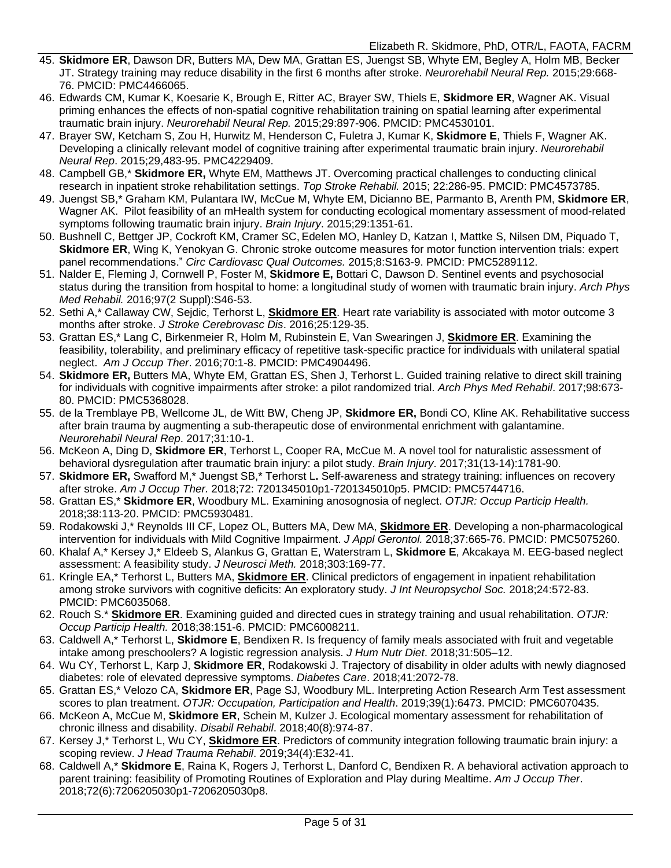- 45. **Skidmore ER**, Dawson DR, Butters MA, Dew MA, Grattan ES, Juengst SB, Whyte EM, Begley A, Holm MB, Becker JT. Strategy training may reduce disability in the first 6 months after stroke. *Neurorehabil Neural Rep.* 2015;29:668- 76. PMCID: PMC4466065.
- 46. Edwards CM, Kumar K, Koesarie K, Brough E, Ritter AC, Brayer SW, Thiels E, **Skidmore ER**, Wagner AK. Visual priming enhances the effects of non-spatial cognitive rehabilitation training on spatial learning after experimental traumatic brain injury. *Neurorehabil Neural Rep.* 2015;29:897-906. PMCID: PMC4530101.
- 47. Brayer SW, Ketcham S, Zou H, Hurwitz M, Henderson C, Fuletra J, Kumar K, **Skidmore E**, Thiels F, Wagner AK. Developing a clinically relevant model of cognitive training after experimental traumatic brain injury. *Neurorehabil Neural Rep*. 2015;29,483-95. PMC4229409.
- 48. Campbell GB,\* **Skidmore ER,** Whyte EM, Matthews JT. Overcoming practical challenges to conducting clinical research in inpatient stroke rehabilitation settings. *Top Stroke Rehabil.* 2015; 22:286-95. PMCID: PMC4573785.
- 49. Juengst SB,\* Graham KM, Pulantara IW, McCue M, Whyte EM, Dicianno BE, Parmanto B, Arenth PM, **Skidmore ER**, Wagner AK. Pilot feasibility of an mHealth system for conducting ecological momentary assessment of mood-related symptoms following traumatic brain injury. *Brain Injury*. 2015;29:1351-61.
- 50. Bushnell C, Bettger JP, Cockroft KM, Cramer SC, Edelen MO, Hanley D, Katzan I, Mattke S, Nilsen DM, Piquado T, **Skidmore ER**, Wing K, Yenokyan G. Chronic stroke outcome measures for motor function intervention trials: expert panel recommendations." *Circ Cardiovasc Qual Outcomes.* 2015;8:S163-9. PMCID: PMC5289112.
- 51. Nalder E, Fleming J, Cornwell P, Foster M, **Skidmore E,** Bottari C, Dawson D. Sentinel events and psychosocial status during the transition from hospital to home: a longitudinal study of women with traumatic brain injury. *Arch Phys Med Rehabil.* 2016;97(2 Suppl):S46-53.
- 52. Sethi A,\* Callaway CW, Sejdic, Terhorst L, **Skidmore ER**. Heart rate variability is associated with motor outcome 3 months after stroke. *J Stroke Cerebrovasc Dis*. 2016;25:129-35.
- 53. Grattan ES,\* Lang C, Birkenmeier R, Holm M, Rubinstein E, Van Swearingen J, **Skidmore ER**. Examining the feasibility, tolerability, and preliminary efficacy of repetitive task-specific practice for individuals with unilateral spatial neglect. *Am J Occup Ther*. 2016;70:1-8. PMCID: PMC4904496.
- 54. **Skidmore ER,** Butters MA, Whyte EM, Grattan ES, Shen J, Terhorst L. Guided training relative to direct skill training for individuals with cognitive impairments after stroke: a pilot randomized trial. *Arch Phys Med Rehabil*. 2017;98:673- 80. PMCID: PMC5368028.
- 55. de la Tremblaye PB, Wellcome JL, de Witt BW, Cheng JP, **Skidmore ER,** Bondi CO, Kline AK. Rehabilitative success after brain trauma by augmenting a sub-therapeutic dose of environmental enrichment with galantamine. *Neurorehabil Neural Rep*. 2017;31:10-1.
- 56. McKeon A, Ding D, **Skidmore ER**, Terhorst L, Cooper RA, McCue M. A novel tool for naturalistic assessment of behavioral dysregulation after traumatic brain injury: a pilot study. *Brain Injury*. 2017;31(13-14):1781-90.
- 57. **Skidmore ER,** Swafford M,\* Juengst SB,\* Terhorst L**.** Self-awareness and strategy training: influences on recovery after stroke. *Am J Occup Ther.* 2018;72: 7201345010p1-7201345010p5. PMCID: PMC5744716.
- 58. Grattan ES,\* **Skidmore ER**, Woodbury ML. Examining anosognosia of neglect. *OTJR: Occup Particip Health.*  2018;38:113-20. PMCID: PMC5930481.
- 59. Rodakowski J,\* Reynolds III CF, Lopez OL, Butters MA, Dew MA, **Skidmore ER**. Developing a non-pharmacological intervention for individuals with Mild Cognitive Impairment. *J Appl Gerontol.* 2018;37:665-76. PMCID: PMC5075260.
- 60. Khalaf A,\* Kersey J,\* Eldeeb S, Alankus G, Grattan E, Waterstram L, **Skidmore E**, Akcakaya M. EEG-based neglect assessment: A feasibility study. *J Neurosci Meth.* 2018;303:169-77.
- 61. Kringle EA,\* Terhorst L, Butters MA, **Skidmore ER**. Clinical predictors of engagement in inpatient rehabilitation among stroke survivors with cognitive deficits: An exploratory study. *J Int Neuropsychol Soc.* 2018;24:572-83. PMCID: PMC6035068.
- 62. Rouch S.\* **Skidmore ER**. Examining guided and directed cues in strategy training and usual rehabilitation. *OTJR: Occup Particip Health.* 2018;38:151-6. PMCID: PMC6008211.
- 63. Caldwell A,\* Terhorst L, **Skidmore E**, Bendixen R. Is frequency of family meals associated with fruit and vegetable intake among preschoolers? A logistic regression analysis. *J Hum Nutr Diet*. 2018;31:505–12.
- 64. Wu CY, Terhorst L, Karp J, **Skidmore ER**, Rodakowski J. Trajectory of disability in older adults with newly diagnosed diabetes: role of elevated depressive symptoms. *Diabetes Care*. 2018;41:2072-78.
- 65. Grattan ES,\* Velozo CA, **Skidmore ER**, Page SJ, Woodbury ML. Interpreting Action Research Arm Test assessment scores to plan treatment. *OTJR: Occupation, Participation and Health*. 2019;39(1):6473. PMCID: PMC6070435.
- 66. McKeon A, McCue M, **Skidmore ER**, Schein M, Kulzer J. Ecological momentary assessment for rehabilitation of chronic illness and disability. *Disabil Rehabil*. 2018;40(8):974-87.
- 67. Kersey J,\* Terhorst L, Wu CY, **Skidmore ER**. Predictors of community integration following traumatic brain injury: a scoping review. *J Head Trauma Rehabil*. 2019;34(4):E32-41.
- 68. Caldwell A,\* **Skidmore E**, Raina K, Rogers J, Terhorst L, Danford C, Bendixen R. A behavioral activation approach to parent training: feasibility of Promoting Routines of Exploration and Play during Mealtime. *Am J Occup Ther*. 2018;72(6):7206205030p1-7206205030p8.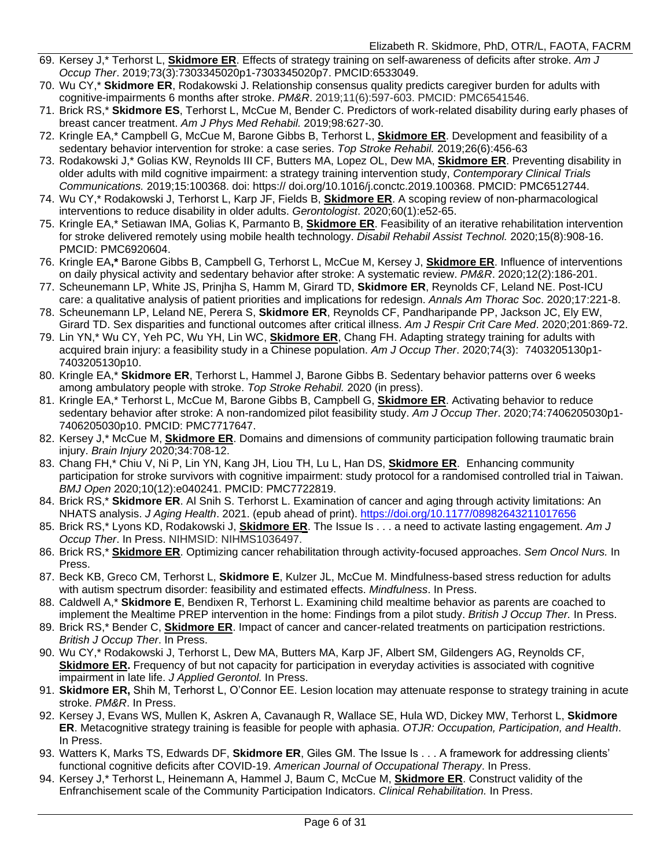- 69. Kersey J,\* Terhorst L, **Skidmore ER**. Effects of strategy training on self-awareness of deficits after stroke. *Am J Occup Ther*. 2019;73(3):7303345020p1-7303345020p7. PMCID:6533049.
- 70. Wu CY,\* **Skidmore ER**, Rodakowski J. Relationship consensus quality predicts caregiver burden for adults with cognitive-impairments 6 months after stroke. *PM&R*. 2019;11(6):597-603. PMCID: PMC6541546.
- 71. Brick RS,\* **Skidmore ES**, Terhorst L, McCue M, Bender C. Predictors of work-related disability during early phases of breast cancer treatment. *Am J Phys Med Rehabil.* 2019;98*:*627-30.
- 72. Kringle EA,\* Campbell G, McCue M, Barone Gibbs B, Terhorst L, **Skidmore ER**. Development and feasibility of a sedentary behavior intervention for stroke: a case series. *Top Stroke Rehabil.* 2019;26(6):456-63
- 73. Rodakowski J,\* Golias KW, Reynolds III CF, Butters MA, Lopez OL, Dew MA, **Skidmore ER**. Preventing disability in older adults with mild cognitive impairment: a strategy training intervention study, *Contemporary Clinical Trials Communications.* 2019;15:100368. doi: https:// doi.org/10.1016/j.conctc.2019.100368. PMCID: PMC6512744.
- 74. Wu CY,\* Rodakowski J, Terhorst L, Karp JF, Fields B, **Skidmore ER**. A scoping review of non-pharmacological interventions to reduce disability in older adults. *Gerontologist*. 2020;60(1):e52-65.
- 75. Kringle EA,\* Setiawan IMA, Golias K, Parmanto B, **Skidmore ER**. Feasibility of an iterative rehabilitation intervention for stroke delivered remotely using mobile health technology. *Disabil Rehabil Assist Technol.* 2020;15(8):908-16. PMCID: PMC6920604.
- 76. Kringle EA**,\*** Barone Gibbs B, Campbell G, Terhorst L, McCue M, Kersey J, **Skidmore ER**. Influence of interventions on daily physical activity and sedentary behavior after stroke: A systematic review. *PM&R*. 2020;12(2):186-201.
- 77. Scheunemann LP, White JS, Prinjha S, Hamm M, Girard TD, **Skidmore ER**, Reynolds CF, Leland NE. Post-ICU care: a qualitative analysis of patient priorities and implications for redesign. *Annals Am Thorac Soc*. 2020;17:221-8.
- 78. Scheunemann LP, Leland NE, Perera S, **Skidmore ER**, Reynolds CF, Pandharipande PP, Jackson JC, Ely EW, Girard TD. Sex disparities and functional outcomes after critical illness. *Am J Respir Crit Care Med*. 2020;201:869-72.
- 79. Lin YN,\* Wu CY, Yeh PC, Wu YH, Lin WC, **Skidmore ER**, Chang FH. Adapting strategy training for adults with acquired brain injury: a feasibility study in a Chinese population. *Am J Occup Ther*. 2020;74(3): 7403205130p1- 7403205130p10.
- 80. Kringle EA,\* **Skidmore ER**, Terhorst L, Hammel J, Barone Gibbs B. Sedentary behavior patterns over 6 weeks among ambulatory people with stroke. *Top Stroke Rehabil.* 2020 (in press).
- 81. Kringle EA,\* Terhorst L, McCue M, Barone Gibbs B, Campbell G, **Skidmore ER**. Activating behavior to reduce sedentary behavior after stroke: A non-randomized pilot feasibility study. *Am J Occup Ther*. 2020;74:7406205030p1- 7406205030p10. PMCID: PMC7717647.
- 82. Kersey J,\* McCue M, **Skidmore ER**. Domains and dimensions of community participation following traumatic brain injury. *Brain Injury* 2020;34:708-12.
- 83. Chang FH,\* Chiu V, Ni P, Lin YN, Kang JH, Liou TH, Lu L, Han DS, **Skidmore ER**. Enhancing community participation for stroke survivors with cognitive impairment: study protocol for a randomised controlled trial in Taiwan. *BMJ Open* 2020;10(12):e040241. PMCID: PMC7722819.
- 84. Brick RS,\* **Skidmore ER**. Al Snih S. Terhorst L. Examination of cancer and aging through activity limitations: An NHATS analysis. *J Aging Health*. 2021. (epub ahead of print). [https://doi.org/10.1177/08982643211017656](https://nam12.safelinks.protection.outlook.com/?url=https%3A%2F%2Fdoi.org%2F10.1177%2F08982643211017656&data=04%7C01%7Cskidmore%40pitt.edu%7C29aa2b651b79480fd07508d9118209d9%7C9ef9f489e0a04eeb87cc3a526112fd0d%7C1%7C1%7C637560072475384041%7CUnknown%7CTWFpbGZsb3d8eyJWIjoiMC4wLjAwMDAiLCJQIjoiV2luMzIiLCJBTiI6Ik1haWwiLCJXVCI6Mn0%3D%7C2000&sdata=Gr%2BcLxqPrbAQT6uHW%2FM22ROAfMOxcoFQ3p9CzGpONGE%3D&reserved=0)
- 85. Brick RS,\* Lyons KD, Rodakowski J, **Skidmore ER**. The Issue Is . . . a need to activate lasting engagement. *Am J Occup Ther*. In Press. NIHMSID: NIHMS1036497.
- 86. Brick RS,\* **Skidmore ER**. Optimizing cancer rehabilitation through activity-focused approaches. *Sem Oncol Nurs.* In Press.
- 87. Beck KB, Greco CM, Terhorst L, **Skidmore E**, Kulzer JL, McCue M. Mindfulness-based stress reduction for adults with autism spectrum disorder: feasibility and estimated effects. *Mindfulness*. In Press.
- 88. Caldwell A,\* **Skidmore E**, Bendixen R, Terhorst L. Examining child mealtime behavior as parents are coached to implement the Mealtime PREP intervention in the home: Findings from a pilot study. *British J Occup Ther.* In Press.
- 89. Brick RS,\* Bender C, **Skidmore ER**. Impact of cancer and cancer-related treatments on participation restrictions. *British J Occup Ther*. In Press.
- 90. Wu CY,\* Rodakowski J, Terhorst L, Dew MA, Butters MA, Karp JF, Albert SM, Gildengers AG, Reynolds CF, **Skidmore ER.** Frequency of but not capacity for participation in everyday activities is associated with cognitive impairment in late life. *J Applied Gerontol.* In Press.
- 91. **Skidmore ER,** Shih M, Terhorst L, O'Connor EE. Lesion location may attenuate response to strategy training in acute stroke. *PM&R*. In Press.
- 92. Kersey J, Evans WS, Mullen K, Askren A, Cavanaugh R, Wallace SE, Hula WD, Dickey MW, Terhorst L, **Skidmore ER**. Metacognitive strategy training is feasible for people with aphasia. *OTJR: Occupation, Participation, and Health*. In Press.
- 93. Watters K, Marks TS, Edwards DF, **Skidmore ER**, Giles GM. The Issue Is . . . A framework for addressing clients' functional cognitive deficits after COVID-19. *American Journal of Occupational Therapy*. In Press.
- 94. Kersey J,\* Terhorst L, Heinemann A, Hammel J, Baum C, McCue M, **Skidmore ER**. Construct validity of the Enfranchisement scale of the Community Participation Indicators. *Clinical Rehabilitation.* In Press.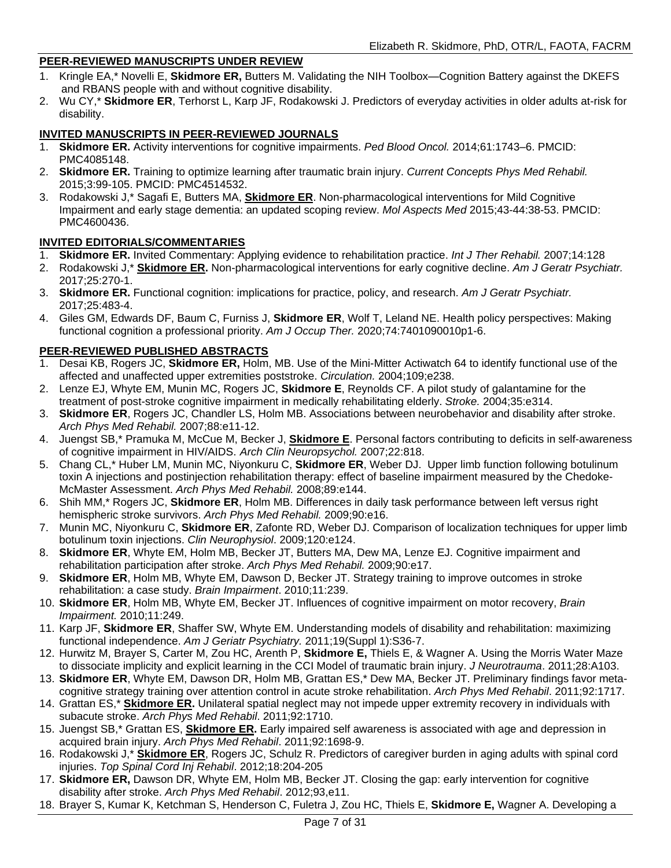#### **PEER-REVIEWED MANUSCRIPTS UNDER REVIEW**

- 1. Kringle EA,\* Novelli E, **Skidmore ER,** Butters M. Validating the NIH Toolbox—Cognition Battery against the DKEFS and RBANS people with and without cognitive disability.
- 2. Wu CY,\* **Skidmore ER**, Terhorst L, Karp JF, Rodakowski J. Predictors of everyday activities in older adults at-risk for disability.

#### **INVITED MANUSCRIPTS IN PEER-REVIEWED JOURNALS**

- 1. **Skidmore ER.** Activity interventions for cognitive impairments. *Ped Blood Oncol.* 2014;61:1743–6. PMCID: PMC4085148.
- 2. **Skidmore ER.** Training to optimize learning after traumatic brain injury. *Current Concepts Phys Med Rehabil.* 2015;3:99-105. PMCID: PMC4514532.
- 3. Rodakowski J,\* Sagafi E, Butters MA, **Skidmore ER**. Non-pharmacological interventions for Mild Cognitive Impairment and early stage dementia: an updated scoping review. *Mol Aspects Med* 2015;43-44:38-53. PMCID: PMC4600436.

#### **INVITED EDITORIALS/COMMENTARIES**

- 1. **Skidmore ER.** Invited Commentary: Applying evidence to rehabilitation practice. *Int J Ther Rehabil.* 2007;14:128
- 2. Rodakowski J,\* **Skidmore ER.** Non-pharmacological interventions for early cognitive decline. *Am J Geratr Psychiatr.* 2017;25:270-1.
- 3. **Skidmore ER.** Functional cognition: implications for practice, policy, and research. *Am J Geratr Psychiatr.* 2017;25:483-4.
- 4. Giles GM, Edwards DF, Baum C, Furniss J, **Skidmore ER**, Wolf T, Leland NE. Health policy perspectives: Making functional cognition a professional priority. *Am J Occup Ther.* 2020;74:7401090010p1-6.

#### **PEER-REVIEWED PUBLISHED ABSTRACTS**

- 1. Desai KB, Rogers JC, **Skidmore ER,** Holm, MB. Use of the Mini-Mitter Actiwatch 64 to identify functional use of the affected and unaffected upper extremities poststroke. *Circulation.* 2004;109;e238.
- 2. Lenze EJ, Whyte EM, Munin MC, Rogers JC, **Skidmore E**, Reynolds CF. [A pilot study of galantamine for the](https://sslvpn.pitt.edu/,DanaInfo=apps.isiknowledge.com+full_record.do?product=WOS&search_mode=GeneralSearch&qid=1&SID=3DbKecBL646CJJne6J9&page=2&doc=18)  [treatment of post-stroke cognitive impairment in medically rehabilitating elderly.](https://sslvpn.pitt.edu/,DanaInfo=apps.isiknowledge.com+full_record.do?product=WOS&search_mode=GeneralSearch&qid=1&SID=3DbKecBL646CJJne6J9&page=2&doc=18) *Stroke.* 2004;35:e314.
- 3. **Skidmore ER**, Rogers JC, Chandler LS, Holm MB. Associations between neurobehavior and disability after stroke. *Arch Phys Med Rehabil.* 2007;88:e11-12.
- 4. [Juengst SB,](https://sslvpn.pitt.edu/,DanaInfo=apps.isiknowledge.com+DaisyOneClickSearch.do?product=WOS&search_mode=DaisyOneClickSearch&db_id=&SID=3DbKecBL646CJJne6J9&name=Juengst%20SB&ut=000250356800064&pos=1)\* [Pramuka M,](https://sslvpn.pitt.edu/,DanaInfo=apps.isiknowledge.com+DaisyOneClickSearch.do?product=WOS&search_mode=DaisyOneClickSearch&db_id=&SID=3DbKecBL646CJJne6J9&name=Pramuka%20M&ut=000250356800064&pos=2) [McCue M,](https://sslvpn.pitt.edu/,DanaInfo=apps.isiknowledge.com+DaisyOneClickSearch.do?product=WOS&search_mode=DaisyOneClickSearch&db_id=&SID=3DbKecBL646CJJne6J9&name=Mccue%20M&ut=000250356800064&pos=3) [Becker J,](https://sslvpn.pitt.edu/,DanaInfo=apps.isiknowledge.com+DaisyOneClickSearch.do?product=WOS&search_mode=DaisyOneClickSearch&db_id=&SID=3DbKecBL646CJJne6J9&name=Becker%20J&ut=000250356800064&pos=4) **[Skidmore E](https://sslvpn.pitt.edu/,DanaInfo=apps.isiknowledge.com+DaisyOneClickSearch.do?product=WOS&search_mode=DaisyOneClickSearch&db_id=&SID=3DbKecBL646CJJne6J9&name=Skidmore%20E&ut=000250356800064&pos=5)**. Personal factors contributing to deficits in self-awareness of cognitive impairment in HIV/AIDS. *Arch Clin Neuropsychol.* 2007;22:818.
- 5. Chang CL,\* Huber LM, Munin MC, Niyonkuru C, **Skidmore ER**, Weber DJ. Upper limb function following botulinum toxin A injections and postinjection rehabilitation therapy: effect of baseline impairment measured by the Chedoke-McMaster Assessment. *Arch Phys Med Rehabil.* 2008;89:e144.
- 6. Shih MM,\* Rogers JC, **Skidmore ER**, Holm MB. Differences in daily task performance between left versus right hemispheric stroke survivors. *Arch Phys Med Rehabil.* 2009;90:e16.
- 7. Munin MC, Niyonkuru C, **Skidmore ER**, Zafonte RD, Weber DJ. Comparison of localization techniques for upper limb botulinum toxin injections. *Clin Neurophysiol*. 2009;120:e124.
- 8. **Skidmore ER**, Whyte EM, Holm MB, Becker JT, Butters MA, Dew MA, Lenze EJ. Cognitive impairment and rehabilitation participation after stroke. *Arch Phys Med Rehabil.* 2009;90:e17.
- 9. **Skidmore ER**, Holm MB, Whyte EM, Dawson D, Becker JT. Strategy training to improve outcomes in stroke rehabilitation: a case study. *Brain Impairment*. 2010;11:239.
- 10. **Skidmore ER**, Holm MB, Whyte EM, Becker JT. Influences of cognitive impairment on motor recovery, *Brain Impairment.* 2010;11:249.
- 11. Karp JF, **Skidmore ER**, Shaffer SW, Whyte EM. Understanding models of disability and rehabilitation: maximizing functional independence. *Am J Geriatr Psychiatry.* 2011;19(Suppl 1):S36-7.
- 12. Hurwitz M, Brayer S, Carter M, Zou HC, Arenth P, **Skidmore E,** Thiels E, & Wagner A. Using the Morris Water Maze to dissociate implicity and explicit learning in the CCI Model of traumatic brain injury. *J Neurotrauma*. 2011;28:A103.
- 13. **Skidmore ER**, Whyte EM, Dawson DR, Holm MB, Grattan ES,\* Dew MA, Becker JT. Preliminary findings favor metacognitive strategy training over attention control in acute stroke rehabilitation. *Arch Phys Med Rehabil*. 2011;92:1717.
- 14. Grattan ES,\* **Skidmore ER.** Unilateral spatial neglect may not impede upper extremity recovery in individuals with subacute stroke. *Arch Phys Med Rehabil*. 2011;92:1710.
- 15. Juengst SB,\* Grattan ES, **Skidmore ER.** Early impaired self awareness is associated with age and depression in acquired brain injury. *Arch Phys Med Rehabil*. 2011;92:1698-9.
- 16. Rodakowski J,\* **Skidmore ER**, Rogers JC, Schulz R. Predictors of caregiver burden in aging adults with spinal cord injuries. *Top Spinal Cord Inj Rehabil*. 2012;18:204-205
- 17. **Skidmore ER,** Dawson DR, Whyte EM, Holm MB, Becker JT. Closing the gap: early intervention for cognitive disability after stroke. *Arch Phys Med Rehabil*. 2012;93,e11.
- 18. Brayer S, Kumar K, Ketchman S, Henderson C, Fuletra J, Zou HC, Thiels E, **Skidmore E,** Wagner A. Developing a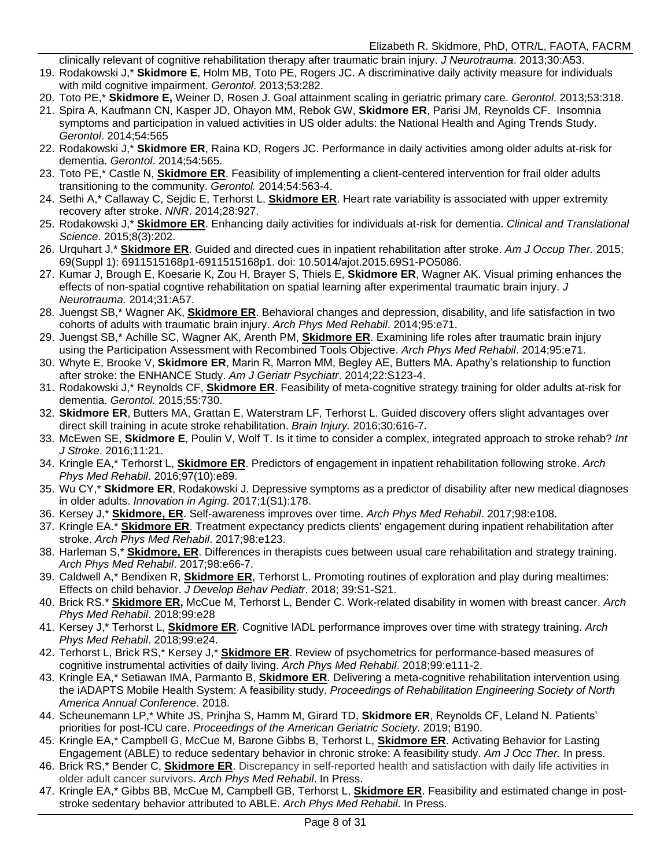clinically relevant of cognitive rehabilitation therapy after traumatic brain injury. *J Neurotrauma*. 2013;30:A53.

- 19. Rodakowski J,\* **Skidmore E**, Holm MB, Toto PE, Rogers JC. A discriminative daily activity measure for individuals with mild cognitive impairment. *Gerontol*. 2013;53:282.
- 20. Toto PE,\* **Skidmore E,** Weiner D, Rosen J. Goal attainment scaling in geriatric primary care. *Gerontol*. 2013;53:318.
- 21. Spira A, Kaufmann CN, Kasper JD, Ohayon MM, Rebok GW, **Skidmore ER**, Parisi JM, Reynolds CF. Insomnia symptoms and participation in valued activities in US older adults: the National Health and Aging Trends Study. *Gerontol*. 2014;54:565
- 22. Rodakowski J,\* **Skidmore ER**, Raina KD, Rogers JC. Performance in daily activities among older adults at-risk for dementia. *Gerontol*. 2014;54:565.
- 23. Toto PE,\* Castle N, **Skidmore ER**. Feasibility of implementing a client-centered intervention for frail older adults transitioning to the community. *Gerontol.* 2014;54:563-4.
- 24. Sethi A,\* Callaway C, Sejdic E, Terhorst L, **Skidmore ER**. Heart rate variability is associated with upper extremity recovery after stroke. *NNR*. 2014;28:927.
- 25. Rodakowski J,\* **Skidmore ER**. Enhancing daily activities for individuals at-risk for dementia. *Clinical and Translational Science.* 2015;8(3):202.
- 26. Urquhart J,\* **Skidmore ER**. Guided and directed cues in inpatient rehabilitation after stroke. *Am J Occup Ther.* 2015; 69(Suppl 1): 6911515168p1-6911515168p1. doi: 10.5014/ajot.2015.69S1-PO5086.
- 27. Kumar J, Brough E, Koesarie K, Zou H, Brayer S, Thiels E, **Skidmore ER**, Wagner AK. Visual priming enhances the effects of non-spatial cogntive rehabilitation on spatial learning after experimental traumatic brain injury. *J Neurotrauma.* 2014;31:A57.
- 28. Juengst SB,\* Wagner AK, **Skidmore ER**. Behavioral changes and depression, disability, and life satisfaction in two cohorts of adults with traumatic brain injury. *Arch Phys Med Rehabil*. 2014;95:e71.
- 29. Juengst SB,\* Achille SC, Wagner AK, Arenth PM, **Skidmore ER**. Examining life roles after traumatic brain injury using the Participation Assessment with Recombined Tools Objective. *Arch Phys Med Rehabil*. 2014;95:e71.
- 30. Whyte E, Brooke V, **Skidmore ER**, Marin R, Marron MM, Begley AE, Butters MA. Apathy's relationship to function after stroke: the ENHANCE Study. *Am J Geriatr Psychiatr*. 2014;22:S123-4.
- 31. Rodakowski J,\* Reynolds CF, **Skidmore ER**. Feasibility of meta-cognitive strategy training for older adults at-risk for dementia. *Gerontol.* 2015;55:730.
- 32. **Skidmore ER**, Butters MA, Grattan E, Waterstram LF, Terhorst L. Guided discovery offers slight advantages over direct skill training in acute stroke rehabilitation. *Brain Injury.* 2016;30:616-7.
- 33. McEwen SE, **Skidmore E**, Poulin V, Wolf T. Is it time to consider a complex, integrated approach to stroke rehab? *Int J Stroke*. 2016;11:21.
- 34. Kringle EA,\* Terhorst L, **Skidmore ER**. Predictors of engagement in inpatient rehabilitation following stroke. *Arch Phys Med Rehabil*. 2016;97(10):e89.
- 35. Wu CY,\* **Skidmore ER**, Rodakowski J. Depressive symptoms as a predictor of disability after new medical diagnoses in older adults. *Innovation in Aging*. 2017;1(S1):178.
- 36. Kersey J,\* **Skidmore, ER**. Self-awareness improves over time. *Arch Phys Med Rehabil*. 2017;98:e108.
- 37. Kringle EA.\* **Skidmore ER**. Treatment expectancy predicts clients' engagement during inpatient rehabilitation after stroke. *Arch Phys Med Rehabil*. 2017;98:e123.
- 38. Harleman S,\* **Skidmore, ER**. Differences in therapists cues between usual care rehabilitation and strategy training. *Arch Phys Med Rehabil*. 2017;98:e66-7.
- 39. Caldwell A,\* Bendixen R, **Skidmore ER**, Terhorst L. Promoting routines of exploration and play during mealtimes: Effects on child behavior. *J Develop Behav Pediatr*. 2018; 39:S1-S21.
- 40. Brick RS.\* **Skidmore ER,** McCue M, Terhorst L, Bender C. Work-related disability in women with breast cancer. *Arch Phys Med Rehabil*. 2018;99:e28
- 41. Kersey J,\* Terhorst L, **Skidmore ER**. Cognitive IADL performance improves over time with strategy training. *Arch Phys Med Rehabil*. 2018;99:e24.
- 42. Terhorst L, Brick RS,\* Kersey J,\* **Skidmore ER**. Review of psychometrics for performance-based measures of cognitive instrumental activities of daily living. *Arch Phys Med Rehabil*. 2018;99:e111-2.
- 43. Kringle EA,\* Setiawan IMA, Parmanto B, **Skidmore ER**. Delivering a meta-cognitive rehabilitation intervention using the iADAPTS Mobile Health System: A feasibility study. *Proceedings of Rehabilitation Engineering Society of North America Annual Conference*. 2018.
- 44. Scheunemann LP,\* White JS, Prinjha S, Hamm M, Girard TD, **Skidmore ER**, Reynolds CF, Leland N. Patients' priorities for post-ICU care. *Proceedings of the American Geriatric Society*. 2019; B190.
- 45. Kringle EA,\* Campbell G, McCue M, Barone Gibbs B, Terhorst L, **Skidmore ER**. Activating Behavior for Lasting Engagement (ABLE) to reduce sedentary behavior in chronic stroke: A feasibility study. *Am J Occ Ther.* In press.
- 46. Brick RS,\* Bender C, **Skidmore ER**. Discrepancy in self-reported health and satisfaction with daily life activities in older adult cancer survivors. *Arch Phys Med Rehabil*. In Press.
- 47. Kringle EA,\* Gibbs BB, McCue M, Campbell GB, Terhorst L, **Skidmore ER**. Feasibility and estimated change in poststroke sedentary behavior attributed to ABLE. *Arch Phys Med Rehabil*. In Press.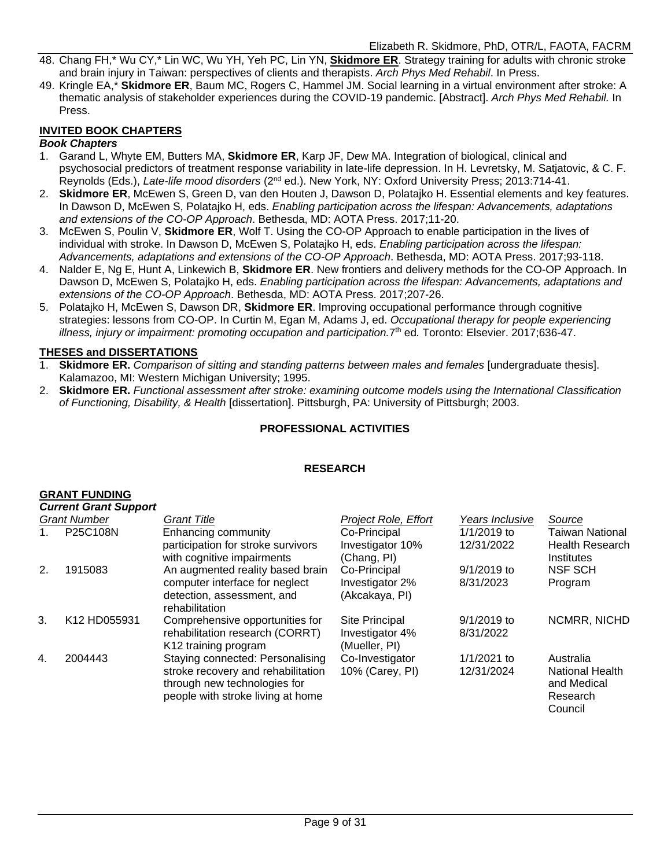- 48. Chang FH,\* Wu CY,\* Lin WC, Wu YH, Yeh PC, Lin YN, **Skidmore ER**. Strategy training for adults with chronic stroke and brain injury in Taiwan: perspectives of clients and therapists. *Arch Phys Med Rehabil*. In Press.
- 49. Kringle EA,\* **Skidmore ER**, Baum MC, Rogers C, Hammel JM. Social learning in a virtual environment after stroke: A thematic analysis of stakeholder experiences during the COVID-19 pandemic. [Abstract]. *Arch Phys Med Rehabil.* In Press.

#### **INVITED BOOK CHAPTERS**

#### *Book Chapters*

- 1. Garand L, Whyte EM, Butters MA, **Skidmore ER**, Karp JF, Dew MA. Integration of biological, clinical and psychosocial predictors of treatment response variability in late-life depression. In H. Levretsky, M. Satjatovic, & C. F. Reynolds (Eds.), *Late-life mood disorders* (2nd ed.). New York, NY: Oxford University Press; 2013:714-41.
- 2. **Skidmore ER**, McEwen S, Green D, van den Houten J, Dawson D, Polatajko H. Essential elements and key features. In Dawson D, McEwen S, Polatajko H, eds. *Enabling participation across the lifespan: Advancements, adaptations and extensions of the CO-OP Approach*. Bethesda, MD: AOTA Press. 2017;11-20.
- 3. McEwen S, Poulin V, **Skidmore ER**, Wolf T. Using the CO-OP Approach to enable participation in the lives of individual with stroke. In Dawson D, McEwen S, Polatajko H, eds. *Enabling participation across the lifespan: Advancements, adaptations and extensions of the CO-OP Approach*. Bethesda, MD: AOTA Press. 2017;93-118.
- 4. Nalder E, Ng E, Hunt A, Linkewich B, **Skidmore ER**. New frontiers and delivery methods for the CO-OP Approach. In Dawson D, McEwen S, Polatajko H, eds. *Enabling participation across the lifespan: Advancements, adaptations and extensions of the CO-OP Approach*. Bethesda, MD: AOTA Press. 2017;207-26.
- 5. Polatajko H, McEwen S, Dawson DR, **Skidmore ER**. Improving occupational performance through cognitive strategies: lessons from CO-OP. In Curtin M, Egan M, Adams J, ed. *Occupational therapy for people experiencing*  illness, injury or impairment: promoting occupation and participation.7<sup>th</sup> ed. Toronto: Elsevier. 2017;636-47.

#### **THESES and DISSERTATIONS**

- 1. **Skidmore ER.** *Comparison of sitting and standing patterns between males and females* [undergraduate thesis]. Kalamazoo, MI: Western Michigan University; 1995.
- 2. **Skidmore ER.** *Functional assessment after stroke: examining outcome models using the International Classification of Functioning, Disability, & Health* [dissertation]. Pittsburgh, PA: University of Pittsburgh; 2003.

#### **PROFESSIONAL ACTIVITIES**

#### **RESEARCH**

#### **GRANT FUNDING**

|    | <b>Current Grant Support</b> |                                                                                                                                             |                                                    |                            |                                                                           |  |  |
|----|------------------------------|---------------------------------------------------------------------------------------------------------------------------------------------|----------------------------------------------------|----------------------------|---------------------------------------------------------------------------|--|--|
|    | <b>Grant Number</b>          | <b>Grant Title</b>                                                                                                                          | Project Role, Effort                               | Years Inclusive            | Source                                                                    |  |  |
|    | P25C108N                     | Enhancing community<br>participation for stroke survivors<br>with cognitive impairments                                                     | Co-Principal<br>Investigator 10%<br>(Chang, PI)    | 1/1/2019 to<br>12/31/2022  | <b>Taiwan National</b><br><b>Health Research</b><br>Institutes            |  |  |
| 2. | 1915083                      | An augmented reality based brain<br>computer interface for neglect<br>detection, assessment, and<br>rehabilitation                          | Co-Principal<br>Investigator 2%<br>(Akcakaya, PI)  | $9/1/2019$ to<br>8/31/2023 | <b>NSF SCH</b><br>Program                                                 |  |  |
| 3. | K12 HD055931                 | Comprehensive opportunities for<br>rehabilitation research (CORRT)<br>K12 training program                                                  | Site Principal<br>Investigator 4%<br>(Mueller, PI) | $9/1/2019$ to<br>8/31/2022 | NCMRR, NICHD                                                              |  |  |
| 4. | 2004443                      | Staying connected: Personalising<br>stroke recovery and rehabilitation<br>through new technologies for<br>people with stroke living at home | Co-Investigator<br>10% (Carey, PI)                 | 1/1/2021 to<br>12/31/2024  | Australia<br><b>National Health</b><br>and Medical<br>Research<br>Council |  |  |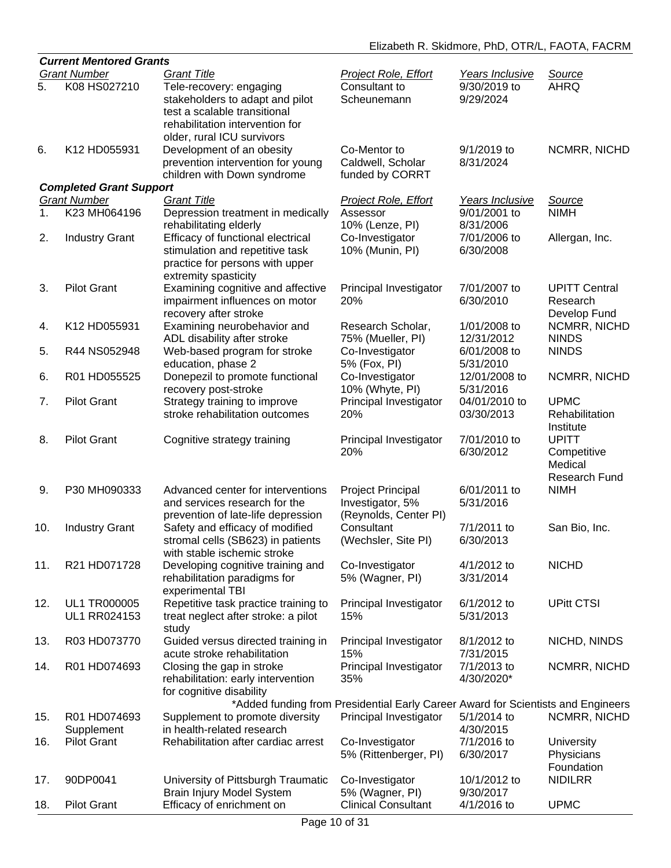|                | <b>Current Mentored Grants</b> |                                                                       |                                                                                  |                 |                      |  |  |
|----------------|--------------------------------|-----------------------------------------------------------------------|----------------------------------------------------------------------------------|-----------------|----------------------|--|--|
|                | <b>Grant Number</b>            | <b>Grant Title</b>                                                    | <b>Project Role, Effort</b>                                                      | Years Inclusive | Source               |  |  |
| 5.             | K08 HS027210                   | Tele-recovery: engaging                                               | Consultant to                                                                    | 9/30/2019 to    | <b>AHRQ</b>          |  |  |
|                |                                | stakeholders to adapt and pilot                                       | Scheunemann                                                                      | 9/29/2024       |                      |  |  |
|                |                                | test a scalable transitional                                          |                                                                                  |                 |                      |  |  |
|                |                                | rehabilitation intervention for                                       |                                                                                  |                 |                      |  |  |
|                |                                | older, rural ICU survivors                                            |                                                                                  |                 |                      |  |  |
| 6.             | K12 HD055931                   | Development of an obesity                                             | Co-Mentor to                                                                     | 9/1/2019 to     | NCMRR, NICHD         |  |  |
|                |                                | prevention intervention for young                                     | Caldwell, Scholar                                                                | 8/31/2024       |                      |  |  |
|                | <b>Completed Grant Support</b> | children with Down syndrome                                           | funded by CORRT                                                                  |                 |                      |  |  |
|                | <b>Grant Number</b>            | <b>Grant Title</b>                                                    | Project Role, Effort                                                             | Years Inclusive | Source               |  |  |
| 1 <sub>1</sub> | K23 MH064196                   | Depression treatment in medically                                     | Assessor                                                                         | 9/01/2001 to    | <b>NIMH</b>          |  |  |
|                |                                | rehabilitating elderly                                                | 10% (Lenze, PI)                                                                  | 8/31/2006       |                      |  |  |
| 2.             | <b>Industry Grant</b>          | Efficacy of functional electrical                                     | Co-Investigator                                                                  | 7/01/2006 to    | Allergan, Inc.       |  |  |
|                |                                | stimulation and repetitive task                                       | 10% (Munin, PI)                                                                  | 6/30/2008       |                      |  |  |
|                |                                | practice for persons with upper                                       |                                                                                  |                 |                      |  |  |
|                |                                | extremity spasticity                                                  |                                                                                  |                 |                      |  |  |
| 3.             | <b>Pilot Grant</b>             | Examining cognitive and affective                                     | Principal Investigator                                                           | 7/01/2007 to    | <b>UPITT Central</b> |  |  |
|                |                                | impairment influences on motor                                        | 20%                                                                              | 6/30/2010       | Research             |  |  |
|                |                                | recovery after stroke                                                 |                                                                                  |                 | Develop Fund         |  |  |
| 4.             | K12 HD055931                   | Examining neurobehavior and                                           | Research Scholar,                                                                | 1/01/2008 to    | NCMRR, NICHD         |  |  |
|                |                                | ADL disability after stroke                                           | 75% (Mueller, PI)                                                                | 12/31/2012      | <b>NINDS</b>         |  |  |
| 5.             | R44 NS052948                   | Web-based program for stroke                                          | Co-Investigator                                                                  | 6/01/2008 to    | <b>NINDS</b>         |  |  |
|                |                                | education, phase 2                                                    | 5% (Fox, PI)                                                                     | 5/31/2010       |                      |  |  |
| 6.             | R01 HD055525                   | Donepezil to promote functional                                       | Co-Investigator                                                                  | 12/01/2008 to   | NCMRR, NICHD         |  |  |
|                |                                | recovery post-stroke                                                  | 10% (Whyte, PI)                                                                  | 5/31/2016       |                      |  |  |
| 7.             | <b>Pilot Grant</b>             | Strategy training to improve                                          | Principal Investigator                                                           | 04/01/2010 to   | <b>UPMC</b>          |  |  |
|                |                                | stroke rehabilitation outcomes                                        | 20%                                                                              | 03/30/2013      | Rehabilitation       |  |  |
|                |                                |                                                                       |                                                                                  |                 | Institute            |  |  |
| 8.             | <b>Pilot Grant</b>             | Cognitive strategy training                                           | Principal Investigator                                                           | 7/01/2010 to    | <b>UPITT</b>         |  |  |
|                |                                |                                                                       | 20%                                                                              | 6/30/2012       | Competitive          |  |  |
|                |                                |                                                                       |                                                                                  |                 | Medical              |  |  |
|                |                                |                                                                       |                                                                                  |                 | <b>Research Fund</b> |  |  |
| 9.             | P30 MH090333                   | Advanced center for interventions                                     | <b>Project Principal</b>                                                         | 6/01/2011 to    | <b>NIMH</b>          |  |  |
|                |                                | and services research for the                                         | Investigator, 5%                                                                 | 5/31/2016       |                      |  |  |
| 10.            |                                | prevention of late-life depression<br>Safety and efficacy of modified | (Reynolds, Center PI)<br>Consultant                                              | 7/1/2011 to     | San Bio, Inc.        |  |  |
|                | <b>Industry Grant</b>          | stromal cells (SB623) in patients                                     | (Wechsler, Site PI)                                                              | 6/30/2013       |                      |  |  |
|                |                                | with stable ischemic stroke                                           |                                                                                  |                 |                      |  |  |
| 11.            | R21 HD071728                   | Developing cognitive training and                                     | Co-Investigator                                                                  | 4/1/2012 to     | <b>NICHD</b>         |  |  |
|                |                                | rehabilitation paradigms for                                          | 5% (Wagner, PI)                                                                  | 3/31/2014       |                      |  |  |
|                |                                | experimental TBI                                                      |                                                                                  |                 |                      |  |  |
| 12.            | <b>UL1 TR000005</b>            | Repetitive task practice training to                                  | Principal Investigator                                                           | 6/1/2012 to     | <b>UPitt CTSI</b>    |  |  |
|                | UL1 RR024153                   | treat neglect after stroke: a pilot                                   | 15%                                                                              | 5/31/2013       |                      |  |  |
|                |                                | study                                                                 |                                                                                  |                 |                      |  |  |
| 13.            | R03 HD073770                   | Guided versus directed training in                                    | Principal Investigator                                                           | 8/1/2012 to     | NICHD, NINDS         |  |  |
|                |                                | acute stroke rehabilitation                                           | 15%                                                                              | 7/31/2015       |                      |  |  |
| 14.            | R01 HD074693                   | Closing the gap in stroke                                             | Principal Investigator                                                           | 7/1/2013 to     | NCMRR, NICHD         |  |  |
|                |                                | rehabilitation: early intervention                                    | 35%                                                                              | 4/30/2020*      |                      |  |  |
|                |                                | for cognitive disability                                              |                                                                                  |                 |                      |  |  |
|                |                                |                                                                       | *Added funding from Presidential Early Career Award for Scientists and Engineers |                 |                      |  |  |
| 15.            | R01 HD074693                   | Supplement to promote diversity                                       | Principal Investigator                                                           | 5/1/2014 to     | NCMRR, NICHD         |  |  |
|                | Supplement                     | in health-related research                                            |                                                                                  | 4/30/2015       |                      |  |  |
| 16.            | <b>Pilot Grant</b>             | Rehabilitation after cardiac arrest                                   | Co-Investigator                                                                  | 7/1/2016 to     | University           |  |  |
|                |                                |                                                                       | 5% (Rittenberger, PI)                                                            | 6/30/2017       | Physicians           |  |  |
|                |                                |                                                                       |                                                                                  |                 | Foundation           |  |  |
| 17.            | 90DP0041                       | University of Pittsburgh Traumatic                                    | Co-Investigator                                                                  | 10/1/2012 to    | <b>NIDILRR</b>       |  |  |
|                |                                | Brain Injury Model System                                             | 5% (Wagner, PI)                                                                  | 9/30/2017       |                      |  |  |
| 18.            | <b>Pilot Grant</b>             | Efficacy of enrichment on                                             | <b>Clinical Consultant</b>                                                       | 4/1/2016 to     | <b>UPMC</b>          |  |  |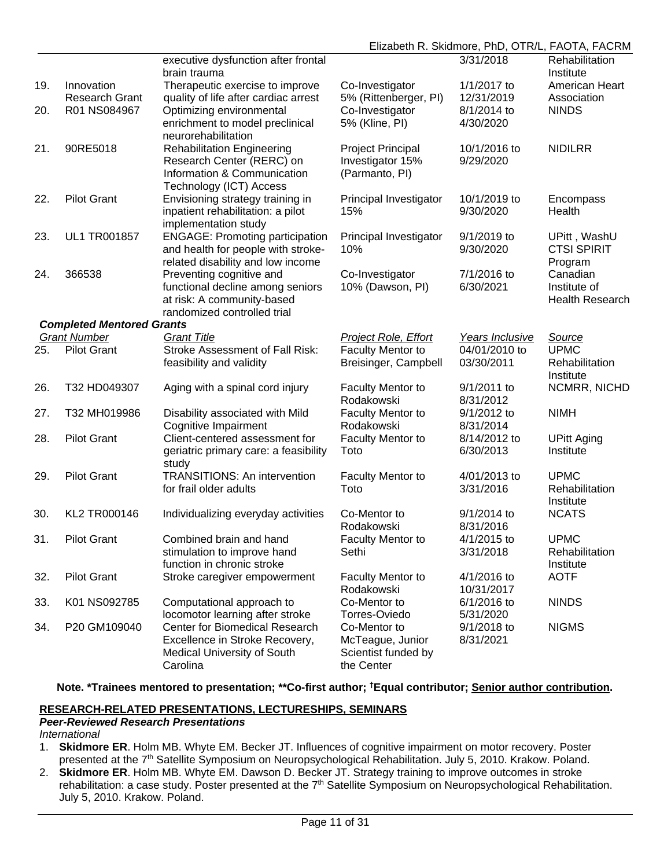|     |                                  |                                                     |                                        | Elizabeth R. Skidmore, PhD, OTR/L, FAOTA, FACRM |                             |
|-----|----------------------------------|-----------------------------------------------------|----------------------------------------|-------------------------------------------------|-----------------------------|
|     |                                  | executive dysfunction after frontal<br>brain trauma |                                        | 3/31/2018                                       | Rehabilitation<br>Institute |
| 19. | Innovation                       | Therapeutic exercise to improve                     | Co-Investigator                        | 1/1/2017 to                                     | American Heart              |
|     | <b>Research Grant</b>            | quality of life after cardiac arrest                | 5% (Rittenberger, PI)                  | 12/31/2019                                      | Association                 |
| 20. | R01 NS084967                     | Optimizing environmental                            | Co-Investigator                        | 8/1/2014 to                                     | <b>NINDS</b>                |
|     |                                  | enrichment to model preclinical                     | 5% (Kline, PI)                         | 4/30/2020                                       |                             |
|     |                                  | neurorehabilitation                                 |                                        |                                                 |                             |
| 21. | 90RE5018                         | <b>Rehabilitation Engineering</b>                   | Project Principal                      | 10/1/2016 to                                    | <b>NIDILRR</b>              |
|     |                                  | Research Center (RERC) on                           | Investigator 15%                       | 9/29/2020                                       |                             |
|     |                                  | Information & Communication                         | (Parmanto, PI)                         |                                                 |                             |
|     |                                  | Technology (ICT) Access                             |                                        |                                                 |                             |
| 22. | <b>Pilot Grant</b>               | Envisioning strategy training in                    | Principal Investigator                 | 10/1/2019 to                                    | Encompass                   |
|     |                                  | inpatient rehabilitation: a pilot                   | 15%                                    | 9/30/2020                                       | Health                      |
|     |                                  | implementation study                                |                                        |                                                 |                             |
| 23. | UL1 TR001857                     | <b>ENGAGE: Promoting participation</b>              | Principal Investigator                 | 9/1/2019 to                                     | UPitt, WashU                |
|     |                                  | and health for people with stroke-                  | 10%                                    | 9/30/2020                                       | <b>CTSI SPIRIT</b>          |
|     |                                  | related disability and low income                   |                                        |                                                 | Program                     |
| 24. | 366538                           | Preventing cognitive and                            | Co-Investigator                        | 7/1/2016 to                                     | Canadian                    |
|     |                                  | functional decline among seniors                    | 10% (Dawson, PI)                       | 6/30/2021                                       | Institute of                |
|     |                                  | at risk: A community-based                          |                                        |                                                 | Health Research             |
|     |                                  | randomized controlled trial                         |                                        |                                                 |                             |
|     | <b>Completed Mentored Grants</b> |                                                     |                                        |                                                 |                             |
|     | <b>Grant Number</b>              | <b>Grant Title</b>                                  | Project Role, Effort                   | Years Inclusive                                 | Source                      |
| 25. | <b>Pilot Grant</b>               | <b>Stroke Assessment of Fall Risk:</b>              | Faculty Mentor to                      | 04/01/2010 to                                   | <b>UPMC</b>                 |
|     |                                  | feasibility and validity                            | Breisinger, Campbell                   | 03/30/2011                                      | Rehabilitation              |
| 26. | T32 HD049307                     |                                                     |                                        | 9/1/2011 to                                     | Institute                   |
|     |                                  | Aging with a spinal cord injury                     | <b>Faculty Mentor to</b><br>Rodakowski | 8/31/2012                                       | NCMRR, NICHD                |
| 27. | T32 MH019986                     | Disability associated with Mild                     | Faculty Mentor to                      | 9/1/2012 to                                     | <b>NIMH</b>                 |
|     |                                  | Cognitive Impairment                                | Rodakowski                             | 8/31/2014                                       |                             |
| 28. | <b>Pilot Grant</b>               | Client-centered assessment for                      | Faculty Mentor to                      | 8/14/2012 to                                    | <b>UPitt Aging</b>          |
|     |                                  | geriatric primary care: a feasibility               | Toto                                   | 6/30/2013                                       | Institute                   |
|     |                                  | study                                               |                                        |                                                 |                             |
| 29. | <b>Pilot Grant</b>               | <b>TRANSITIONS: An intervention</b>                 | <b>Faculty Mentor to</b>               | 4/01/2013 to                                    | <b>UPMC</b>                 |
|     |                                  | for frail older adults                              | Toto                                   | 3/31/2016                                       | Rehabilitation              |
|     |                                  |                                                     |                                        |                                                 | Institute                   |
| 30. | KL2 TR000146                     | Individualizing everyday activities                 | Co-Mentor to                           | 9/1/2014 to                                     | <b>NCATS</b>                |
|     |                                  |                                                     | Rodakowski                             | 8/31/2016                                       |                             |
| 31. | <b>Pilot Grant</b>               | Combined brain and hand                             | <b>Faculty Mentor to</b>               | 4/1/2015 to                                     | <b>UPMC</b>                 |
|     |                                  | stimulation to improve hand                         | Sethi                                  | 3/31/2018                                       | Rehabilitation              |
|     |                                  | function in chronic stroke                          |                                        |                                                 | Institute                   |
| 32. | <b>Pilot Grant</b>               | Stroke caregiver empowerment                        | <b>Faculty Mentor to</b>               | 4/1/2016 to                                     | <b>AOTF</b>                 |
|     |                                  |                                                     | Rodakowski                             | 10/31/2017                                      |                             |
| 33. | K01 NS092785                     | Computational approach to                           | Co-Mentor to                           | 6/1/2016 to                                     | <b>NINDS</b>                |
|     |                                  | locomotor learning after stroke                     | Torres-Oviedo                          | 5/31/2020                                       |                             |
| 34. | P20 GM109040                     | <b>Center for Biomedical Research</b>               | Co-Mentor to                           | 9/1/2018 to                                     | <b>NIGMS</b>                |
|     |                                  | Excellence in Stroke Recovery,                      | McTeague, Junior                       | 8/31/2021                                       |                             |
|     |                                  | <b>Medical University of South</b>                  | Scientist funded by                    |                                                 |                             |
|     |                                  | Carolina                                            | the Center                             |                                                 |                             |

**Note. \*Trainees mentored to presentation; \*\*Co-first author; †Equal contributor; Senior author contribution.**

## **RESEARCH-RELATED PRESENTATIONS, LECTURESHIPS, SEMINARS**

#### *Peer-Reviewed Research Presentations International*

- 1. **Skidmore ER**. Holm MB. Whyte EM. Becker JT. Influences of cognitive impairment on motor recovery. Poster presented at the 7<sup>th</sup> Satellite Symposium on Neuropsychological Rehabilitation. July 5, 2010. Krakow. Poland.
- 2. **Skidmore ER**. Holm MB. Whyte EM. Dawson D. Becker JT. Strategy training to improve outcomes in stroke rehabilitation: a case study. Poster presented at the 7<sup>th</sup> Satellite Symposium on Neuropsychological Rehabilitation. July 5, 2010. Krakow. Poland.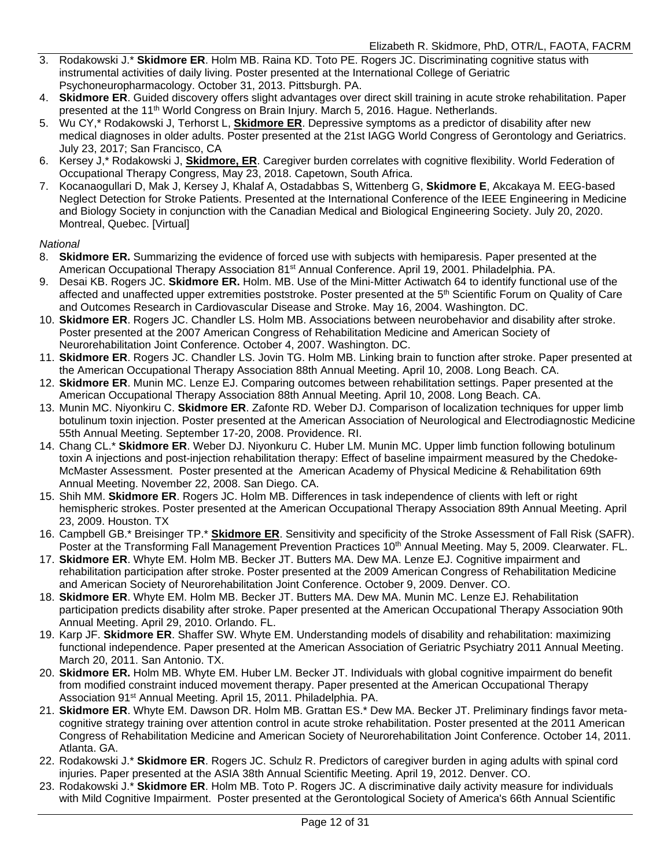- 3. Rodakowski J.\* **Skidmore ER**. Holm MB. Raina KD. Toto PE. Rogers JC. Discriminating cognitive status with instrumental activities of daily living. Poster presented at the International College of Geriatric Psychoneuropharmacology. October 31, 2013. Pittsburgh. PA.
- 4. **Skidmore ER**. Guided discovery offers slight advantages over direct skill training in acute stroke rehabilitation. Paper presented at the 11<sup>th</sup> World Congress on Brain Injury. March 5, 2016. Hague. Netherlands.
- 5. Wu CY,\* Rodakowski J, Terhorst L, **Skidmore ER**. Depressive symptoms as a predictor of disability after new medical diagnoses in older adults. Poster presented at the 21st IAGG World Congress of Gerontology and Geriatrics. July 23, 2017; San Francisco, CA
- 6. Kersey J,\* Rodakowski J, **Skidmore, ER**. Caregiver burden correlates with cognitive flexibility. World Federation of Occupational Therapy Congress, May 23, 2018. Capetown, South Africa.
- 7. Kocanaogullari D, Mak J, Kersey J, Khalaf A, Ostadabbas S, Wittenberg G, **Skidmore E**, Akcakaya M. EEG-based Neglect Detection for Stroke Patients. Presented at the International Conference of the IEEE Engineering in Medicine and Biology Society in conjunction with the Canadian Medical and Biological Engineering Society. July 20, 2020. Montreal, Quebec. [Virtual]

#### *National*

- 8. **Skidmore ER.** Summarizing the evidence of forced use with subjects with hemiparesis. Paper presented at the American Occupational Therapy Association 81st Annual Conference. April 19, 2001. Philadelphia. PA.
- 9. Desai KB. Rogers JC. **Skidmore ER.** Holm. MB. Use of the Mini-Mitter Actiwatch 64 to identify functional use of the affected and unaffected upper extremities poststroke. Poster presented at the 5th Scientific Forum on Quality of Care and Outcomes Research in Cardiovascular Disease and Stroke. May 16, 2004. Washington. DC.
- 10. **Skidmore ER**. Rogers JC. Chandler LS. Holm MB. Associations between neurobehavior and disability after stroke. Poster presented at the 2007 American Congress of Rehabilitation Medicine and American Society of Neurorehabilitation Joint Conference. October 4, 2007. Washington. DC.
- 11. **Skidmore ER**. Rogers JC. Chandler LS. Jovin TG. Holm MB. Linking brain to function after stroke. Paper presented at the American Occupational Therapy Association 88th Annual Meeting. April 10, 2008. Long Beach. CA.
- 12. **Skidmore ER**. Munin MC. Lenze EJ. Comparing outcomes between rehabilitation settings. Paper presented at the American Occupational Therapy Association 88th Annual Meeting. April 10, 2008. Long Beach. CA.
- 13. Munin MC. Niyonkiru C. **Skidmore ER**. Zafonte RD. Weber DJ. Comparison of localization techniques for upper limb botulinum toxin injection. Poster presented at the American Association of Neurological and Electrodiagnostic Medicine 55th Annual Meeting. September 17-20, 2008. Providence. RI.
- 14. Chang CL.\* **Skidmore ER**. Weber DJ. Niyonkuru C. Huber LM. Munin MC. Upper limb function following botulinum toxin A injections and post-injection rehabilitation therapy: Effect of baseline impairment measured by the Chedoke-McMaster Assessment. Poster presented at the American Academy of Physical Medicine & Rehabilitation 69th Annual Meeting. November 22, 2008. San Diego. CA.
- 15. Shih MM. **Skidmore ER**. Rogers JC. Holm MB. Differences in task independence of clients with left or right hemispheric strokes. Poster presented at the American Occupational Therapy Association 89th Annual Meeting. April 23, 2009. Houston. TX
- 16. Campbell GB.\* Breisinger TP.\* **Skidmore ER**. Sensitivity and specificity of the Stroke Assessment of Fall Risk (SAFR). Poster at the Transforming Fall Management Prevention Practices 10<sup>th</sup> Annual Meeting. May 5, 2009. Clearwater. FL.
- 17. **Skidmore ER**. Whyte EM. Holm MB. Becker JT. Butters MA. Dew MA. Lenze EJ. Cognitive impairment and rehabilitation participation after stroke. Poster presented at the 2009 American Congress of Rehabilitation Medicine and American Society of Neurorehabilitation Joint Conference. October 9, 2009. Denver. CO.
- 18. **Skidmore ER**. Whyte EM. Holm MB. Becker JT. Butters MA. Dew MA. Munin MC. Lenze EJ. Rehabilitation participation predicts disability after stroke. Paper presented at the American Occupational Therapy Association 90th Annual Meeting. April 29, 2010. Orlando. FL.
- 19. Karp JF. **Skidmore ER**. Shaffer SW. Whyte EM. Understanding models of disability and rehabilitation: maximizing functional independence. Paper presented at the American Association of Geriatric Psychiatry 2011 Annual Meeting. March 20, 2011. San Antonio. TX.
- 20. **Skidmore ER.** Holm MB. Whyte EM. Huber LM. Becker JT. Individuals with global cognitive impairment do benefit from modified constraint induced movement therapy. Paper presented at the American Occupational Therapy Association 91<sup>st</sup> Annual Meeting. April 15, 2011. Philadelphia. PA.
- 21. **Skidmore ER**. Whyte EM. Dawson DR. Holm MB. Grattan ES.\* Dew MA. Becker JT. Preliminary findings favor metacognitive strategy training over attention control in acute stroke rehabilitation. Poster presented at the 2011 American Congress of Rehabilitation Medicine and American Society of Neurorehabilitation Joint Conference. October 14, 2011. Atlanta. GA.
- 22. Rodakowski J.\* **Skidmore ER**. Rogers JC. Schulz R. Predictors of caregiver burden in aging adults with spinal cord injuries. Paper presented at the ASIA 38th Annual Scientific Meeting. April 19, 2012. Denver. CO.
- 23. Rodakowski J.\* **Skidmore ER**. Holm MB. Toto P. Rogers JC. A discriminative daily activity measure for individuals with Mild Cognitive Impairment. Poster presented at the Gerontological Society of America's 66th Annual Scientific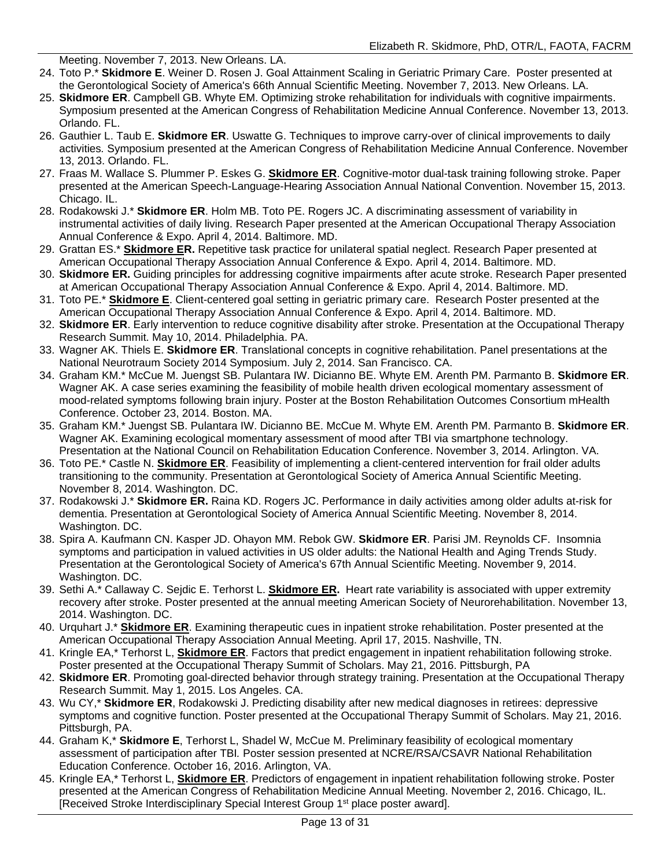Meeting. November 7, 2013. New Orleans. LA.

- 24. Toto P.\* **Skidmore E**. Weiner D. Rosen J. Goal Attainment Scaling in Geriatric Primary Care. Poster presented at the Gerontological Society of America's 66th Annual Scientific Meeting. November 7, 2013. New Orleans. LA.
- 25. **Skidmore ER**. Campbell GB. Whyte EM. Optimizing stroke rehabilitation for individuals with cognitive impairments. Symposium presented at the American Congress of Rehabilitation Medicine Annual Conference. November 13, 2013. Orlando. FL.
- 26. Gauthier L. Taub E. **Skidmore ER**. Uswatte G. Techniques to improve carry-over of clinical improvements to daily activities*.* Symposium presented at the American Congress of Rehabilitation Medicine Annual Conference. November 13, 2013. Orlando. FL.
- 27. Fraas M. Wallace S. Plummer P. Eskes G. **Skidmore ER**. Cognitive-motor dual-task training following stroke. Paper presented at the American Speech-Language-Hearing Association Annual National Convention. November 15, 2013. Chicago. IL.
- 28. Rodakowski J.\* **Skidmore ER**. Holm MB. Toto PE. Rogers JC. A discriminating assessment of variability in instrumental activities of daily living. Research Paper presented at the American Occupational Therapy Association Annual Conference & Expo. April 4, 2014. Baltimore. MD.
- 29. Grattan ES.\* **Skidmore ER.** Repetitive task practice for unilateral spatial neglect. Research Paper presented at American Occupational Therapy Association Annual Conference & Expo. April 4, 2014. Baltimore. MD.
- 30. **Skidmore ER.** Guiding principles for addressing cognitive impairments after acute stroke. Research Paper presented at American Occupational Therapy Association Annual Conference & Expo. April 4, 2014. Baltimore. MD.
- 31. Toto PE.\* **Skidmore E**. Client-centered goal setting in geriatric primary care. Research Poster presented at the American Occupational Therapy Association Annual Conference & Expo. April 4, 2014. Baltimore. MD.
- 32. **Skidmore ER**. Early intervention to reduce cognitive disability after stroke. Presentation at the Occupational Therapy Research Summit. May 10, 2014. Philadelphia. PA.
- 33. Wagner AK. Thiels E. **Skidmore ER**. Translational concepts in cognitive rehabilitation. Panel presentations at the National Neurotraum Society 2014 Symposium. July 2, 2014. San Francisco. CA.
- 34. Graham KM.\* McCue M. Juengst SB. Pulantara IW. Dicianno BE. Whyte EM. Arenth PM. Parmanto B. **Skidmore ER**. Wagner AK. A case series examining the feasibility of mobile health driven ecological momentary assessment of mood-related symptoms following brain injury. Poster at the Boston Rehabilitation Outcomes Consortium mHealth Conference. October 23, 2014. Boston. MA.
- 35. Graham KM.\* Juengst SB. Pulantara IW. Dicianno BE. McCue M. Whyte EM. Arenth PM. Parmanto B. **Skidmore ER**. Wagner AK. Examining ecological momentary assessment of mood after TBI via smartphone technology. Presentation at the National Council on Rehabilitation Education Conference. November 3, 2014. Arlington. VA.
- 36. Toto PE.\* Castle N. **Skidmore ER**. Feasibility of implementing a client-centered intervention for frail older adults transitioning to the community. Presentation at Gerontological Society of America Annual Scientific Meeting. November 8, 2014. Washington. DC.
- 37. Rodakowski J.\* **Skidmore ER.** Raina KD. Rogers JC. Performance in daily activities among older adults at-risk for dementia. Presentation at Gerontological Society of America Annual Scientific Meeting. November 8, 2014. Washington. DC.
- 38. Spira A. Kaufmann CN. Kasper JD. Ohayon MM. Rebok GW. **Skidmore ER**. Parisi JM. Reynolds CF. Insomnia symptoms and participation in valued activities in US older adults: the National Health and Aging Trends Study. Presentation at the Gerontological Society of America's 67th Annual Scientific Meeting. November 9, 2014. Washington. DC.
- 39. Sethi A.\* Callaway C. Sejdic E. Terhorst L. **Skidmore ER.** Heart rate variability is associated with upper extremity recovery after stroke. Poster presented at the annual meeting American Society of Neurorehabilitation. November 13, 2014. Washington. DC.
- 40. Urquhart J.\* **Skidmore ER**. Examining therapeutic cues in inpatient stroke rehabilitation. Poster presented at the American Occupational Therapy Association Annual Meeting. April 17, 2015. Nashville, TN.
- 41. Kringle EA,\* Terhorst L, **Skidmore ER**. Factors that predict engagement in inpatient rehabilitation following stroke. Poster presented at the Occupational Therapy Summit of Scholars. May 21, 2016. Pittsburgh, PA
- 42. **Skidmore ER**. Promoting goal-directed behavior through strategy training. Presentation at the Occupational Therapy Research Summit. May 1, 2015. Los Angeles. CA.
- 43. Wu CY,\* **Skidmore ER**, Rodakowski J. Predicting disability after new medical diagnoses in retirees: depressive symptoms and cognitive function. Poster presented at the Occupational Therapy Summit of Scholars. May 21, 2016. Pittsburgh, PA.
- 44. Graham K,\* **Skidmore E**, Terhorst L, Shadel W, McCue M. Preliminary feasibility of ecological momentary assessment of participation after TBI*.* Poster session presented at NCRE/RSA/CSAVR National Rehabilitation Education Conference. October 16, 2016. Arlington, VA.
- 45. Kringle EA,\* Terhorst L, **Skidmore ER**. Predictors of engagement in inpatient rehabilitation following stroke. Poster presented at the American Congress of Rehabilitation Medicine Annual Meeting. November 2, 2016. Chicago, IL. [Received Stroke Interdisciplinary Special Interest Group 1<sup>st</sup> place poster award].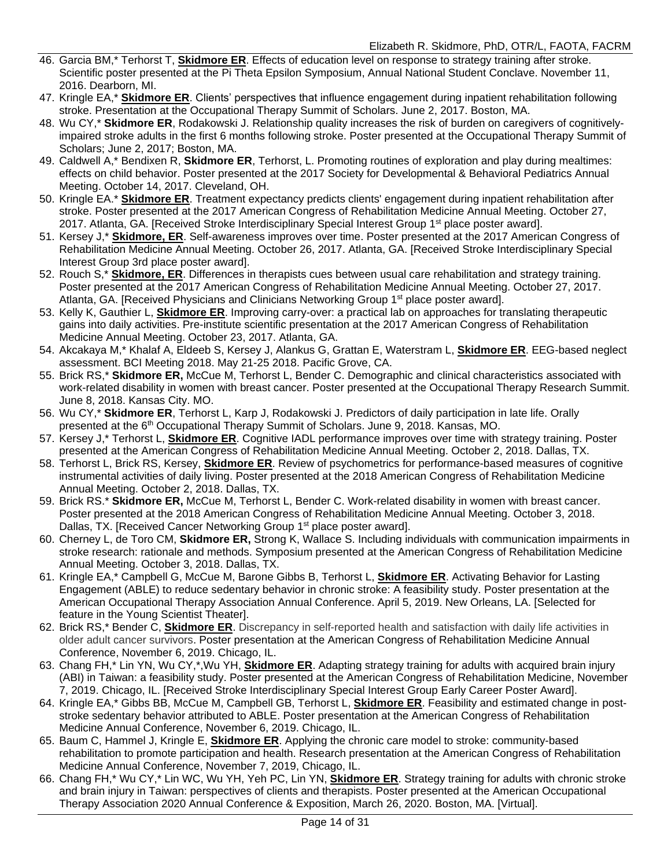- 46. Garcia BM,\* Terhorst T, **Skidmore ER**. Effects of education level on response to strategy training after stroke. Scientific poster presented at the Pi Theta Epsilon Symposium, Annual National Student Conclave. November 11, 2016. Dearborn, MI.
- 47. Kringle EA,\* **Skidmore ER**. Clients' perspectives that influence engagement during inpatient rehabilitation following stroke. Presentation at the Occupational Therapy Summit of Scholars. June 2, 2017. Boston, MA.
- 48. Wu CY,\* **Skidmore ER**, Rodakowski J. Relationship quality increases the risk of burden on caregivers of cognitivelyimpaired stroke adults in the first 6 months following stroke. Poster presented at the Occupational Therapy Summit of Scholars; June 2, 2017; Boston, MA.
- 49. Caldwell A,\* Bendixen R, **Skidmore ER**, Terhorst, L. Promoting routines of exploration and play during mealtimes: effects on child behavior. Poster presented at the 2017 Society for Developmental & Behavioral Pediatrics Annual Meeting. October 14, 2017. Cleveland, OH.
- 50. Kringle EA.\* **Skidmore ER**. Treatment expectancy predicts clients' engagement during inpatient rehabilitation after stroke. Poster presented at the 2017 American Congress of Rehabilitation Medicine Annual Meeting. October 27, 2017. Atlanta, GA. [Received Stroke Interdisciplinary Special Interest Group 1<sup>st</sup> place poster award].
- 51. Kersey J,\* **Skidmore, ER**. Self-awareness improves over time. Poster presented at the 2017 American Congress of Rehabilitation Medicine Annual Meeting. October 26, 2017. Atlanta, GA. [Received Stroke Interdisciplinary Special Interest Group 3rd place poster award].
- 52. Rouch S,\* **Skidmore, ER**. Differences in therapists cues between usual care rehabilitation and strategy training. Poster presented at the 2017 American Congress of Rehabilitation Medicine Annual Meeting. October 27, 2017. Atlanta, GA. [Received Physicians and Clinicians Networking Group 1<sup>st</sup> place poster award].
- 53. Kelly K, Gauthier L, **Skidmore ER**. Improving carry-over: a practical lab on approaches for translating therapeutic gains into daily activities. Pre-institute scientific presentation at the 2017 American Congress of Rehabilitation Medicine Annual Meeting. October 23, 2017. Atlanta, GA.
- 54. Akcakaya M,\* Khalaf A, Eldeeb S, Kersey J, Alankus G, Grattan E, Waterstram L, **Skidmore ER**. EEG-based neglect assessment. BCI Meeting 2018. May 21-25 2018. Pacific Grove, CA.
- 55. Brick RS,\* **Skidmore ER,** McCue M, Terhorst L, Bender C. Demographic and clinical characteristics associated with work-related disability in women with breast cancer. Poster presented at the Occupational Therapy Research Summit. June 8, 2018. Kansas City. MO.
- 56. Wu CY,\* **Skidmore ER**, Terhorst L, Karp J, Rodakowski J. Predictors of daily participation in late life. Orally presented at the 6th Occupational Therapy Summit of Scholars. June 9, 2018. Kansas, MO.
- 57. Kersey J,\* Terhorst L, **Skidmore ER**. Cognitive IADL performance improves over time with strategy training. Poster presented at the American Congress of Rehabilitation Medicine Annual Meeting. October 2, 2018. Dallas, TX.
- 58. Terhorst L, Brick RS, Kersey, **Skidmore ER**. Review of psychometrics for performance-based measures of cognitive instrumental activities of daily living. Poster presented at the 2018 American Congress of Rehabilitation Medicine Annual Meeting. October 2, 2018. Dallas, TX.
- 59. Brick RS.\* **Skidmore ER,** McCue M, Terhorst L, Bender C. Work-related disability in women with breast cancer. Poster presented at the 2018 American Congress of Rehabilitation Medicine Annual Meeting. October 3, 2018. Dallas, TX. [Received Cancer Networking Group 1<sup>st</sup> place poster award].
- 60. Cherney L, de Toro CM, **Skidmore ER,** Strong K, Wallace S. Including individuals with communication impairments in stroke research: rationale and methods. Symposium presented at the American Congress of Rehabilitation Medicine Annual Meeting. October 3, 2018. Dallas, TX.
- 61. Kringle EA,\* Campbell G, McCue M, Barone Gibbs B, Terhorst L, **Skidmore ER**. Activating Behavior for Lasting Engagement (ABLE) to reduce sedentary behavior in chronic stroke: A feasibility study. Poster presentation at the American Occupational Therapy Association Annual Conference. April 5, 2019. New Orleans, LA. [Selected for feature in the Young Scientist Theater].
- 62. Brick RS,\* Bender C, **Skidmore ER**. Discrepancy in self-reported health and satisfaction with daily life activities in older adult cancer survivors. Poster presentation at the American Congress of Rehabilitation Medicine Annual Conference, November 6, 2019. Chicago, IL.
- 63. Chang FH,\* Lin YN, Wu CY,\*,Wu YH, **Skidmore ER**. Adapting strategy training for adults with acquired brain injury (ABI) in Taiwan: a feasibility study. Poster presented at the American Congress of Rehabilitation Medicine, November 7, 2019. Chicago, IL. [Received Stroke Interdisciplinary Special Interest Group Early Career Poster Award].
- 64. Kringle EA,\* Gibbs BB, McCue M, Campbell GB, Terhorst L, **Skidmore ER**. Feasibility and estimated change in poststroke sedentary behavior attributed to ABLE. Poster presentation at the American Congress of Rehabilitation Medicine Annual Conference, November 6, 2019. Chicago, IL.
- 65. Baum C, Hammel J, Kringle E, **Skidmore ER**. Applying the chronic care model to stroke: community-based rehabilitation to promote participation and health. Research presentation at the American Congress of Rehabilitation Medicine Annual Conference, November 7, 2019, Chicago, IL.
- 66. Chang FH,\* Wu CY,\* Lin WC, Wu YH, Yeh PC, Lin YN, **Skidmore ER**. Strategy training for adults with chronic stroke and brain injury in Taiwan: perspectives of clients and therapists. Poster presented at the American Occupational Therapy Association 2020 Annual Conference & Exposition, March 26, 2020. Boston, MA. [Virtual].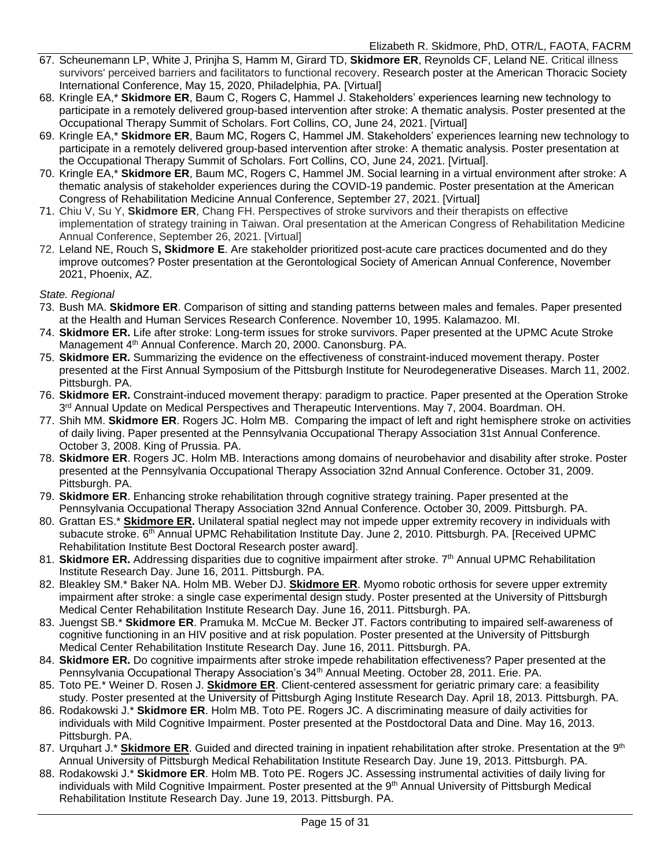- 67. Scheunemann LP, White J, Prinjha S, Hamm M, Girard TD, **Skidmore ER**, Reynolds CF, Leland NE. Critical illness survivors' perceived barriers and facilitators to functional recovery. Research poster at the American Thoracic Society International Conference, May 15, 2020, Philadelphia, PA. [Virtual]
- 68. Kringle EA,\* **Skidmore ER**, Baum C, Rogers C, Hammel J. Stakeholders' experiences learning new technology to participate in a remotely delivered group-based intervention after stroke: A thematic analysis. Poster presented at the Occupational Therapy Summit of Scholars. Fort Collins, CO, June 24, 2021. [Virtual]
- 69. Kringle EA,\* **Skidmore ER**, Baum MC, Rogers C, Hammel JM. Stakeholders' experiences learning new technology to participate in a remotely delivered group-based intervention after stroke: A thematic analysis. Poster presentation at the Occupational Therapy Summit of Scholars. Fort Collins, CO, June 24, 2021. [Virtual].
- 70. Kringle EA,\* **Skidmore ER**, Baum MC, Rogers C, Hammel JM. Social learning in a virtual environment after stroke: A thematic analysis of stakeholder experiences during the COVID-19 pandemic. Poster presentation at the American Congress of Rehabilitation Medicine Annual Conference, September 27, 2021. [Virtual]
- 71. Chiu V, Su Y, **Skidmore ER**, Chang FH. Perspectives of stroke survivors and their therapists on effective implementation of strategy training in Taiwan. Oral presentation at the American Congress of Rehabilitation Medicine Annual Conference, September 26, 2021. [Virtual]
- 72. Leland NE, Rouch S**, Skidmore E**. Are stakeholder prioritized post-acute care practices documented and do they improve outcomes? Poster presentation at the Gerontological Society of American Annual Conference, November 2021, Phoenix, AZ.

#### *State. Regional*

- 73. Bush MA. **Skidmore ER**. Comparison of sitting and standing patterns between males and females. Paper presented at the Health and Human Services Research Conference. November 10, 1995. Kalamazoo. MI.
- 74. **Skidmore ER.** Life after stroke: Long-term issues for stroke survivors. Paper presented at the UPMC Acute Stroke Management 4<sup>th</sup> Annual Conference. March 20, 2000. Canonsburg. PA.
- 75. **Skidmore ER.** Summarizing the evidence on the effectiveness of constraint-induced movement therapy. Poster presented at the First Annual Symposium of the Pittsburgh Institute for Neurodegenerative Diseases. March 11, 2002. Pittsburgh. PA.
- 76. **Skidmore ER.** Constraint-induced movement therapy: paradigm to practice. Paper presented at the Operation Stroke 3<sup>rd</sup> Annual Update on Medical Perspectives and Therapeutic Interventions. May 7, 2004. Boardman. OH.
- 77. Shih MM. **Skidmore ER**. Rogers JC. Holm MB. Comparing the impact of left and right hemisphere stroke on activities of daily living. Paper presented at the Pennsylvania Occupational Therapy Association 31st Annual Conference. October 3, 2008. King of Prussia. PA.
- 78. **Skidmore ER**. Rogers JC. Holm MB. Interactions among domains of neurobehavior and disability after stroke. Poster presented at the Pennsylvania Occupational Therapy Association 32nd Annual Conference. October 31, 2009. Pittsburgh. PA.
- 79. **Skidmore ER**. Enhancing stroke rehabilitation through cognitive strategy training. Paper presented at the Pennsylvania Occupational Therapy Association 32nd Annual Conference. October 30, 2009. Pittsburgh. PA.
- 80. Grattan ES.\* **Skidmore ER.** Unilateral spatial neglect may not impede upper extremity recovery in individuals with subacute stroke. 6<sup>th</sup> Annual UPMC Rehabilitation Institute Day. June 2, 2010. Pittsburgh. PA. [Received UPMC Rehabilitation Institute Best Doctoral Research poster award].
- 81. Skidmore ER. Addressing disparities due to cognitive impairment after stroke. 7<sup>th</sup> Annual UPMC Rehabilitation Institute Research Day. June 16, 2011. Pittsburgh. PA.
- 82. Bleakley SM.\* Baker NA. Holm MB. Weber DJ. **Skidmore ER**. Myomo robotic orthosis for severe upper extremity impairment after stroke: a single case experimental design study. Poster presented at the University of Pittsburgh Medical Center Rehabilitation Institute Research Day. June 16, 2011. Pittsburgh. PA.
- 83. Juengst SB.\* **Skidmore ER**. Pramuka M. McCue M. Becker JT. Factors contributing to impaired self-awareness of cognitive functioning in an HIV positive and at risk population. Poster presented at the University of Pittsburgh Medical Center Rehabilitation Institute Research Day. June 16, 2011. Pittsburgh. PA.
- 84. **Skidmore ER.** Do cognitive impairments after stroke impede rehabilitation effectiveness? Paper presented at the Pennsylvania Occupational Therapy Association's 34<sup>th</sup> Annual Meeting. October 28, 2011. Erie. PA.
- 85. Toto PE.\* Weiner D. Rosen J. **Skidmore ER**. Client-centered assessment for geriatric primary care: a feasibility study. Poster presented at the University of Pittsburgh Aging Institute Research Day. April 18, 2013. Pittsburgh. PA.
- 86. Rodakowski J.\* **Skidmore ER**. Holm MB. Toto PE. Rogers JC. A discriminating measure of daily activities for individuals with Mild Cognitive Impairment. Poster presented at the Postdoctoral Data and Dine. May 16, 2013. Pittsburgh. PA.
- 87. Urquhart J.\* Skidmore ER. Guided and directed training in inpatient rehabilitation after stroke. Presentation at the 9<sup>th</sup> Annual University of Pittsburgh Medical Rehabilitation Institute Research Day. June 19, 2013. Pittsburgh. PA.
- 88. Rodakowski J.\* **Skidmore ER**. Holm MB. Toto PE. Rogers JC. Assessing instrumental activities of daily living for individuals with Mild Cognitive Impairment. Poster presented at the 9<sup>th</sup> Annual University of Pittsburgh Medical Rehabilitation Institute Research Day. June 19, 2013. Pittsburgh. PA.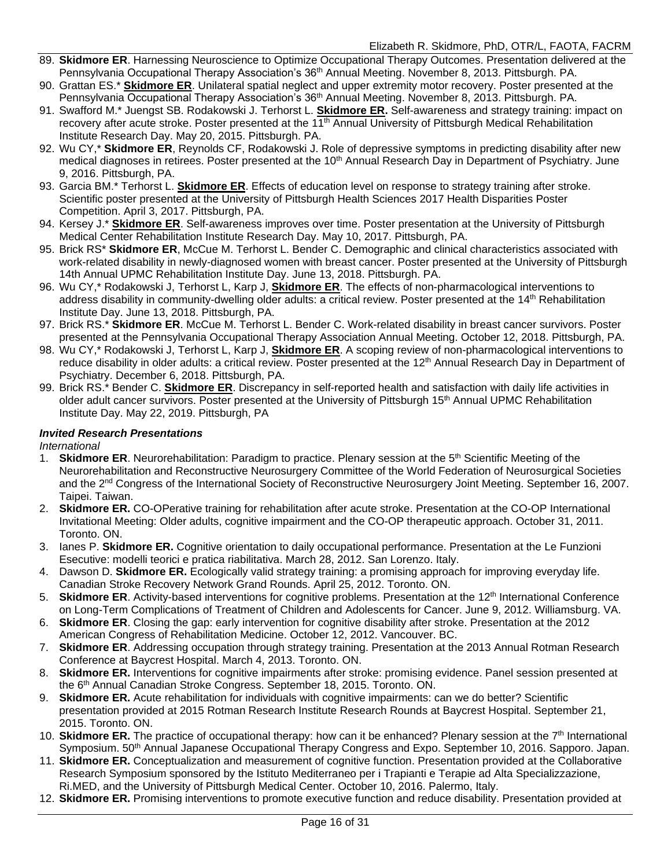- 89. **Skidmore ER**. Harnessing Neuroscience to Optimize Occupational Therapy Outcomes. Presentation delivered at the Pennsylvania Occupational Therapy Association's 36<sup>th</sup> Annual Meeting. November 8, 2013. Pittsburgh. PA.
- 90. Grattan ES.\* **Skidmore ER**. Unilateral spatial neglect and upper extremity motor recovery. Poster presented at the Pennsylvania Occupational Therapy Association's 36<sup>th</sup> Annual Meeting. November 8, 2013. Pittsburgh. PA.
- 91. Swafford M.\* Juengst SB. Rodakowski J. Terhorst L. **Skidmore ER.** Self-awareness and strategy training: impact on recovery after acute stroke. Poster presented at the 11<sup>th</sup> Annual University of Pittsburgh Medical Rehabilitation Institute Research Day. May 20, 2015. Pittsburgh. PA.
- 92. Wu CY,\* **Skidmore ER**, Reynolds CF, Rodakowski J. Role of depressive symptoms in predicting disability after new medical diagnoses in retirees. Poster presented at the 10<sup>th</sup> Annual Research Day in Department of Psychiatry. June 9, 2016. Pittsburgh, PA.
- 93. Garcia BM.\* Terhorst L. **Skidmore ER**. Effects of education level on response to strategy training after stroke. Scientific poster presented at the University of Pittsburgh Health Sciences 2017 Health Disparities Poster Competition. April 3, 2017. Pittsburgh, PA.
- 94. Kersey J.\* **Skidmore ER**. Self-awareness improves over time. Poster presentation at the University of Pittsburgh Medical Center Rehabilitation Institute Research Day. May 10, 2017. Pittsburgh, PA.
- 95. Brick RS\* **Skidmore ER**, McCue M. Terhorst L. Bender C. Demographic and clinical characteristics associated with work-related disability in newly-diagnosed women with breast cancer. Poster presented at the University of Pittsburgh 14th Annual UPMC Rehabilitation Institute Day. June 13, 2018. Pittsburgh. PA.
- 96. Wu CY,\* Rodakowski J, Terhorst L, Karp J, **Skidmore ER**. The effects of non-pharmacological interventions to address disability in community-dwelling older adults: a critical review. Poster presented at the 14<sup>th</sup> Rehabilitation Institute Day. June 13, 2018. Pittsburgh, PA.
- 97. Brick RS.\* **Skidmore ER**. McCue M. Terhorst L. Bender C. Work-related disability in breast cancer survivors. Poster presented at the Pennsylvania Occupational Therapy Association Annual Meeting. October 12, 2018. Pittsburgh, PA.
- 98. Wu CY,\* Rodakowski J, Terhorst L, Karp J, **Skidmore ER**. A scoping review of non-pharmacological interventions to reduce disability in older adults: a critical review. Poster presented at the 12<sup>th</sup> Annual Research Day in Department of Psychiatry. December 6, 2018. Pittsburgh, PA.
- 99. Brick RS.\* Bender C. **Skidmore ER**. Discrepancy in self-reported health and satisfaction with daily life activities in older adult cancer survivors. Poster presented at the University of Pittsburgh 15<sup>th</sup> Annual UPMC Rehabilitation Institute Day. May 22, 2019. Pittsburgh, PA

#### *Invited Research Presentations*

*International*

- 1. **Skidmore ER**. Neurorehabilitation: Paradigm to practice. Plenary session at the 5<sup>th</sup> Scientific Meeting of the Neurorehabilitation and Reconstructive Neurosurgery Committee of the World Federation of Neurosurgical Societies and the 2nd Congress of the International Society of Reconstructive Neurosurgery Joint Meeting. September 16, 2007. Taipei. Taiwan.
- 2. **Skidmore ER.** CO-OPerative training for rehabilitation after acute stroke. Presentation at the CO-OP International Invitational Meeting: Older adults, cognitive impairment and the CO-OP therapeutic approach. October 31, 2011. Toronto. ON.
- 3. Ianes P. **Skidmore ER.** Cognitive orientation to daily occupational performance. Presentation at the Le Funzioni Esecutive: modelli teorici e pratica riabilitativa. March 28, 2012. San Lorenzo. Italy.
- 4. Dawson D. **Skidmore ER.** Ecologically valid strategy training: a promising approach for improving everyday life. Canadian Stroke Recovery Network Grand Rounds. April 25, 2012. Toronto. ON.
- 5. Skidmore ER. Activity-based interventions for cognitive problems. Presentation at the 12<sup>th</sup> International Conference on Long-Term Complications of Treatment of Children and Adolescents for Cancer. June 9, 2012. Williamsburg. VA.
- 6. **Skidmore ER**. Closing the gap: early intervention for cognitive disability after stroke. Presentation at the 2012 American Congress of Rehabilitation Medicine. October 12, 2012. Vancouver. BC.
- 7. **Skidmore ER**. Addressing occupation through strategy training. Presentation at the 2013 Annual Rotman Research Conference at Baycrest Hospital. March 4, 2013. Toronto. ON.
- 8. **Skidmore ER.** Interventions for cognitive impairments after stroke: promising evidence. Panel session presented at the 6<sup>th</sup> Annual Canadian Stroke Congress. September 18, 2015. Toronto. ON.
- 9. **Skidmore ER.** Acute rehabilitation for individuals with cognitive impairments: can we do better? Scientific presentation provided at 2015 Rotman Research Institute Research Rounds at Baycrest Hospital. September 21, 2015. Toronto. ON.
- 10. **Skidmore ER.** The practice of occupational therapy: how can it be enhanced? Plenary session at the 7<sup>th</sup> International Symposium. 50<sup>th</sup> Annual Japanese Occupational Therapy Congress and Expo. September 10, 2016. Sapporo. Japan.
- 11. **Skidmore ER.** Conceptualization and measurement of cognitive function. Presentation provided at the Collaborative Research Symposium sponsored by the Istituto Mediterraneo per i Trapianti e Terapie ad Alta Specializzazione, Ri.MED, and the University of Pittsburgh Medical Center. October 10, 2016. Palermo, Italy.
- 12. **Skidmore ER.** Promising interventions to promote executive function and reduce disability. Presentation provided at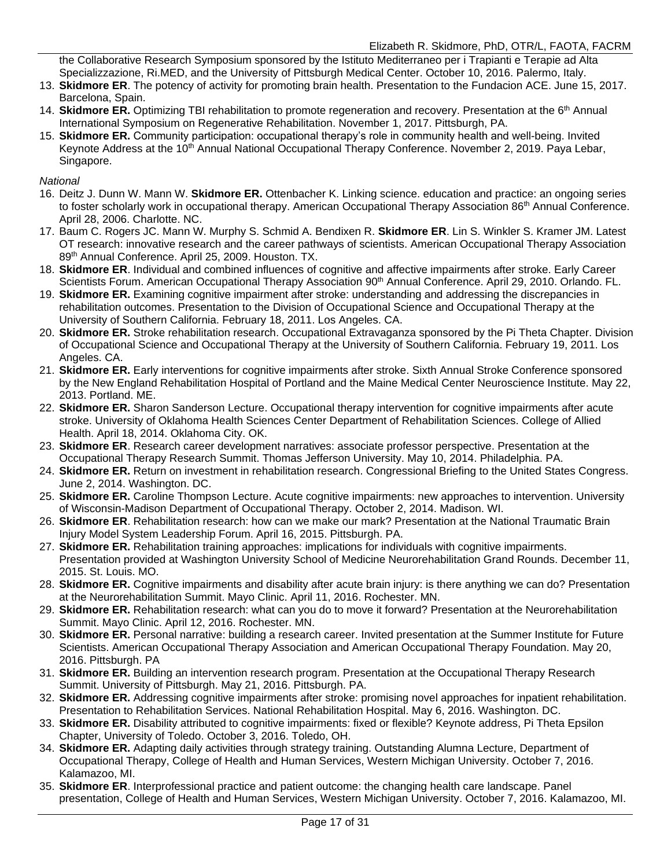the Collaborative Research Symposium sponsored by the Istituto Mediterraneo per i Trapianti e Terapie ad Alta Specializzazione, Ri.MED, and the University of Pittsburgh Medical Center. October 10, 2016. Palermo, Italy.

- 13. **Skidmore ER**. The potency of activity for promoting brain health. Presentation to the Fundacion ACE. June 15, 2017. Barcelona, Spain.
- 14. **Skidmore ER.** Optimizing TBI rehabilitation to promote regeneration and recovery. Presentation at the 6<sup>th</sup> Annual International Symposium on Regenerative Rehabilitation. November 1, 2017. Pittsburgh, PA.
- 15. **Skidmore ER.** Community participation: occupational therapy's role in community health and well-being. Invited Keynote Address at the 10<sup>th</sup> Annual National Occupational Therapy Conference. November 2, 2019. Paya Lebar, Singapore.

*National*

- 16. Deitz J. Dunn W. Mann W. **Skidmore ER.** Ottenbacher K. Linking science. education and practice: an ongoing series to foster scholarly work in occupational therapy. American Occupational Therapy Association 86<sup>th</sup> Annual Conference. April 28, 2006. Charlotte. NC.
- 17. Baum C. Rogers JC. Mann W. Murphy S. Schmid A. Bendixen R. **Skidmore ER**. Lin S. Winkler S. Kramer JM. Latest OT research: innovative research and the career pathways of scientists. American Occupational Therapy Association 89th Annual Conference. April 25, 2009. Houston. TX.
- 18. **Skidmore ER**. Individual and combined influences of cognitive and affective impairments after stroke. Early Career Scientists Forum. American Occupational Therapy Association 90<sup>th</sup> Annual Conference. April 29, 2010. Orlando. FL.
- 19. **Skidmore ER.** Examining cognitive impairment after stroke: understanding and addressing the discrepancies in rehabilitation outcomes. Presentation to the Division of Occupational Science and Occupational Therapy at the University of Southern California. February 18, 2011. Los Angeles. CA.
- 20. **Skidmore ER.** Stroke rehabilitation research. Occupational Extravaganza sponsored by the Pi Theta Chapter. Division of Occupational Science and Occupational Therapy at the University of Southern California. February 19, 2011. Los Angeles. CA.
- 21. **Skidmore ER.** Early interventions for cognitive impairments after stroke. Sixth Annual Stroke Conference sponsored by the New England Rehabilitation Hospital of Portland and the Maine Medical Center Neuroscience Institute. May 22, 2013. Portland. ME.
- 22. **Skidmore ER.** Sharon Sanderson Lecture. Occupational therapy intervention for cognitive impairments after acute stroke. University of Oklahoma Health Sciences Center Department of Rehabilitation Sciences. College of Allied Health. April 18, 2014. Oklahoma City. OK.
- 23. **Skidmore ER**. Research career development narratives: associate professor perspective. Presentation at the Occupational Therapy Research Summit. Thomas Jefferson University. May 10, 2014. Philadelphia. PA.
- 24. **Skidmore ER.** Return on investment in rehabilitation research. Congressional Briefing to the United States Congress. June 2, 2014. Washington. DC.
- 25. **Skidmore ER.** Caroline Thompson Lecture. Acute cognitive impairments: new approaches to intervention. University of Wisconsin-Madison Department of Occupational Therapy. October 2, 2014. Madison. WI.
- 26. **Skidmore ER**. Rehabilitation research: how can we make our mark? Presentation at the National Traumatic Brain Injury Model System Leadership Forum. April 16, 2015. Pittsburgh. PA.
- 27. **Skidmore ER.** Rehabilitation training approaches: implications for individuals with cognitive impairments. Presentation provided at Washington University School of Medicine Neurorehabilitation Grand Rounds. December 11, 2015. St. Louis. MO.
- 28. **Skidmore ER.** Cognitive impairments and disability after acute brain injury: is there anything we can do? Presentation at the Neurorehabilitation Summit. Mayo Clinic. April 11, 2016. Rochester. MN.
- 29. **Skidmore ER.** Rehabilitation research: what can you do to move it forward? Presentation at the Neurorehabilitation Summit. Mayo Clinic. April 12, 2016. Rochester. MN.
- 30. **Skidmore ER.** Personal narrative: building a research career. Invited presentation at the Summer Institute for Future Scientists. American Occupational Therapy Association and American Occupational Therapy Foundation. May 20, 2016. Pittsburgh. PA
- 31. **Skidmore ER.** Building an intervention research program. Presentation at the Occupational Therapy Research Summit. University of Pittsburgh. May 21, 2016. Pittsburgh. PA.
- 32. **Skidmore ER.** Addressing cognitive impairments after stroke: promising novel approaches for inpatient rehabilitation. Presentation to Rehabilitation Services. National Rehabilitation Hospital. May 6, 2016. Washington. DC.
- 33. **Skidmore ER.** Disability attributed to cognitive impairments: fixed or flexible? Keynote address, Pi Theta Epsilon Chapter, University of Toledo. October 3, 2016. Toledo, OH.
- 34. **Skidmore ER.** Adapting daily activities through strategy training. Outstanding Alumna Lecture, Department of Occupational Therapy, College of Health and Human Services, Western Michigan University. October 7, 2016. Kalamazoo, MI.
- 35. **Skidmore ER**. Interprofessional practice and patient outcome: the changing health care landscape. Panel presentation, College of Health and Human Services, Western Michigan University. October 7, 2016. Kalamazoo, MI.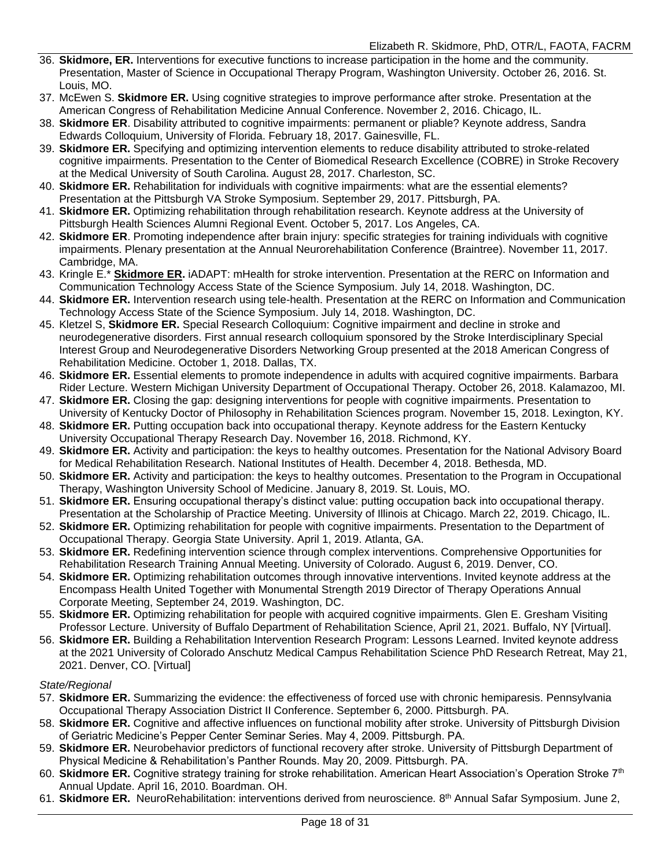- 36. **Skidmore, ER.** Interventions for executive functions to increase participation in the home and the community. Presentation, Master of Science in Occupational Therapy Program, Washington University. October 26, 2016. St. Louis, MO.
- 37. McEwen S. **Skidmore ER.** Using cognitive strategies to improve performance after stroke. Presentation at the American Congress of Rehabilitation Medicine Annual Conference. November 2, 2016. Chicago, IL.
- 38. **Skidmore ER**. Disability attributed to cognitive impairments: permanent or pliable? Keynote address, Sandra Edwards Colloquium, University of Florida. February 18, 2017. Gainesville, FL.
- 39. **Skidmore ER.** Specifying and optimizing intervention elements to reduce disability attributed to stroke-related cognitive impairments. Presentation to the Center of Biomedical Research Excellence (COBRE) in Stroke Recovery at the Medical University of South Carolina. August 28, 2017. Charleston, SC.
- 40. **Skidmore ER.** Rehabilitation for individuals with cognitive impairments: what are the essential elements? Presentation at the Pittsburgh VA Stroke Symposium. September 29, 2017. Pittsburgh, PA.
- 41. **Skidmore ER.** Optimizing rehabilitation through rehabilitation research. Keynote address at the University of Pittsburgh Health Sciences Alumni Regional Event. October 5, 2017. Los Angeles, CA.
- 42. **Skidmore ER**. Promoting independence after brain injury: specific strategies for training individuals with cognitive impairments. Plenary presentation at the Annual Neurorehabilitation Conference (Braintree). November 11, 2017. Cambridge, MA.
- 43. Kringle E.\* **Skidmore ER.** iADAPT: mHealth for stroke intervention. Presentation at the RERC on Information and Communication Technology Access State of the Science Symposium. July 14, 2018. Washington, DC.
- 44. **Skidmore ER.** Intervention research using tele-health. Presentation at the RERC on Information and Communication Technology Access State of the Science Symposium. July 14, 2018. Washington, DC.
- 45. Kletzel S, **Skidmore ER.** Special Research Colloquium: Cognitive impairment and decline in stroke and neurodegenerative disorders. First annual research colloquium sponsored by the Stroke Interdisciplinary Special Interest Group and Neurodegenerative Disorders Networking Group presented at the 2018 American Congress of Rehabilitation Medicine. October 1, 2018. Dallas, TX.
- 46. **Skidmore ER.** Essential elements to promote independence in adults with acquired cognitive impairments. Barbara Rider Lecture. Western Michigan University Department of Occupational Therapy. October 26, 2018. Kalamazoo, MI.
- 47. **Skidmore ER.** Closing the gap: designing interventions for people with cognitive impairments. Presentation to University of Kentucky Doctor of Philosophy in Rehabilitation Sciences program. November 15, 2018. Lexington, KY.
- 48. **Skidmore ER.** Putting occupation back into occupational therapy. Keynote address for the Eastern Kentucky University Occupational Therapy Research Day. November 16, 2018. Richmond, KY.
- 49. **Skidmore ER.** Activity and participation: the keys to healthy outcomes. Presentation for the National Advisory Board for Medical Rehabilitation Research. National Institutes of Health. December 4, 2018. Bethesda, MD.
- 50. **Skidmore ER.** Activity and participation: the keys to healthy outcomes. Presentation to the Program in Occupational Therapy, Washington University School of Medicine. January 8, 2019. St. Louis, MO.
- 51. **Skidmore ER.** Ensuring occupational therapy's distinct value: putting occupation back into occupational therapy. Presentation at the Scholarship of Practice Meeting. University of Illinois at Chicago. March 22, 2019. Chicago, IL.
- 52. **Skidmore ER.** Optimizing rehabilitation for people with cognitive impairments. Presentation to the Department of Occupational Therapy. Georgia State University. April 1, 2019. Atlanta, GA.
- 53. **Skidmore ER.** Redefining intervention science through complex interventions. Comprehensive Opportunities for Rehabilitation Research Training Annual Meeting. University of Colorado. August 6, 2019. Denver, CO.
- 54. **Skidmore ER.** Optimizing rehabilitation outcomes through innovative interventions. Invited keynote address at the Encompass Health United Together with Monumental Strength 2019 Director of Therapy Operations Annual Corporate Meeting, September 24, 2019. Washington, DC.
- 55. **Skidmore ER.** Optimizing rehabilitation for people with acquired cognitive impairments. Glen E. Gresham Visiting Professor Lecture. University of Buffalo Department of Rehabilitation Science, April 21, 2021. Buffalo, NY [Virtual].
- 56. **Skidmore ER.** Building a Rehabilitation Intervention Research Program: Lessons Learned. Invited keynote address at the 2021 University of Colorado Anschutz Medical Campus Rehabilitation Science PhD Research Retreat, May 21, 2021. Denver, CO. [Virtual]

#### *State/Regional*

- 57. **Skidmore ER.** Summarizing the evidence: the effectiveness of forced use with chronic hemiparesis. Pennsylvania Occupational Therapy Association District II Conference. September 6, 2000. Pittsburgh. PA.
- 58. **Skidmore ER.** Cognitive and affective influences on functional mobility after stroke. University of Pittsburgh Division of Geriatric Medicine's Pepper Center Seminar Series. May 4, 2009. Pittsburgh. PA.
- 59. **Skidmore ER.** Neurobehavior predictors of functional recovery after stroke. University of Pittsburgh Department of Physical Medicine & Rehabilitation's Panther Rounds. May 20, 2009. Pittsburgh. PA.
- 60. **Skidmore ER.** Cognitive strategy training for stroke rehabilitation. American Heart Association's Operation Stroke 7th Annual Update. April 16, 2010. Boardman. OH.
- 61. **Skidmore ER.** NeuroRehabilitation: interventions derived from neuroscience*.* 8 th Annual Safar Symposium. June 2,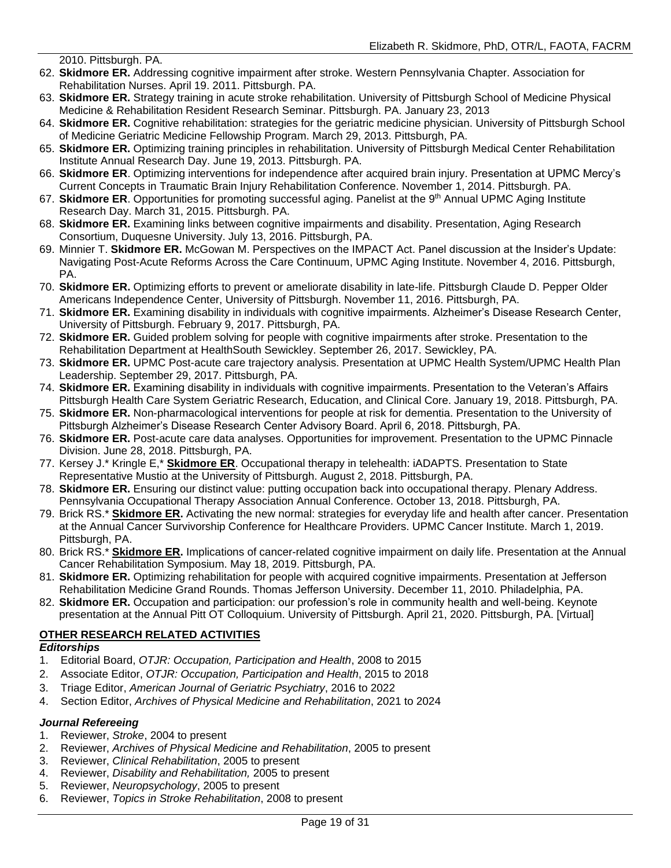2010. Pittsburgh. PA.

- 62. **Skidmore ER.** Addressing cognitive impairment after stroke. Western Pennsylvania Chapter. Association for Rehabilitation Nurses. April 19. 2011. Pittsburgh. PA.
- 63. **Skidmore ER.** Strategy training in acute stroke rehabilitation. University of Pittsburgh School of Medicine Physical Medicine & Rehabilitation Resident Research Seminar. Pittsburgh. PA. January 23, 2013
- 64. **Skidmore ER.** Cognitive rehabilitation: strategies for the geriatric medicine physician. University of Pittsburgh School of Medicine Geriatric Medicine Fellowship Program. March 29, 2013. Pittsburgh, PA.
- 65. **Skidmore ER.** Optimizing training principles in rehabilitation. University of Pittsburgh Medical Center Rehabilitation Institute Annual Research Day. June 19, 2013. Pittsburgh. PA.
- 66. **Skidmore ER**. Optimizing interventions for independence after acquired brain injury. Presentation at UPMC Mercy's Current Concepts in Traumatic Brain Injury Rehabilitation Conference. November 1, 2014. Pittsburgh. PA.
- 67. **Skidmore ER**. Opportunities for promoting successful aging. Panelist at the 9<sup>th</sup> Annual UPMC Aging Institute Research Day. March 31, 2015. Pittsburgh. PA.
- 68. **Skidmore ER.** Examining links between cognitive impairments and disability. Presentation, Aging Research Consortium, Duquesne University. July 13, 2016. Pittsburgh, PA.
- 69. Minnier T. **Skidmore ER.** McGowan M. Perspectives on the IMPACT Act. Panel discussion at the Insider's Update: Navigating Post-Acute Reforms Across the Care Continuum, UPMC Aging Institute. November 4, 2016. Pittsburgh, PA.
- 70. **Skidmore ER.** Optimizing efforts to prevent or ameliorate disability in late-life. Pittsburgh Claude D. Pepper Older Americans Independence Center, University of Pittsburgh. November 11, 2016. Pittsburgh, PA.
- 71. **Skidmore ER.** Examining disability in individuals with cognitive impairments. Alzheimer's Disease Research Center, University of Pittsburgh. February 9, 2017. Pittsburgh, PA.
- 72. **Skidmore ER.** Guided problem solving for people with cognitive impairments after stroke. Presentation to the Rehabilitation Department at HealthSouth Sewickley. September 26, 2017. Sewickley, PA.
- 73. **Skidmore ER.** UPMC Post-acute care trajectory analysis. Presentation at UPMC Health System/UPMC Health Plan Leadership. September 29, 2017. Pittsburgh, PA.
- 74. **Skidmore ER.** Examining disability in individuals with cognitive impairments. Presentation to the Veteran's Affairs Pittsburgh Health Care System Geriatric Research, Education, and Clinical Core. January 19, 2018. Pittsburgh, PA.
- 75. **Skidmore ER.** Non-pharmacological interventions for people at risk for dementia. Presentation to the University of Pittsburgh Alzheimer's Disease Research Center Advisory Board. April 6, 2018. Pittsburgh, PA.
- 76. **Skidmore ER.** Post-acute care data analyses. Opportunities for improvement. Presentation to the UPMC Pinnacle Division. June 28, 2018. Pittsburgh, PA.
- 77. Kersey J.\* Kringle E,\* **Skidmore ER**. Occupational therapy in telehealth: iADAPTS. Presentation to State Representative Mustio at the University of Pittsburgh. August 2, 2018. Pittsburgh, PA.
- 78. **Skidmore ER.** Ensuring our distinct value: putting occupation back into occupational therapy. Plenary Address. Pennsylvania Occupational Therapy Association Annual Conference. October 13, 2018. Pittsburgh, PA.
- 79. Brick RS.\* **Skidmore ER.** Activating the new normal: strategies for everyday life and health after cancer. Presentation at the Annual Cancer Survivorship Conference for Healthcare Providers. UPMC Cancer Institute. March 1, 2019. Pittsburgh, PA.
- 80. Brick RS.\* **Skidmore ER.** Implications of cancer-related cognitive impairment on daily life. Presentation at the Annual Cancer Rehabilitation Symposium. May 18, 2019. Pittsburgh, PA.
- 81. **Skidmore ER.** Optimizing rehabilitation for people with acquired cognitive impairments. Presentation at Jefferson Rehabilitation Medicine Grand Rounds. Thomas Jefferson University. December 11, 2010. Philadelphia, PA.
- 82. **Skidmore ER.** Occupation and participation: our profession's role in community health and well-being. Keynote presentation at the Annual Pitt OT Colloquium. University of Pittsburgh. April 21, 2020. Pittsburgh, PA. [Virtual]

#### **OTHER RESEARCH RELATED ACTIVITIES**

#### *Editorships*

- 1. Editorial Board, *OTJR: Occupation, Participation and Health*, 2008 to 2015
- 2. Associate Editor, *OTJR: Occupation, Participation and Health*, 2015 to 2018
- 3. Triage Editor, *American Journal of Geriatric Psychiatry*, 2016 to 2022
- 4. Section Editor, *Archives of Physical Medicine and Rehabilitation*, 2021 to 2024

#### *Journal Refereeing*

- 1. Reviewer, *Stroke*, 2004 to present
- 2. Reviewer, *Archives of Physical Medicine and Rehabilitation*, 2005 to present
- 3. Reviewer, *Clinical Rehabilitation*, 2005 to present
- 4. Reviewer, *Disability and Rehabilitation,* 2005 to present
- 5. Reviewer, *Neuropsychology*, 2005 to present
- 6. Reviewer, *Topics in Stroke Rehabilitation*, 2008 to present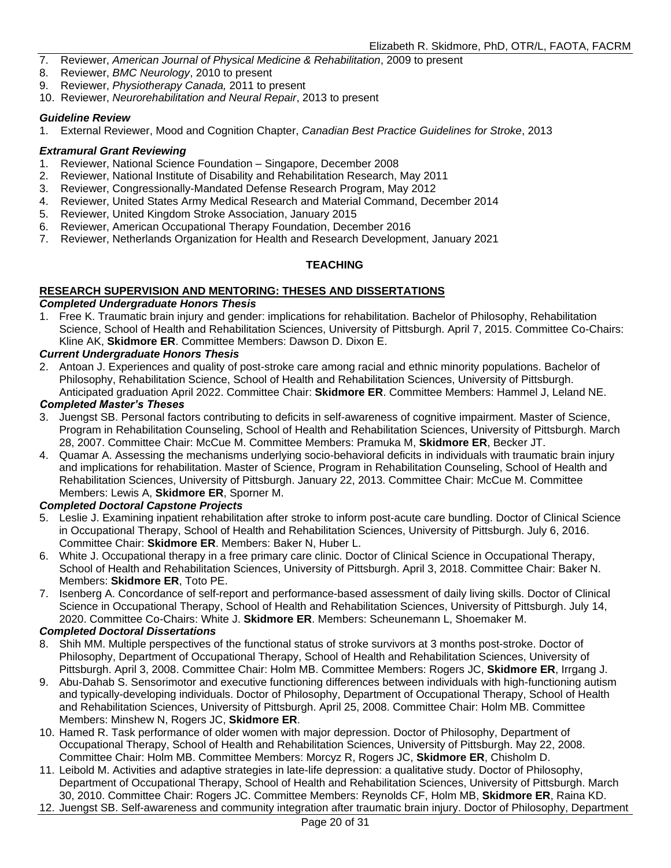- 7. Reviewer, *American Journal of Physical Medicine & Rehabilitation*, 2009 to present
- 8. Reviewer, *BMC Neurology*, 2010 to present
- 9. Reviewer, *Physiotherapy Canada,* 2011 to present
- 10. Reviewer, *Neurorehabilitation and Neural Repair*, 2013 to present

#### *Guideline Review*

1. External Reviewer, Mood and Cognition Chapter, *Canadian Best Practice Guidelines for Stroke*, 2013

#### *Extramural Grant Reviewing*

- 1. Reviewer, National Science Foundation Singapore, December 2008
- 2. Reviewer, National Institute of Disability and Rehabilitation Research, May 2011
- 3. Reviewer, Congressionally-Mandated Defense Research Program, May 2012
- 4. Reviewer, United States Army Medical Research and Material Command, December 2014
- 5. Reviewer, United Kingdom Stroke Association, January 2015
- 6. Reviewer, American Occupational Therapy Foundation, December 2016
- 7. Reviewer, Netherlands Organization for Health and Research Development, January 2021

#### **TEACHING**

### **RESEARCH SUPERVISION AND MENTORING: THESES AND DISSERTATIONS**

#### *Completed Undergraduate Honors Thesis*

1. Free K. Traumatic brain injury and gender: implications for rehabilitation. Bachelor of Philosophy, Rehabilitation Science, School of Health and Rehabilitation Sciences, University of Pittsburgh. April 7, 2015. Committee Co-Chairs: Kline AK, **Skidmore ER**. Committee Members: Dawson D. Dixon E.

#### *Current Undergraduate Honors Thesis*

2. Antoan J. Experiences and quality of post-stroke care among racial and ethnic minority populations. Bachelor of Philosophy, Rehabilitation Science, School of Health and Rehabilitation Sciences, University of Pittsburgh. Anticipated graduation April 2022. Committee Chair: **Skidmore ER**. Committee Members: Hammel J, Leland NE.

#### *Completed Master's Theses*

- 3. Juengst SB. Personal factors contributing to deficits in self-awareness of cognitive impairment. Master of Science, Program in Rehabilitation Counseling, School of Health and Rehabilitation Sciences, University of Pittsburgh. March 28, 2007. Committee Chair: McCue M. Committee Members: Pramuka M, **Skidmore ER**, Becker JT.
- 4. Quamar A. Assessing the mechanisms underlying socio-behavioral deficits in individuals with traumatic brain injury and implications for rehabilitation. Master of Science, Program in Rehabilitation Counseling, School of Health and Rehabilitation Sciences, University of Pittsburgh. January 22, 2013. Committee Chair: McCue M. Committee Members: Lewis A, **Skidmore ER**, Sporner M.

#### *Completed Doctoral Capstone Projects*

- 5. Leslie J. Examining inpatient rehabilitation after stroke to inform post-acute care bundling. Doctor of Clinical Science in Occupational Therapy, School of Health and Rehabilitation Sciences, University of Pittsburgh. July 6, 2016. Committee Chair: **Skidmore ER**. Members: Baker N, Huber L.
- 6. White J. Occupational therapy in a free primary care clinic. Doctor of Clinical Science in Occupational Therapy, School of Health and Rehabilitation Sciences, University of Pittsburgh. April 3, 2018. Committee Chair: Baker N. Members: **Skidmore ER**, Toto PE.
- 7. Isenberg A. Concordance of self-report and performance-based assessment of daily living skills. Doctor of Clinical Science in Occupational Therapy, School of Health and Rehabilitation Sciences, University of Pittsburgh. July 14, 2020. Committee Co-Chairs: White J. **Skidmore ER**. Members: Scheunemann L, Shoemaker M.

#### *Completed Doctoral Dissertations*

- 8. Shih MM. Multiple perspectives of the functional status of stroke survivors at 3 months post-stroke. Doctor of Philosophy, Department of Occupational Therapy, School of Health and Rehabilitation Sciences, University of Pittsburgh. April 3, 2008. Committee Chair: Holm MB. Committee Members: Rogers JC, **Skidmore ER**, Irrgang J.
- 9. Abu-Dahab S. Sensorimotor and executive functioning differences between individuals with high-functioning autism and typically-developing individuals. Doctor of Philosophy, Department of Occupational Therapy, School of Health and Rehabilitation Sciences, University of Pittsburgh. April 25, 2008. Committee Chair: Holm MB. Committee Members: Minshew N, Rogers JC, **Skidmore ER**.
- 10. Hamed R. Task performance of older women with major depression. Doctor of Philosophy, Department of Occupational Therapy, School of Health and Rehabilitation Sciences, University of Pittsburgh. May 22, 2008. Committee Chair: Holm MB. Committee Members: Morcyz R, Rogers JC, **Skidmore ER**, Chisholm D.
- 11. Leibold M. Activities and adaptive strategies in late-life depression: a qualitative study. Doctor of Philosophy, Department of Occupational Therapy, School of Health and Rehabilitation Sciences, University of Pittsburgh. March 30, 2010. Committee Chair: Rogers JC. Committee Members: Reynolds CF, Holm MB, **Skidmore ER**, Raina KD.
- 12. Juengst SB. Self-awareness and community integration after traumatic brain injury. Doctor of Philosophy, Department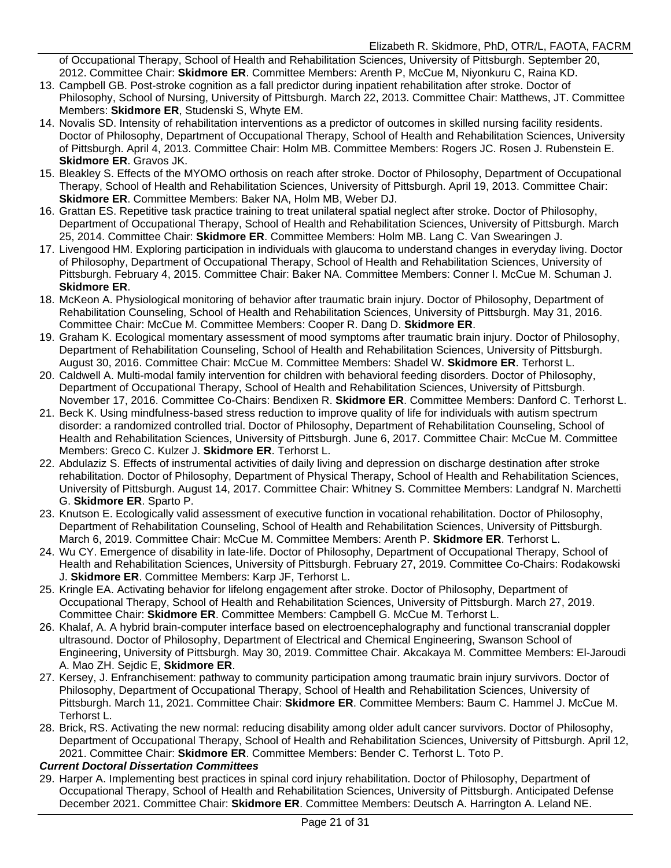of Occupational Therapy, School of Health and Rehabilitation Sciences, University of Pittsburgh. September 20, 2012. Committee Chair: **Skidmore ER**. Committee Members: Arenth P, McCue M, Niyonkuru C, Raina KD.

- 13. Campbell GB. Post-stroke cognition as a fall predictor during inpatient rehabilitation after stroke. Doctor of Philosophy, School of Nursing, University of Pittsburgh. March 22, 2013. Committee Chair: Matthews, JT. Committee Members: **Skidmore ER**, Studenski S, Whyte EM.
- 14. Novalis SD. Intensity of rehabilitation interventions as a predictor of outcomes in skilled nursing facility residents. Doctor of Philosophy, Department of Occupational Therapy, School of Health and Rehabilitation Sciences, University of Pittsburgh. April 4, 2013. Committee Chair: Holm MB. Committee Members: Rogers JC. Rosen J. Rubenstein E. **Skidmore ER**. Gravos JK.
- 15. Bleakley S. Effects of the MYOMO orthosis on reach after stroke. Doctor of Philosophy, Department of Occupational Therapy, School of Health and Rehabilitation Sciences, University of Pittsburgh. April 19, 2013. Committee Chair: **Skidmore ER**. Committee Members: Baker NA, Holm MB, Weber DJ.
- 16. Grattan ES. Repetitive task practice training to treat unilateral spatial neglect after stroke. Doctor of Philosophy, Department of Occupational Therapy, School of Health and Rehabilitation Sciences, University of Pittsburgh. March 25, 2014. Committee Chair: **Skidmore ER**. Committee Members: Holm MB. Lang C. Van Swearingen J.
- 17. Livengood HM. Exploring participation in individuals with glaucoma to understand changes in everyday living. Doctor of Philosophy, Department of Occupational Therapy, School of Health and Rehabilitation Sciences, University of Pittsburgh. February 4, 2015. Committee Chair: Baker NA. Committee Members: Conner I. McCue M. Schuman J. **Skidmore ER**.
- 18. McKeon A. Physiological monitoring of behavior after traumatic brain injury. Doctor of Philosophy, Department of Rehabilitation Counseling, School of Health and Rehabilitation Sciences, University of Pittsburgh. May 31, 2016. Committee Chair: McCue M. Committee Members: Cooper R. Dang D. **Skidmore ER**.
- 19. Graham K. Ecological momentary assessment of mood symptoms after traumatic brain injury. Doctor of Philosophy, Department of Rehabilitation Counseling, School of Health and Rehabilitation Sciences, University of Pittsburgh. August 30, 2016. Committee Chair: McCue M. Committee Members: Shadel W. **Skidmore ER**. Terhorst L.
- 20. Caldwell A. Multi-modal family intervention for children with behavioral feeding disorders. Doctor of Philosophy, Department of Occupational Therapy, School of Health and Rehabilitation Sciences, University of Pittsburgh. November 17, 2016. Committee Co-Chairs: Bendixen R. **Skidmore ER**. Committee Members: Danford C. Terhorst L.
- 21. Beck K. Using mindfulness-based stress reduction to improve quality of life for individuals with autism spectrum disorder: a randomized controlled trial. Doctor of Philosophy, Department of Rehabilitation Counseling, School of Health and Rehabilitation Sciences, University of Pittsburgh. June 6, 2017. Committee Chair: McCue M. Committee Members: Greco C. Kulzer J. **Skidmore ER**. Terhorst L.
- 22. Abdulaziz S. Effects of instrumental activities of daily living and depression on discharge destination after stroke rehabilitation. Doctor of Philosophy, Department of Physical Therapy, School of Health and Rehabilitation Sciences, University of Pittsburgh. August 14, 2017. Committee Chair: Whitney S. Committee Members: Landgraf N. Marchetti G. **Skidmore ER**. Sparto P.
- 23. Knutson E. Ecologically valid assessment of executive function in vocational rehabilitation. Doctor of Philosophy, Department of Rehabilitation Counseling, School of Health and Rehabilitation Sciences, University of Pittsburgh. March 6, 2019. Committee Chair: McCue M. Committee Members: Arenth P. **Skidmore ER**. Terhorst L.
- 24. Wu CY. Emergence of disability in late-life. Doctor of Philosophy, Department of Occupational Therapy, School of Health and Rehabilitation Sciences, University of Pittsburgh. February 27, 2019. Committee Co-Chairs: Rodakowski J. **Skidmore ER**. Committee Members: Karp JF, Terhorst L.
- 25. Kringle EA. Activating behavior for lifelong engagement after stroke. Doctor of Philosophy, Department of Occupational Therapy, School of Health and Rehabilitation Sciences, University of Pittsburgh. March 27, 2019. Committee Chair: **Skidmore ER**. Committee Members: Campbell G. McCue M. Terhorst L.
- 26. Khalaf, A. A hybrid brain-computer interface based on electroencephalography and functional transcranial doppler ultrasound. Doctor of Philosophy, Department of Electrical and Chemical Engineering, Swanson School of Engineering, University of Pittsburgh. May 30, 2019. Committee Chair. Akcakaya M. Committee Members: El-Jaroudi A. Mao ZH. Sejdic E, **Skidmore ER**.
- 27. Kersey, J. Enfranchisement: pathway to community participation among traumatic brain injury survivors. Doctor of Philosophy, Department of Occupational Therapy, School of Health and Rehabilitation Sciences, University of Pittsburgh. March 11, 2021. Committee Chair: **Skidmore ER**. Committee Members: Baum C. Hammel J. McCue M. Terhorst L.
- 28. Brick, RS. Activating the new normal: reducing disability among older adult cancer survivors. Doctor of Philosophy, Department of Occupational Therapy, School of Health and Rehabilitation Sciences, University of Pittsburgh. April 12, 2021. Committee Chair: **Skidmore ER**. Committee Members: Bender C. Terhorst L. Toto P.

#### *Current Doctoral Dissertation Committees*

29. Harper A. Implementing best practices in spinal cord injury rehabilitation. Doctor of Philosophy, Department of Occupational Therapy, School of Health and Rehabilitation Sciences, University of Pittsburgh. Anticipated Defense December 2021. Committee Chair: **Skidmore ER**. Committee Members: Deutsch A. Harrington A. Leland NE.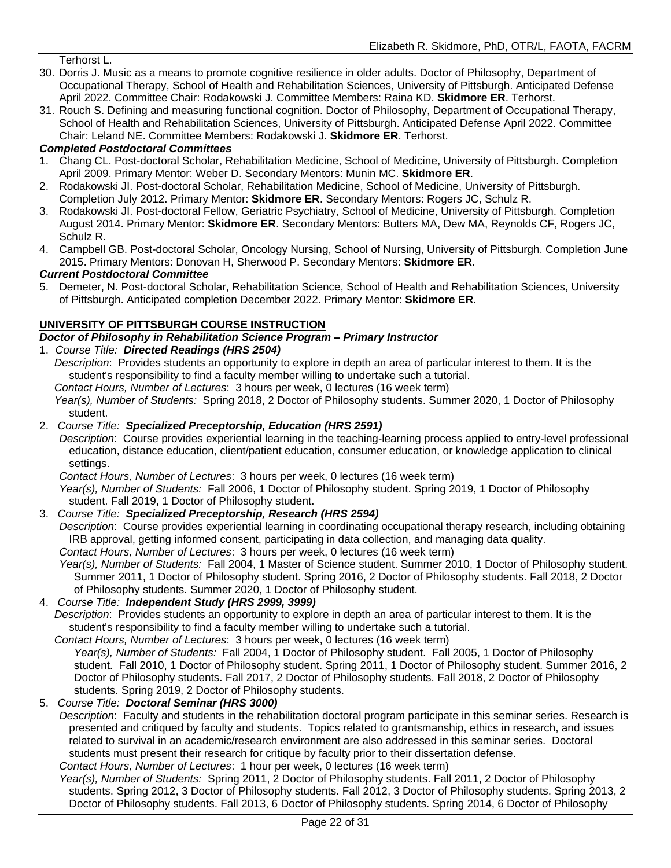Terhorst L.

- 30. Dorris J. Music as a means to promote cognitive resilience in older adults. Doctor of Philosophy, Department of Occupational Therapy, School of Health and Rehabilitation Sciences, University of Pittsburgh. Anticipated Defense April 2022. Committee Chair: Rodakowski J. Committee Members: Raina KD. **Skidmore ER**. Terhorst.
- 31. Rouch S. Defining and measuring functional cognition. Doctor of Philosophy, Department of Occupational Therapy, School of Health and Rehabilitation Sciences, University of Pittsburgh. Anticipated Defense April 2022. Committee Chair: Leland NE. Committee Members: Rodakowski J. **Skidmore ER**. Terhorst.

#### *Completed Postdoctoral Committees*

- 1. Chang CL. Post-doctoral Scholar, Rehabilitation Medicine, School of Medicine, University of Pittsburgh. Completion April 2009. Primary Mentor: Weber D. Secondary Mentors: Munin MC. **Skidmore ER**.
- 2. Rodakowski JI. Post-doctoral Scholar, Rehabilitation Medicine, School of Medicine, University of Pittsburgh. Completion July 2012. Primary Mentor: **Skidmore ER**. Secondary Mentors: Rogers JC, Schulz R.
- 3. Rodakowski JI. Post-doctoral Fellow, Geriatric Psychiatry, School of Medicine, University of Pittsburgh. Completion August 2014. Primary Mentor: **Skidmore ER**. Secondary Mentors: Butters MA, Dew MA, Reynolds CF, Rogers JC, Schulz R.
- 4. Campbell GB. Post-doctoral Scholar, Oncology Nursing, School of Nursing, University of Pittsburgh. Completion June 2015. Primary Mentors: Donovan H, Sherwood P. Secondary Mentors: **Skidmore ER**.

#### *Current Postdoctoral Committee*

5. Demeter, N. Post-doctoral Scholar, Rehabilitation Science, School of Health and Rehabilitation Sciences, University of Pittsburgh. Anticipated completion December 2022. Primary Mentor: **Skidmore ER**.

#### **UNIVERSITY OF PITTSBURGH COURSE INSTRUCTION**

*Doctor of Philosophy in Rehabilitation Science Program – Primary Instructor*

#### 1. *Course Title: Directed Readings (HRS 2504)*

*Description*: Provides students an opportunity to explore in depth an area of particular interest to them. It is the student's responsibility to find a faculty member willing to undertake such a tutorial.

*Contact Hours, Number of Lectures*: 3 hours per week, 0 lectures (16 week term)

*Year(s), Number of Students:* Spring 2018, 2 Doctor of Philosophy students. Summer 2020, 1 Doctor of Philosophy student.

#### 2. *Course Title: Specialized Preceptorship, Education (HRS 2591)*

*Description*:Course provides experiential learning in the teaching-learning process applied to entry-level professional education, distance education, client/patient education, consumer education, or knowledge application to clinical settings.

*Contact Hours, Number of Lectures*: 3 hours per week, 0 lectures (16 week term)

*Year(s), Number of Students:* Fall 2006, 1 Doctor of Philosophy student. Spring 2019, 1 Doctor of Philosophy student. Fall 2019, 1 Doctor of Philosophy student.

#### 3. *Course Title: Specialized Preceptorship, Research (HRS 2594)*

*Description*:Course provides experiential learning in coordinating occupational therapy research, including obtaining IRB approval, getting informed consent, participating in data collection, and managing data quality. *Contact Hours, Number of Lectures*: 3 hours per week, 0 lectures (16 week term)

*Year(s), Number of Students:* Fall 2004, 1 Master of Science student. Summer 2010, 1 Doctor of Philosophy student. Summer 2011, 1 Doctor of Philosophy student. Spring 2016, 2 Doctor of Philosophy students. Fall 2018, 2 Doctor of Philosophy students. Summer 2020, 1 Doctor of Philosophy student.

#### 4. *Course Title: Independent Study (HRS 2999, 3999)*

*Description*: Provides students an opportunity to explore in depth an area of particular interest to them. It is the student's responsibility to find a faculty member willing to undertake such a tutorial.

*Contact Hours, Number of Lectures*: 3 hours per week, 0 lectures (16 week term)

*Year(s), Number of Students:* Fall 2004, 1 Doctor of Philosophy student. Fall 2005, 1 Doctor of Philosophy student. Fall 2010, 1 Doctor of Philosophy student. Spring 2011, 1 Doctor of Philosophy student. Summer 2016, 2 Doctor of Philosophy students. Fall 2017, 2 Doctor of Philosophy students. Fall 2018, 2 Doctor of Philosophy students. Spring 2019, 2 Doctor of Philosophy students.

#### 5. *Course Title: Doctoral Seminar (HRS 3000)*

*Description*: Faculty and students in the rehabilitation doctoral program participate in this seminar series. Research is presented and critiqued by faculty and students. Topics related to grantsmanship, ethics in research, and issues related to survival in an academic/research environment are also addressed in this seminar series. Doctoral students must present their research for critique by faculty prior to their dissertation defense.

#### *Contact Hours, Number of Lectures*: 1 hour per week, 0 lectures (16 week term)

*Year(s), Number of Students:* Spring 2011, 2 Doctor of Philosophy students. Fall 2011, 2 Doctor of Philosophy students. Spring 2012, 3 Doctor of Philosophy students. Fall 2012, 3 Doctor of Philosophy students. Spring 2013, 2 Doctor of Philosophy students. Fall 2013, 6 Doctor of Philosophy students. Spring 2014, 6 Doctor of Philosophy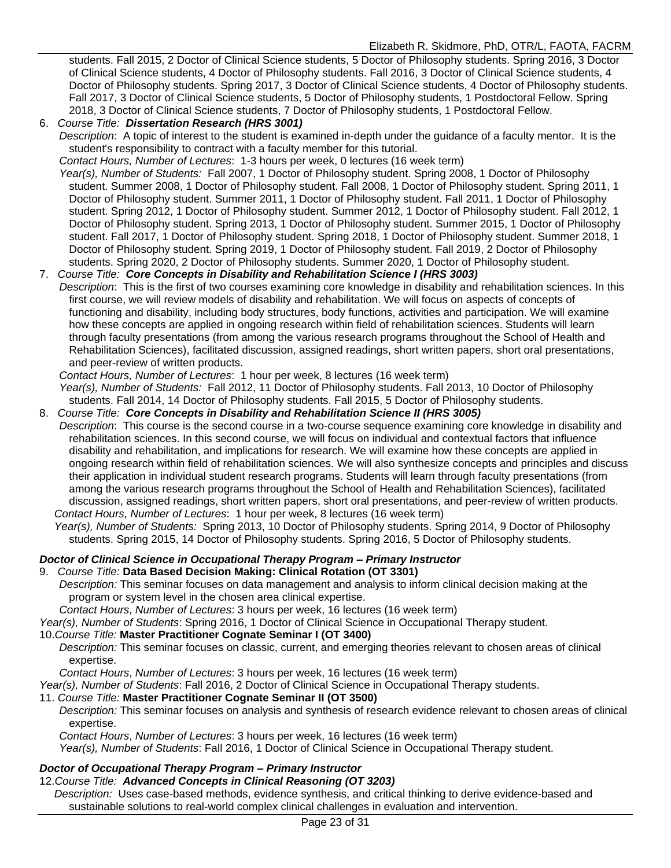students. Fall 2015, 2 Doctor of Clinical Science students, 5 Doctor of Philosophy students. Spring 2016, 3 Doctor of Clinical Science students, 4 Doctor of Philosophy students. Fall 2016, 3 Doctor of Clinical Science students, 4 Doctor of Philosophy students. Spring 2017, 3 Doctor of Clinical Science students, 4 Doctor of Philosophy students. Fall 2017, 3 Doctor of Clinical Science students, 5 Doctor of Philosophy students, 1 Postdoctoral Fellow. Spring 2018, 3 Doctor of Clinical Science students, 7 Doctor of Philosophy students, 1 Postdoctoral Fellow.

#### 6. *Course Title: Dissertation Research (HRS 3001)*

*Description*: A topic of interest to the student is examined in-depth under the guidance of a faculty mentor. It is the student's responsibility to contract with a faculty member for this tutorial.

*Contact Hours, Number of Lectures*: 1-3 hours per week, 0 lectures (16 week term)

*Year(s), Number of Students:* Fall 2007, 1 Doctor of Philosophy student. Spring 2008, 1 Doctor of Philosophy student. Summer 2008, 1 Doctor of Philosophy student. Fall 2008, 1 Doctor of Philosophy student. Spring 2011, 1 Doctor of Philosophy student. Summer 2011, 1 Doctor of Philosophy student. Fall 2011, 1 Doctor of Philosophy student. Spring 2012, 1 Doctor of Philosophy student. Summer 2012, 1 Doctor of Philosophy student. Fall 2012, 1 Doctor of Philosophy student. Spring 2013, 1 Doctor of Philosophy student. Summer 2015, 1 Doctor of Philosophy student. Fall 2017, 1 Doctor of Philosophy student. Spring 2018, 1 Doctor of Philosophy student. Summer 2018, 1 Doctor of Philosophy student. Spring 2019, 1 Doctor of Philosophy student. Fall 2019, 2 Doctor of Philosophy students. Spring 2020, 2 Doctor of Philosophy students. Summer 2020, 1 Doctor of Philosophy student.

#### 7. *Course Title: Core Concepts in Disability and Rehabilitation Science I (HRS 3003)*

*Description*: This is the first of two courses examining core knowledge in disability and rehabilitation sciences. In this first course, we will review models of disability and rehabilitation. We will focus on aspects of concepts of functioning and disability, including body structures, body functions, activities and participation. We will examine how these concepts are applied in ongoing research within field of rehabilitation sciences. Students will learn through faculty presentations (from among the various research programs throughout the School of Health and Rehabilitation Sciences), facilitated discussion, assigned readings, short written papers, short oral presentations, and peer-review of written products.

*Contact Hours, Number of Lectures*: 1 hour per week, 8 lectures (16 week term)

*Year(s), Number of Students:* Fall 2012, 11 Doctor of Philosophy students. Fall 2013, 10 Doctor of Philosophy students. Fall 2014, 14 Doctor of Philosophy students. Fall 2015, 5 Doctor of Philosophy students.

8. *Course Title: Core Concepts in Disability and Rehabilitation Science II (HRS 3005)*

*Description*: This course is the second course in a two-course sequence examining core knowledge in disability and rehabilitation sciences. In this second course, we will focus on individual and contextual factors that influence disability and rehabilitation, and implications for research. We will examine how these concepts are applied in ongoing research within field of rehabilitation sciences. We will also synthesize concepts and principles and discuss their application in individual student research programs. Students will learn through faculty presentations (from among the various research programs throughout the School of Health and Rehabilitation Sciences), facilitated discussion, assigned readings, short written papers, short oral presentations, and peer-review of written products. *Contact Hours, Number of Lectures*: 1 hour per week, 8 lectures (16 week term)

*Year(s), Number of Students:* Spring 2013, 10 Doctor of Philosophy students. Spring 2014, 9 Doctor of Philosophy students. Spring 2015, 14 Doctor of Philosophy students. Spring 2016, 5 Doctor of Philosophy students.

#### *Doctor of Clinical Science in Occupational Therapy Program – Primary Instructor*

9. *Course Title:* **Data Based Decision Making: Clinical Rotation (OT 3301)**

*Description:* This seminar focuses on data management and analysis to inform clinical decision making at the program or system level in the chosen area clinical expertise.

*Contact Hours*, *Number of Lectures*: 3 hours per week, 16 lectures (16 week term)

*Year(s), Number of Students*: Spring 2016, 1 Doctor of Clinical Science in Occupational Therapy student.

#### 10.*Course Title:* **Master Practitioner Cognate Seminar I (OT 3400)**

*Description:* This seminar focuses on classic, current, and emerging theories relevant to chosen areas of clinical expertise.

*Contact Hours*, *Number of Lectures*: 3 hours per week, 16 lectures (16 week term)

*Year(s), Number of Students*: Fall 2016, 2 Doctor of Clinical Science in Occupational Therapy students.

#### 11. *Course Title:* **Master Practitioner Cognate Seminar II (OT 3500)**

*Description:* This seminar focuses on analysis and synthesis of research evidence relevant to chosen areas of clinical expertise.

*Contact Hours*, *Number of Lectures*: 3 hours per week, 16 lectures (16 week term)

*Year(s), Number of Students*: Fall 2016, 1 Doctor of Clinical Science in Occupational Therapy student.

#### *Doctor of Occupational Therapy Program – Primary Instructor*

12.*Course Title: Advanced Concepts in Clinical Reasoning (OT 3203)*

*Description:* Uses case-based methods, evidence synthesis, and critical thinking to derive evidence-based and sustainable solutions to real-world complex clinical challenges in evaluation and intervention.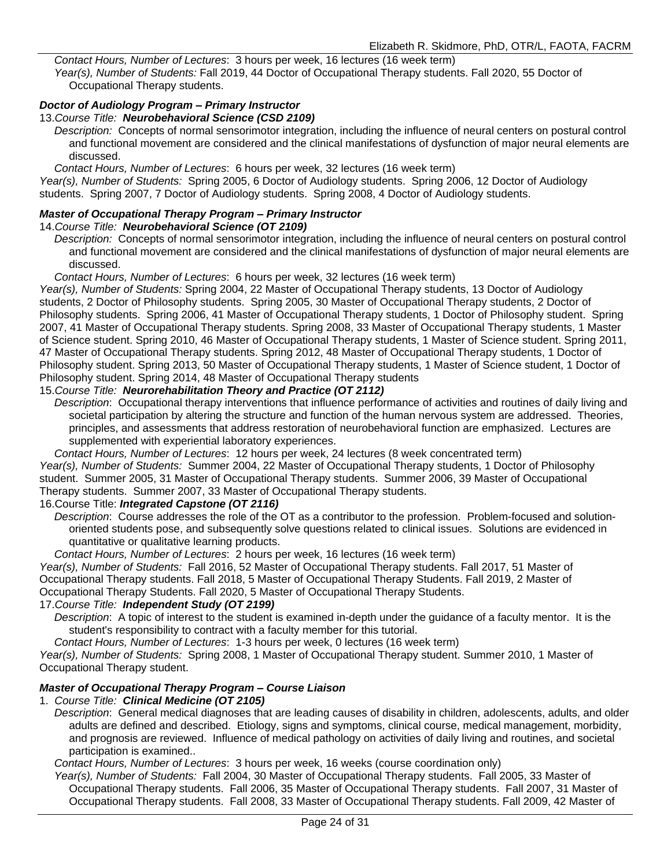*Contact Hours, Number of Lectures*: 3 hours per week, 16 lectures (16 week term) *Year(s), Number of Students:* Fall 2019, 44 Doctor of Occupational Therapy students. Fall 2020, 55 Doctor of Occupational Therapy students.

#### *Doctor of Audiology Program – Primary Instructor*

#### 13.*Course Title: Neurobehavioral Science (CSD 2109)*

*Description:* Concepts of normal sensorimotor integration, including the influence of neural centers on postural control and functional movement are considered and the clinical manifestations of dysfunction of major neural elements are discussed.

*Contact Hours, Number of Lectures*: 6 hours per week, 32 lectures (16 week term)

*Year(s), Number of Students:* Spring 2005, 6 Doctor of Audiology students. Spring 2006, 12 Doctor of Audiology students. Spring 2007, 7 Doctor of Audiology students. Spring 2008, 4 Doctor of Audiology students.

#### *Master of Occupational Therapy Program – Primary Instructor*  14.*Course Title: Neurobehavioral Science (OT 2109)*

*Description:* Concepts of normal sensorimotor integration, including the influence of neural centers on postural control and functional movement are considered and the clinical manifestations of dysfunction of major neural elements are discussed.

*Contact Hours, Number of Lectures*: 6 hours per week, 32 lectures (16 week term)

*Year(s), Number of Students:* Spring 2004, 22 Master of Occupational Therapy students, 13 Doctor of Audiology students, 2 Doctor of Philosophy students. Spring 2005, 30 Master of Occupational Therapy students, 2 Doctor of Philosophy students. Spring 2006, 41 Master of Occupational Therapy students, 1 Doctor of Philosophy student. Spring 2007, 41 Master of Occupational Therapy students. Spring 2008, 33 Master of Occupational Therapy students, 1 Master of Science student. Spring 2010, 46 Master of Occupational Therapy students, 1 Master of Science student. Spring 2011, 47 Master of Occupational Therapy students. Spring 2012, 48 Master of Occupational Therapy students, 1 Doctor of Philosophy student. Spring 2013, 50 Master of Occupational Therapy students, 1 Master of Science student, 1 Doctor of Philosophy student. Spring 2014, 48 Master of Occupational Therapy students

#### 15.*Course Title: Neurorehabilitation Theory and Practice (OT 2112)*

*Description*: Occupational therapy interventions that influence performance of activities and routines of daily living and societal participation by altering the structure and function of the human nervous system are addressed. Theories, principles, and assessments that address restoration of neurobehavioral function are emphasized. Lectures are supplemented with experiential laboratory experiences.

*Contact Hours, Number of Lectures*: 12 hours per week, 24 lectures (8 week concentrated term) *Year(s), Number of Students:* Summer 2004, 22 Master of Occupational Therapy students, 1 Doctor of Philosophy student. Summer 2005, 31 Master of Occupational Therapy students. Summer 2006, 39 Master of Occupational Therapy students. Summer 2007, 33 Master of Occupational Therapy students.

#### 16.Course Title: *Integrated Capstone (OT 2116)*

*Description*: Course addresses the role of the OT as a contributor to the profession. Problem-focused and solutionoriented students pose, and subsequently solve questions related to clinical issues. Solutions are evidenced in quantitative or qualitative learning products.

*Contact Hours, Number of Lectures*: 2 hours per week, 16 lectures (16 week term)

*Year(s), Number of Students:* Fall 2016, 52 Master of Occupational Therapy students. Fall 2017, 51 Master of Occupational Therapy students. Fall 2018, 5 Master of Occupational Therapy Students. Fall 2019, 2 Master of Occupational Therapy Students. Fall 2020, 5 Master of Occupational Therapy Students.

#### 17.*Course Title: Independent Study (OT 2199)*

*Description*: A topic of interest to the student is examined in-depth under the guidance of a faculty mentor. It is the student's responsibility to contract with a faculty member for this tutorial.

*Contact Hours, Number of Lectures*: 1-3 hours per week, 0 lectures (16 week term)

*Year(s), Number of Students:* Spring 2008, 1 Master of Occupational Therapy student. Summer 2010, 1 Master of Occupational Therapy student.

#### *Master of Occupational Therapy Program – Course Liaison*

#### 1. *Course Title: Clinical Medicine (OT 2105)*

*Description*: General medical diagnoses that are leading causes of disability in children, adolescents, adults, and older adults are defined and described. Etiology, signs and symptoms, clinical course, medical management, morbidity, and prognosis are reviewed. Influence of medical pathology on activities of daily living and routines, and societal participation is examined..

*Contact Hours, Number of Lectures*: 3 hours per week, 16 weeks (course coordination only)

*Year(s), Number of Students:* Fall 2004, 30 Master of Occupational Therapy students. Fall 2005, 33 Master of Occupational Therapy students. Fall 2006, 35 Master of Occupational Therapy students. Fall 2007, 31 Master of Occupational Therapy students. Fall 2008, 33 Master of Occupational Therapy students. Fall 2009, 42 Master of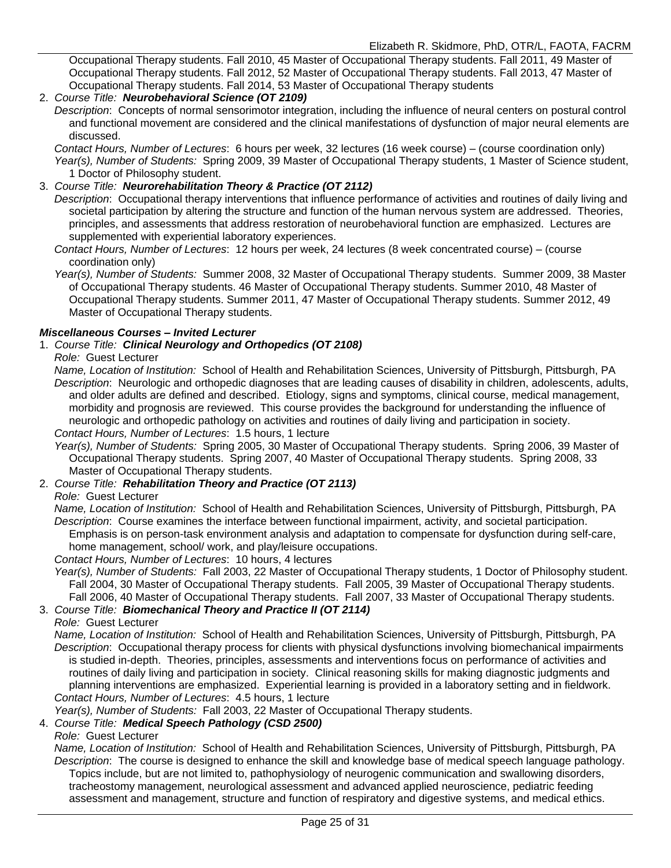Occupational Therapy students. Fall 2010, 45 Master of Occupational Therapy students. Fall 2011, 49 Master of Occupational Therapy students. Fall 2012, 52 Master of Occupational Therapy students. Fall 2013, 47 Master of Occupational Therapy students. Fall 2014, 53 Master of Occupational Therapy students

#### 2. *Course Title: Neurobehavioral Science (OT 2109)*

*Description*: Concepts of normal sensorimotor integration, including the influence of neural centers on postural control and functional movement are considered and the clinical manifestations of dysfunction of major neural elements are discussed.

*Contact Hours, Number of Lectures*: 6 hours per week, 32 lectures (16 week course) – (course coordination only) *Year(s), Number of Students:* Spring 2009, 39 Master of Occupational Therapy students, 1 Master of Science student, 1 Doctor of Philosophy student.

#### 3. *Course Title: Neurorehabilitation Theory & Practice (OT 2112)*

*Description*: Occupational therapy interventions that influence performance of activities and routines of daily living and societal participation by altering the structure and function of the human nervous system are addressed. Theories, principles, and assessments that address restoration of neurobehavioral function are emphasized. Lectures are supplemented with experiential laboratory experiences.

*Contact Hours, Number of Lectures*: 12 hours per week, 24 lectures (8 week concentrated course) – (course coordination only)

*Year(s), Number of Students:* Summer 2008, 32 Master of Occupational Therapy students. Summer 2009, 38 Master of Occupational Therapy students. 46 Master of Occupational Therapy students. Summer 2010, 48 Master of Occupational Therapy students. Summer 2011, 47 Master of Occupational Therapy students. Summer 2012, 49 Master of Occupational Therapy students.

#### *Miscellaneous Courses – Invited Lecturer*

#### 1. *Course Title: Clinical Neurology and Orthopedics (OT 2108)*

#### *Role:* Guest Lecturer

*Name, Location of Institution:* School of Health and Rehabilitation Sciences, University of Pittsburgh, Pittsburgh, PA *Description*: Neurologic and orthopedic diagnoses that are leading causes of disability in children, adolescents, adults, and older adults are defined and described. Etiology, signs and symptoms, clinical course, medical management, morbidity and prognosis are reviewed. This course provides the background for understanding the influence of neurologic and orthopedic pathology on activities and routines of daily living and participation in society. *Contact Hours, Number of Lectures*: 1.5 hours, 1 lecture

*Year(s), Number of Students:* Spring 2005, 30 Master of Occupational Therapy students. Spring 2006, 39 Master of Occupational Therapy students. Spring 2007, 40 Master of Occupational Therapy students. Spring 2008, 33 Master of Occupational Therapy students.

#### 2. *Course Title: Rehabilitation Theory and Practice (OT 2113)*

#### *Role:* Guest Lecturer

*Name, Location of Institution:* School of Health and Rehabilitation Sciences, University of Pittsburgh, Pittsburgh, PA *Description*: Course examines the interface between functional impairment, activity, and societal participation. Emphasis is on person-task environment analysis and adaptation to compensate for dysfunction during self-care, home management, school/ work, and play/leisure occupations.

#### *Contact Hours, Number of Lectures*: 10 hours, 4 lectures

*Year(s), Number of Students:* Fall 2003, 22 Master of Occupational Therapy students, 1 Doctor of Philosophy student. Fall 2004, 30 Master of Occupational Therapy students. Fall 2005, 39 Master of Occupational Therapy students. Fall 2006, 40 Master of Occupational Therapy students. Fall 2007, 33 Master of Occupational Therapy students.

#### 3. *Course Title: Biomechanical Theory and Practice II (OT 2114)*

*Role:* Guest Lecturer

*Name, Location of Institution:* School of Health and Rehabilitation Sciences, University of Pittsburgh, Pittsburgh, PA *Description*: Occupational therapy process for clients with physical dysfunctions involving biomechanical impairments is studied in-depth. Theories, principles, assessments and interventions focus on performance of activities and routines of daily living and participation in society. Clinical reasoning skills for making diagnostic judgments and planning interventions are emphasized. Experiential learning is provided in a laboratory setting and in fieldwork. *Contact Hours, Number of Lectures*: 4.5 hours, 1 lecture

*Year(s), Number of Students:* Fall 2003, 22 Master of Occupational Therapy students.

#### 4. *Course Title: Medical Speech Pathology (CSD 2500)*

#### *Role:* Guest Lecturer

*Name, Location of Institution:* School of Health and Rehabilitation Sciences, University of Pittsburgh, Pittsburgh, PA *Description*: The course is designed to enhance the skill and knowledge base of medical speech language pathology. Topics include, but are not limited to, pathophysiology of neurogenic communication and swallowing disorders, tracheostomy management, neurological assessment and advanced applied neuroscience, pediatric feeding assessment and management, structure and function of respiratory and digestive systems, and medical ethics.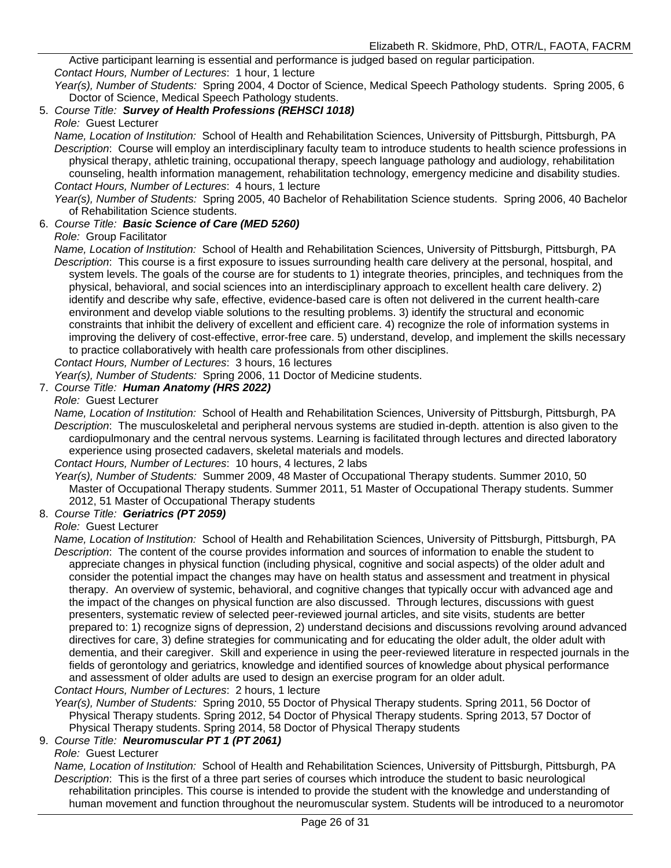Active participant learning is essential and performance is judged based on regular participation. *Contact Hours, Number of Lectures*: 1 hour, 1 lecture

*Year(s), Number of Students:* Spring 2004, 4 Doctor of Science, Medical Speech Pathology students. Spring 2005, 6 Doctor of Science, Medical Speech Pathology students.

#### 5. *Course Title: Survey of Health Professions (REHSCI 1018)*

#### *Role:* Guest Lecturer

*Name, Location of Institution:* School of Health and Rehabilitation Sciences, University of Pittsburgh, Pittsburgh, PA *Description*: Course will employ an interdisciplinary faculty team to introduce students to health science professions in physical therapy, athletic training, occupational therapy, speech language pathology and audiology, rehabilitation counseling, health information management, rehabilitation technology, emergency medicine and disability studies. *Contact Hours, Number of Lectures*: 4 hours, 1 lecture

*Year(s), Number of Students:* Spring 2005, 40 Bachelor of Rehabilitation Science students. Spring 2006, 40 Bachelor of Rehabilitation Science students.

#### 6. *Course Title: Basic Science of Care (MED 5260)*

#### *Role:* Group Facilitator

*Name, Location of Institution:* School of Health and Rehabilitation Sciences, University of Pittsburgh, Pittsburgh, PA *Description*: This course is a first exposure to issues surrounding health care delivery at the personal, hospital, and system levels. The goals of the course are for students to 1) integrate theories, principles, and techniques from the physical, behavioral, and social sciences into an interdisciplinary approach to excellent health care delivery. 2) identify and describe why safe, effective, evidence-based care is often not delivered in the current health-care environment and develop viable solutions to the resulting problems. 3) identify the structural and economic constraints that inhibit the delivery of excellent and efficient care. 4) recognize the role of information systems in improving the delivery of cost-effective, error-free care. 5) understand, develop, and implement the skills necessary to practice collaboratively with health care professionals from other disciplines.

*Contact Hours, Number of Lectures*: 3 hours, 16 lectures

*Year(s), Number of Students:* Spring 2006, 11 Doctor of Medicine students.

#### 7. *Course Title: Human Anatomy (HRS 2022)*

#### *Role:* Guest Lecturer

*Name, Location of Institution:* School of Health and Rehabilitation Sciences, University of Pittsburgh, Pittsburgh, PA *Description*: The musculoskeletal and peripheral nervous systems are studied in-depth. attention is also given to the cardiopulmonary and the central nervous systems. Learning is facilitated through lectures and directed laboratory experience using prosected cadavers, skeletal materials and models.

#### *Contact Hours, Number of Lectures*: 10 hours, 4 lectures, 2 labs

*Year(s), Number of Students:* Summer 2009, 48 Master of Occupational Therapy students. Summer 2010, 50 Master of Occupational Therapy students. Summer 2011, 51 Master of Occupational Therapy students. Summer 2012, 51 Master of Occupational Therapy students

#### 8. *Course Title: Geriatrics (PT 2059)*

#### *Role:* Guest Lecturer

*Name, Location of Institution:* School of Health and Rehabilitation Sciences, University of Pittsburgh, Pittsburgh, PA *Description*: The content of the course provides information and sources of information to enable the student to appreciate changes in physical function (including physical, cognitive and social aspects) of the older adult and consider the potential impact the changes may have on health status and assessment and treatment in physical therapy. An overview of systemic, behavioral, and cognitive changes that typically occur with advanced age and the impact of the changes on physical function are also discussed. Through lectures, discussions with guest presenters, systematic review of selected peer-reviewed journal articles, and site visits, students are better prepared to: 1) recognize signs of depression, 2) understand decisions and discussions revolving around advanced directives for care, 3) define strategies for communicating and for educating the older adult, the older adult with dementia, and their caregiver. Skill and experience in using the peer-reviewed literature in respected journals in the fields of gerontology and geriatrics, knowledge and identified sources of knowledge about physical performance and assessment of older adults are used to design an exercise program for an older adult.

*Contact Hours, Number of Lectures*: 2 hours, 1 lecture

*Year(s), Number of Students:* Spring 2010, 55 Doctor of Physical Therapy students. Spring 2011, 56 Doctor of Physical Therapy students. Spring 2012, 54 Doctor of Physical Therapy students. Spring 2013, 57 Doctor of Physical Therapy students. Spring 2014, 58 Doctor of Physical Therapy students

#### 9. *Course Title: Neuromuscular PT 1 (PT 2061)*

#### *Role:* Guest Lecturer

*Name, Location of Institution:* School of Health and Rehabilitation Sciences, University of Pittsburgh, Pittsburgh, PA *Description*: This is the first of a three part series of courses which introduce the student to basic neurological rehabilitation principles. This course is intended to provide the student with the knowledge and understanding of human movement and function throughout the neuromuscular system. Students will be introduced to a neuromotor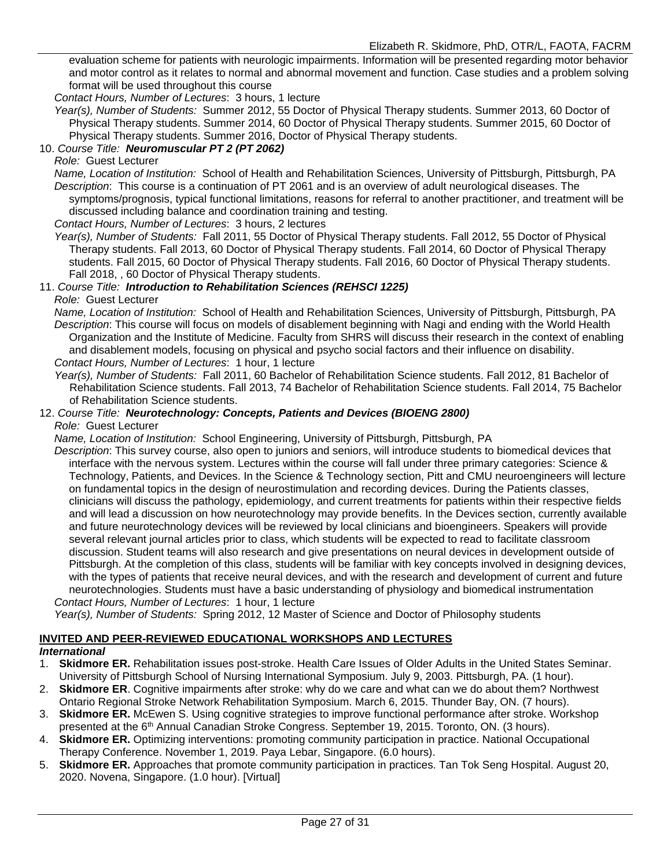evaluation scheme for patients with neurologic impairments. Information will be presented regarding motor behavior and motor control as it relates to normal and abnormal movement and function. Case studies and a problem solving format will be used throughout this course

*Contact Hours, Number of Lectures*: 3 hours, 1 lecture

*Year(s), Number of Students:* Summer 2012, 55 Doctor of Physical Therapy students. Summer 2013, 60 Doctor of Physical Therapy students. Summer 2014, 60 Doctor of Physical Therapy students. Summer 2015, 60 Doctor of Physical Therapy students. Summer 2016, Doctor of Physical Therapy students.

#### 10. *Course Title: Neuromuscular PT 2 (PT 2062)*

#### *Role:* Guest Lecturer

*Name, Location of Institution:* School of Health and Rehabilitation Sciences, University of Pittsburgh, Pittsburgh, PA *Description*: This course is a continuation of PT 2061 and is an overview of adult neurological diseases. The symptoms/prognosis, typical functional limitations, reasons for referral to another practitioner, and treatment will be discussed including balance and coordination training and testing.

*Contact Hours, Number of Lectures*: 3 hours, 2 lectures

*Year(s), Number of Students:* Fall 2011, 55 Doctor of Physical Therapy students. Fall 2012, 55 Doctor of Physical Therapy students. Fall 2013, 60 Doctor of Physical Therapy students. Fall 2014, 60 Doctor of Physical Therapy students. Fall 2015, 60 Doctor of Physical Therapy students. Fall 2016, 60 Doctor of Physical Therapy students. Fall 2018, , 60 Doctor of Physical Therapy students.

#### 11. *Course Title: Introduction to Rehabilitation Sciences (REHSCI 1225)*

*Role:* Guest Lecturer

*Name, Location of Institution:* School of Health and Rehabilitation Sciences, University of Pittsburgh, Pittsburgh, PA *Description*: This course will focus on models of disablement beginning with Nagi and ending with the World Health Organization and the Institute of Medicine. Faculty from SHRS will discuss their research in the context of enabling and disablement models, focusing on physical and psycho social factors and their influence on disability. *Contact Hours, Number of Lectures*: 1 hour, 1 lecture

*Year(s), Number of Students:* Fall 2011, 60 Bachelor of Rehabilitation Science students. Fall 2012, 81 Bachelor of Rehabilitation Science students. Fall 2013, 74 Bachelor of Rehabilitation Science students. Fall 2014, 75 Bachelor of Rehabilitation Science students.

#### 12. *Course Title: Neurotechnology: Concepts, Patients and Devices (BIOENG 2800) Role:* Guest Lecturer

*Name, Location of Institution:* School Engineering, University of Pittsburgh, Pittsburgh, PA

*Description*: This survey course, also open to juniors and seniors, will introduce students to biomedical devices that interface with the nervous system. Lectures within the course will fall under three primary categories: Science & Technology, Patients, and Devices. In the Science & Technology section, Pitt and CMU neuroengineers will lecture on fundamental topics in the design of neurostimulation and recording devices. During the Patients classes, clinicians will discuss the pathology, epidemiology, and current treatments for patients within their respective fields and will lead a discussion on how neurotechnology may provide benefits. In the Devices section, currently available and future neurotechnology devices will be reviewed by local clinicians and bioengineers. Speakers will provide several relevant journal articles prior to class, which students will be expected to read to facilitate classroom discussion. Student teams will also research and give presentations on neural devices in development outside of Pittsburgh. At the completion of this class, students will be familiar with key concepts involved in designing devices, with the types of patients that receive neural devices, and with the research and development of current and future neurotechnologies. Students must have a basic understanding of physiology and biomedical instrumentation *Contact Hours, Number of Lectures*: 1 hour, 1 lecture

*Year(s), Number of Students:* Spring 2012, 12 Master of Science and Doctor of Philosophy students

#### **INVITED AND PEER-REVIEWED EDUCATIONAL WORKSHOPS AND LECTURES**

#### *International*

- 1. **Skidmore ER.** Rehabilitation issues post-stroke. Health Care Issues of Older Adults in the United States Seminar. University of Pittsburgh School of Nursing International Symposium. July 9, 2003. Pittsburgh, PA. (1 hour).
- 2. **Skidmore ER**. Cognitive impairments after stroke: why do we care and what can we do about them? Northwest Ontario Regional Stroke Network Rehabilitation Symposium. March 6, 2015. Thunder Bay, ON. (7 hours).
- 3. **Skidmore ER.** McEwen S. Using cognitive strategies to improve functional performance after stroke. Workshop presented at the 6<sup>th</sup> Annual Canadian Stroke Congress. September 19, 2015. Toronto, ON. (3 hours).
- 4. **Skidmore ER.** Optimizing interventions: promoting community participation in practice. National Occupational Therapy Conference. November 1, 2019. Paya Lebar, Singapore. (6.0 hours).
- 5. **Skidmore ER.** Approaches that promote community participation in practices. Tan Tok Seng Hospital. August 20, 2020. Novena, Singapore. (1.0 hour). [Virtual]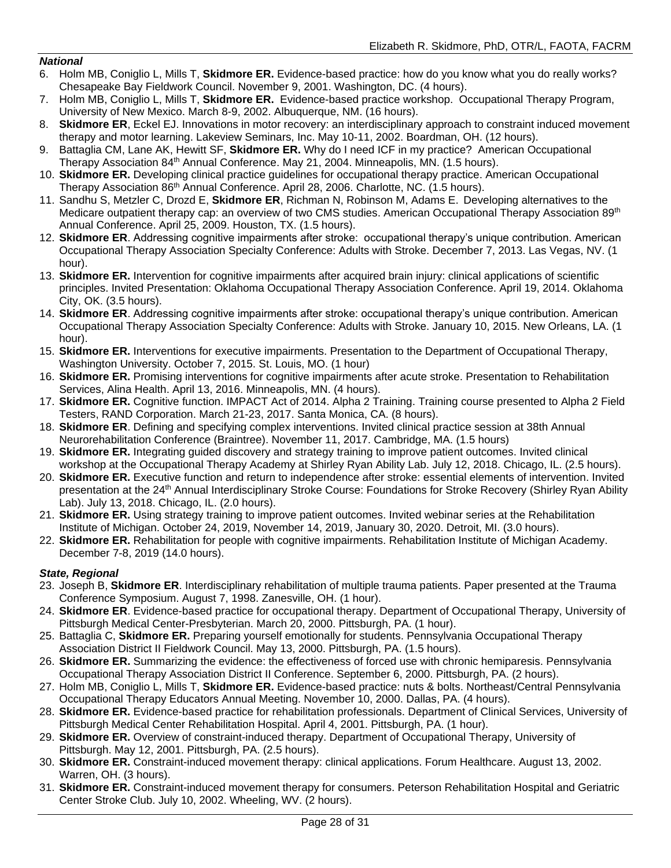#### *National*

- 6. Holm MB, Coniglio L, Mills T, **Skidmore ER.** Evidence-based practice: how do you know what you do really works? Chesapeake Bay Fieldwork Council. November 9, 2001. Washington, DC. (4 hours).
- 7. Holm MB, Coniglio L, Mills T, **Skidmore ER.** Evidence-based practice workshop. Occupational Therapy Program, University of New Mexico. March 8-9, 2002. Albuquerque, NM. (16 hours).
- 8. **Skidmore ER**, Eckel EJ. Innovations in motor recovery: an interdisciplinary approach to constraint induced movement therapy and motor learning. Lakeview Seminars, Inc. May 10-11, 2002. Boardman, OH. (12 hours).
- 9. Battaglia CM, Lane AK, Hewitt SF, **Skidmore ER.** Why do I need ICF in my practice? American Occupational Therapy Association 84<sup>th</sup> Annual Conference. May 21, 2004. Minneapolis, MN. (1.5 hours).
- 10. **Skidmore ER.** Developing clinical practice guidelines for occupational therapy practice. American Occupational Therapy Association 86<sup>th</sup> Annual Conference. April 28, 2006. Charlotte, NC. (1.5 hours).
- 11. Sandhu S, Metzler C, Drozd E, **Skidmore ER**, Richman N, Robinson M, Adams E. Developing alternatives to the Medicare outpatient therapy cap: an overview of two CMS studies. American Occupational Therapy Association 89<sup>th</sup> Annual Conference. April 25, 2009. Houston, TX. (1.5 hours).
- 12. **Skidmore ER**. Addressing cognitive impairments after stroke: occupational therapy's unique contribution. American Occupational Therapy Association Specialty Conference: Adults with Stroke. December 7, 2013. Las Vegas, NV. (1 hour).
- 13. **Skidmore ER.** Intervention for cognitive impairments after acquired brain injury: clinical applications of scientific principles. Invited Presentation: Oklahoma Occupational Therapy Association Conference. April 19, 2014. Oklahoma City, OK. (3.5 hours).
- 14. **Skidmore ER**. Addressing cognitive impairments after stroke: occupational therapy's unique contribution. American Occupational Therapy Association Specialty Conference: Adults with Stroke. January 10, 2015. New Orleans, LA. (1 hour).
- 15. **Skidmore ER.** Interventions for executive impairments. Presentation to the Department of Occupational Therapy, Washington University. October 7, 2015. St. Louis, MO. (1 hour)
- 16. **Skidmore ER.** Promising interventions for cognitive impairments after acute stroke. Presentation to Rehabilitation Services, Alina Health. April 13, 2016. Minneapolis, MN. (4 hours).
- 17. **Skidmore ER.** Cognitive function. IMPACT Act of 2014. Alpha 2 Training. Training course presented to Alpha 2 Field Testers, RAND Corporation. March 21-23, 2017. Santa Monica, CA. (8 hours).
- 18. **Skidmore ER**. Defining and specifying complex interventions. Invited clinical practice session at 38th Annual Neurorehabilitation Conference (Braintree). November 11, 2017. Cambridge, MA. (1.5 hours)
- 19. **Skidmore ER.** Integrating guided discovery and strategy training to improve patient outcomes. Invited clinical workshop at the Occupational Therapy Academy at Shirley Ryan Ability Lab. July 12, 2018. Chicago, IL. (2.5 hours).
- 20. **Skidmore ER.** Executive function and return to independence after stroke: essential elements of intervention. Invited presentation at the 24<sup>th</sup> Annual Interdisciplinary Stroke Course: Foundations for Stroke Recovery (Shirley Ryan Ability Lab). July 13, 2018. Chicago, IL. (2.0 hours).
- 21. **Skidmore ER.** Using strategy training to improve patient outcomes. Invited webinar series at the Rehabilitation Institute of Michigan. October 24, 2019, November 14, 2019, January 30, 2020. Detroit, MI. (3.0 hours).
- 22. **Skidmore ER.** Rehabilitation for people with cognitive impairments. Rehabilitation Institute of Michigan Academy. December 7-8, 2019 (14.0 hours).

#### *State, Regional*

- 23. Joseph B, **Skidmore ER**. Interdisciplinary rehabilitation of multiple trauma patients. Paper presented at the Trauma Conference Symposium. August 7, 1998. Zanesville, OH. (1 hour).
- 24. **Skidmore ER**. Evidence-based practice for occupational therapy. Department of Occupational Therapy, University of Pittsburgh Medical Center-Presbyterian. March 20, 2000. Pittsburgh, PA. (1 hour).
- 25. Battaglia C, **Skidmore ER.** Preparing yourself emotionally for students. Pennsylvania Occupational Therapy Association District II Fieldwork Council. May 13, 2000. Pittsburgh, PA. (1.5 hours).
- 26. **Skidmore ER.** Summarizing the evidence: the effectiveness of forced use with chronic hemiparesis. Pennsylvania Occupational Therapy Association District II Conference. September 6, 2000. Pittsburgh, PA. (2 hours).
- 27. Holm MB, Coniglio L, Mills T, **Skidmore ER.** Evidence-based practice: nuts & bolts. Northeast/Central Pennsylvania Occupational Therapy Educators Annual Meeting. November 10, 2000. Dallas, PA. (4 hours).
- 28. **Skidmore ER.** Evidence-based practice for rehabilitation professionals. Department of Clinical Services, University of Pittsburgh Medical Center Rehabilitation Hospital. April 4, 2001. Pittsburgh, PA. (1 hour).
- 29. **Skidmore ER.** Overview of constraint-induced therapy. Department of Occupational Therapy, University of Pittsburgh. May 12, 2001. Pittsburgh, PA. (2.5 hours).
- 30. **Skidmore ER.** Constraint-induced movement therapy: clinical applications. Forum Healthcare. August 13, 2002. Warren, OH. (3 hours).
- 31. **Skidmore ER.** Constraint-induced movement therapy for consumers. Peterson Rehabilitation Hospital and Geriatric Center Stroke Club. July 10, 2002. Wheeling, WV. (2 hours).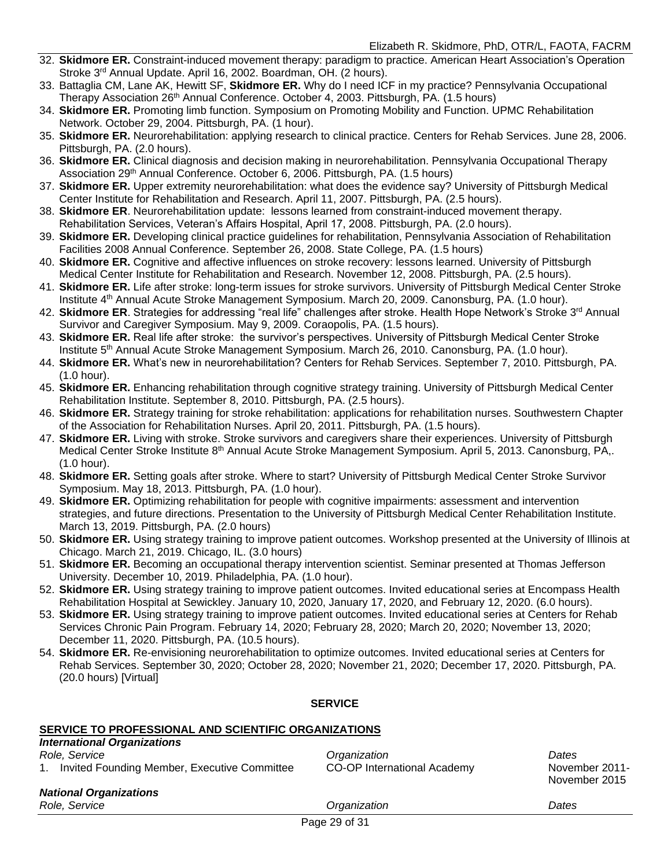- 32. **Skidmore ER.** Constraint-induced movement therapy: paradigm to practice. American Heart Association's Operation Stroke 3<sup>rd</sup> Annual Update. April 16, 2002. Boardman, OH. (2 hours).
- 33. Battaglia CM, Lane AK, Hewitt SF, **Skidmore ER.** Why do I need ICF in my practice? Pennsylvania Occupational Therapy Association 26<sup>th</sup> Annual Conference. October 4, 2003. Pittsburgh, PA. (1.5 hours)
- 34. **Skidmore ER.** Promoting limb function. Symposium on Promoting Mobility and Function. UPMC Rehabilitation Network. October 29, 2004. Pittsburgh, PA. (1 hour).
- 35. **Skidmore ER.** Neurorehabilitation: applying research to clinical practice. Centers for Rehab Services. June 28, 2006. Pittsburgh, PA. (2.0 hours).
- 36. **Skidmore ER.** Clinical diagnosis and decision making in neurorehabilitation. Pennsylvania Occupational Therapy Association 29th Annual Conference. October 6, 2006. Pittsburgh, PA. (1.5 hours)
- 37. **Skidmore ER.** Upper extremity neurorehabilitation: what does the evidence say? University of Pittsburgh Medical Center Institute for Rehabilitation and Research. April 11, 2007. Pittsburgh, PA. (2.5 hours).
- 38. **Skidmore ER**. Neurorehabilitation update: lessons learned from constraint-induced movement therapy. Rehabilitation Services, Veteran's Affairs Hospital, April 17, 2008. Pittsburgh, PA. (2.0 hours).
- 39. **Skidmore ER.** Developing clinical practice guidelines for rehabilitation, Pennsylvania Association of Rehabilitation Facilities 2008 Annual Conference. September 26, 2008. State College, PA. (1.5 hours)
- 40. **Skidmore ER.** Cognitive and affective influences on stroke recovery: lessons learned. University of Pittsburgh Medical Center Institute for Rehabilitation and Research. November 12, 2008. Pittsburgh, PA. (2.5 hours).
- 41. **Skidmore ER.** Life after stroke: long-term issues for stroke survivors. University of Pittsburgh Medical Center Stroke Institute 4th Annual Acute Stroke Management Symposium. March 20, 2009. Canonsburg, PA. (1.0 hour).
- 42. **Skidmore ER**. Strategies for addressing "real life" challenges after stroke. Health Hope Network's Stroke 3rd Annual Survivor and Caregiver Symposium. May 9, 2009. Coraopolis, PA. (1.5 hours).
- 43. **Skidmore ER.** Real life after stroke: the survivor's perspectives. University of Pittsburgh Medical Center Stroke Institute 5th Annual Acute Stroke Management Symposium. March 26, 2010. Canonsburg, PA. (1.0 hour).
- 44. **Skidmore ER.** What's new in neurorehabilitation? Centers for Rehab Services. September 7, 2010. Pittsburgh, PA. (1.0 hour).
- 45. **Skidmore ER.** Enhancing rehabilitation through cognitive strategy training. University of Pittsburgh Medical Center Rehabilitation Institute. September 8, 2010. Pittsburgh, PA. (2.5 hours).
- 46. **Skidmore ER.** Strategy training for stroke rehabilitation: applications for rehabilitation nurses. Southwestern Chapter of the Association for Rehabilitation Nurses. April 20, 2011. Pittsburgh, PA. (1.5 hours).
- 47. **Skidmore ER.** Living with stroke. Stroke survivors and caregivers share their experiences. University of Pittsburgh Medical Center Stroke Institute 8th Annual Acute Stroke Management Symposium. April 5, 2013. Canonsburg, PA,. (1.0 hour).
- 48. **Skidmore ER.** Setting goals after stroke. Where to start? University of Pittsburgh Medical Center Stroke Survivor Symposium. May 18, 2013. Pittsburgh, PA. (1.0 hour).
- 49. **Skidmore ER.** Optimizing rehabilitation for people with cognitive impairments: assessment and intervention strategies, and future directions. Presentation to the University of Pittsburgh Medical Center Rehabilitation Institute. March 13, 2019. Pittsburgh, PA. (2.0 hours)
- 50. **Skidmore ER.** Using strategy training to improve patient outcomes. Workshop presented at the University of Illinois at Chicago. March 21, 2019. Chicago, IL. (3.0 hours)
- 51. **Skidmore ER.** Becoming an occupational therapy intervention scientist. Seminar presented at Thomas Jefferson University. December 10, 2019. Philadelphia, PA. (1.0 hour).
- 52. **Skidmore ER.** Using strategy training to improve patient outcomes. Invited educational series at Encompass Health Rehabilitation Hospital at Sewickley. January 10, 2020, January 17, 2020, and February 12, 2020. (6.0 hours).
- 53. **Skidmore ER.** Using strategy training to improve patient outcomes. Invited educational series at Centers for Rehab Services Chronic Pain Program. February 14, 2020; February 28, 2020; March 20, 2020; November 13, 2020; December 11, 2020. Pittsburgh, PA. (10.5 hours).
- 54. **Skidmore ER.** Re-envisioning neurorehabilitation to optimize outcomes. Invited educational series at Centers for Rehab Services. September 30, 2020; October 28, 2020; November 21, 2020; December 17, 2020. Pittsburgh, PA. (20.0 hours) [Virtual]

#### **SERVICE**

#### **SERVICE TO PROFESSIONAL AND SCIENTIFIC ORGANIZATIONS** *International Organizations*

| Invited Founding Member, Executive Committee<br>$1_{\cdot}$<br><b>National Organizations</b> | <b>CO-OP International Academy</b> | November 2011-<br>November 2015 |
|----------------------------------------------------------------------------------------------|------------------------------------|---------------------------------|
| Role, Service                                                                                | Organization<br>Dogo 20 of 21      | Dates                           |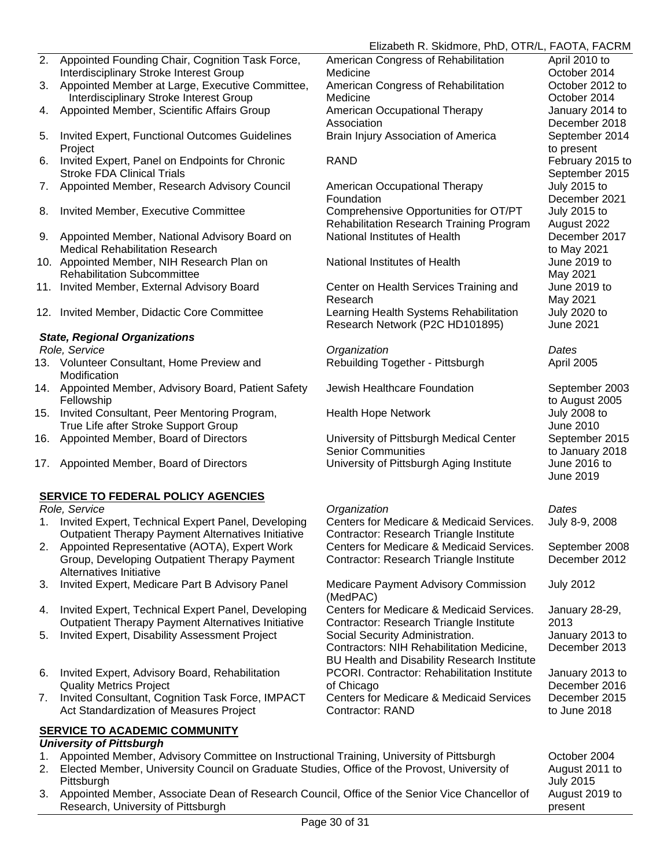#### Elizabeth R. Skidmore, PhD, OTR/L, FAOTA, FACRM

- 2. Appointed Founding Chair, Cognition Task Force, Interdisciplinary Stroke Interest Group
- 3. Appointed Member at Large, Executive Committee, Interdisciplinary Stroke Interest Group
- 4. Appointed Member, Scientific Affairs Group **American Occupational Therapy**
- 5. Invited Expert, Functional Outcomes Guidelines **Project**
- 6. Invited Expert, Panel on Endpoints for Chronic Stroke FDA Clinical Trials
- 7. Appointed Member, Research Advisory Council American Occupational Therapy
- 8. Invited Member, Executive Committee **Comprehensive Opportunities for OT/PT**
- 9. Appointed Member, National Advisory Board on Medical Rehabilitation Research
- 10. Appointed Member, NIH Research Plan on Rehabilitation Subcommittee
- 11. Invited Member, External Advisory Board Center on Health Services Training and
- 12. Invited Member, Didactic Core Committee Learning Health Systems Rehabilitation

#### *State, Regional Organizations*

- 13. Volunteer Consultant, Home Preview and **Modification**
- 14. Appointed Member, Advisory Board, Patient Safety Fellowship
- 15. Invited Consultant, Peer Mentoring Program, True Life after Stroke Support Group
- 16. Appointed Member, Board of Directors University of Pittsburgh Medical Center
- 17. Appointed Member, Board of Directors **University of Pittsburgh Aging Institute** June 2016 to

#### **SERVICE TO FEDERAL POLICY AGENCIES**

- 1. Invited Expert, Technical Expert Panel, Developing Outpatient Therapy Payment Alternatives Initiative
- 2. Appointed Representative (AOTA), Expert Work Group, Developing Outpatient Therapy Payment Alternatives Initiative
- 3. Invited Expert, Medicare Part B Advisory Panel Medicare Payment Advisory Commission
- 4. Invited Expert, Technical Expert Panel, Developing Outpatient Therapy Payment Alternatives Initiative
- 5. Invited Expert, Disability Assessment Project Social Security Administration.
- 6. Invited Expert, Advisory Board, Rehabilitation Quality Metrics Project
- 7. Invited Consultant, Cognition Task Force, IMPACT Act Standardization of Measures Project

#### **SERVICE TO ACADEMIC COMMUNITY**

#### *University of Pittsburgh*

- 1. Appointed Member, Advisory Committee on Instructional Training, University of Pittsburgh October 2004
- 2. Elected Member, University Council on Graduate Studies, Office of the Provost, University of **Pittsburgh**
- 3. Appointed Member, Associate Dean of Research Council, Office of the Senior Vice Chancellor of Research, University of Pittsburgh

American Congress of Rehabilitation **Medicine** American Congress of Rehabilitation Medicine Association Brain Injury Association of America September 2014

Foundation Rehabilitation Research Training Program National Institutes of Health December 2017

National Institutes of Health June 2019 to

Research

Research Network (P2C HD101895)

*Role, Service Organization Dates* Rebuilding Together - Pittsburgh April 2005

Jewish Healthcare Foundation September 2003

Health Hope Network **Internal Control** 10 July 2008 to

Senior Communities

#### *Role, Service Organization Dates*

Centers for Medicare & Medicaid Services. Contractor: Research Triangle Institute Centers for Medicare & Medicaid Services. Contractor: Research Triangle Institute

(MedPAC)

Centers for Medicare & Medicaid Services. Contractor: Research Triangle Institute Contractors: NIH Rehabilitation Medicine, BU Health and Disability Research Institute PCORI. Contractor: Rehabilitation Institute of Chicago

Centers for Medicare & Medicaid Services Contractor: RAND

April 2010 to October 2014 October 2012 to October 2014 January 2014 to December 2018 to present RAND **February 2015** to September 2015 July 2015 to December 2021 July 2015 to August 2022 to May 2021 May 2021 June 2019 to May 2021 July 2020 to June 2021

to August 2005 June 2010 September 2015 to January 2018 June 2019

July 8-9, 2008

September 2008 December 2012

July 2012

January 28-29, 2013 January 2013 to December 2013

January 2013 to December 2016 December 2015 to June 2018

August 2011 to July 2015 August 2019 to present